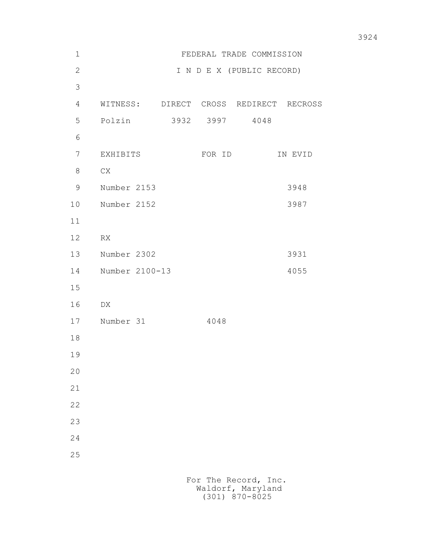| $1\,$        | FEDERAL TRADE COMMISSION               |         |
|--------------|----------------------------------------|---------|
| $\mathbf{2}$ | I N D E X (PUBLIC RECORD)              |         |
| 3            |                                        |         |
| 4            | WITNESS: DIRECT CROSS REDIRECT RECROSS |         |
| 5            | Polzin<br>3932 3997 4048               |         |
| 6            |                                        |         |
| 7            | EXHIBITS<br>FOR ID                     | IN EVID |
| 8            | C X                                    |         |
| 9            | Number 2153                            | 3948    |
| 10           | Number 2152                            | 3987    |
| 11           |                                        |         |
| 12           | RX                                     |         |
| 13           | Number 2302                            | 3931    |
| 14           | Number 2100-13                         | 4055    |
| 15           |                                        |         |
| 16           | DX                                     |         |
| 17           | Number 31<br>4048                      |         |
| 18           |                                        |         |
| 19           |                                        |         |
| 20           |                                        |         |
| 21           |                                        |         |
| 22           |                                        |         |
| 23           |                                        |         |
| 24           |                                        |         |
| 25           |                                        |         |
|              | For The Record, Inc.                   |         |
|              |                                        |         |

Waldorf, Maryland (301) 870-8025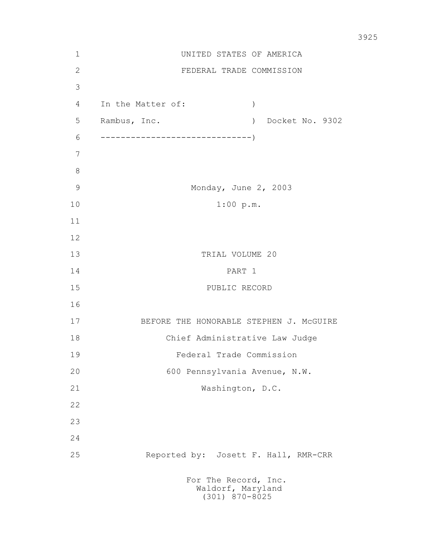| $\mathbf 1$   | UNITED STATES OF AMERICA                                      |  |
|---------------|---------------------------------------------------------------|--|
| $\sqrt{2}$    | FEDERAL TRADE COMMISSION                                      |  |
| 3             |                                                               |  |
| 4             | In the Matter of:<br>$\lambda$                                |  |
| 5             | ) Docket No. 9302<br>Rambus, Inc.                             |  |
| 6             |                                                               |  |
| 7             |                                                               |  |
| $8\,$         |                                                               |  |
| $\mathcal{G}$ | Monday, June 2, 2003                                          |  |
| 10            | 1:00 p.m.                                                     |  |
| 11            |                                                               |  |
| 12            |                                                               |  |
| 13            | TRIAL VOLUME 20                                               |  |
| 14            | PART 1                                                        |  |
| 15            | PUBLIC RECORD                                                 |  |
| 16            |                                                               |  |
| 17            | BEFORE THE HONORABLE STEPHEN J. MCGUIRE                       |  |
| 18            | Chief Administrative Law Judge                                |  |
| 19            | Federal Trade Commission                                      |  |
| 20            | 600 Pennsylvania Avenue, N.W.                                 |  |
| 21            | Washington, D.C.                                              |  |
| 22            |                                                               |  |
| 23            |                                                               |  |
| 24            |                                                               |  |
| 25            | Reported by: Josett F. Hall, RMR-CRR                          |  |
|               | For The Record, Inc.<br>Waldorf, Maryland<br>$(301)$ 870-8025 |  |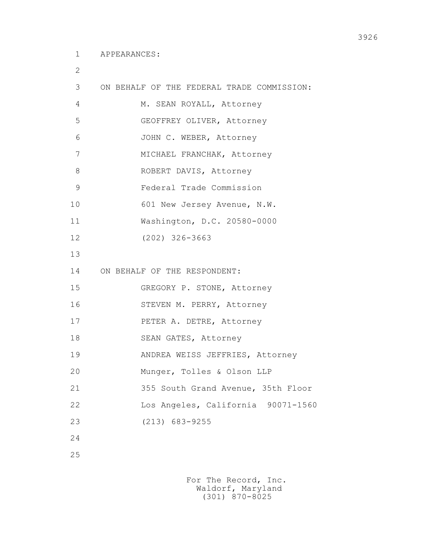2

```
 3 ON BEHALF OF THE FEDERAL TRADE COMMISSION:
4 M. SEAN ROYALL, Attorney
 5 GEOFFREY OLIVER, Attorney
 6 JOHN C. WEBER, Attorney
 7 MICHAEL FRANCHAK, Attorney 
8 ROBERT DAVIS, Attorney
 9 Federal Trade Commission
10 601 New Jersey Avenue, N.W.
 11 Washington, D.C. 20580-0000
 12 (202) 326-3663
 13
 14 ON BEHALF OF THE RESPONDENT:
 15 GREGORY P. STONE, Attorney
 16 STEVEN M. PERRY, Attorney
 17 PETER A. DETRE, Attorney
18 SEAN GATES, Attorney
 19 ANDREA WEISS JEFFRIES, Attorney
 20 Munger, Tolles & Olson LLP
 21 355 South Grand Avenue, 35th Floor
 22 Los Angeles, California 90071-1560
 23 (213) 683-9255
 24
 25
```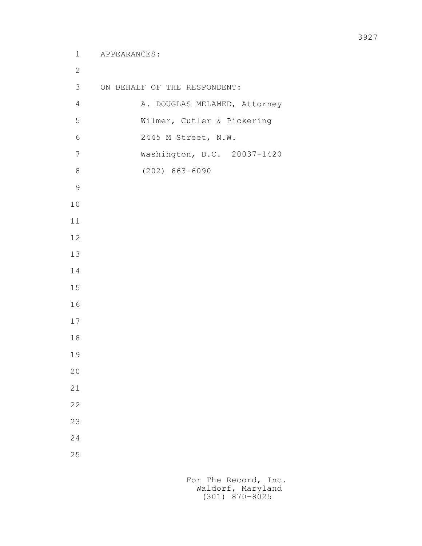```
 1 APPEARANCES:
 2
         3 ON BEHALF OF THE RESPONDENT:
        4 A. DOUGLAS MELAMED, Attorney
         5 Wilmer, Cutler & Pickering
         6 2445 M Street, N.W.
         7 Washington, D.C. 20037-1420
         8 (202) 663-6090
 9
        10
        11
        12
        13
        14
        15
        16
        17
        18
        19
        20
        21
        22
        23
        24
        25
```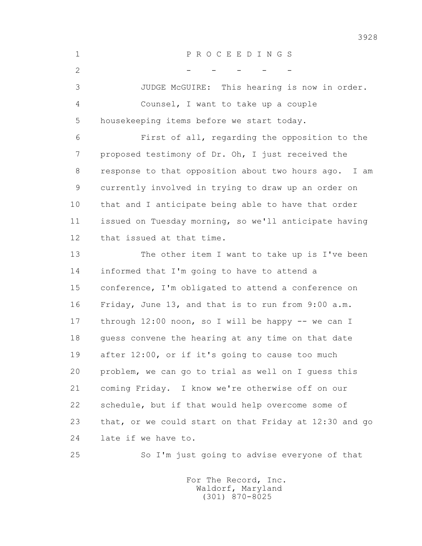1 P R O C E E D I N G S  $2$  - - - - - 3 JUDGE McGUIRE: This hearing is now in order. 4 Counsel, I want to take up a couple 5 housekeeping items before we start today. 6 First of all, regarding the opposition to the 7 proposed testimony of Dr. Oh, I just received the 8 response to that opposition about two hours ago. I am 9 currently involved in trying to draw up an order on 10 that and I anticipate being able to have that order 11 issued on Tuesday morning, so we'll anticipate having 12 that issued at that time. 13 The other item I want to take up is I've been 14 informed that I'm going to have to attend a 15 conference, I'm obligated to attend a conference on 16 Friday, June 13, and that is to run from 9:00 a.m. 17 through 12:00 noon, so I will be happy -- we can I 18 guess convene the hearing at any time on that date 19 after 12:00, or if it's going to cause too much 20 problem, we can go to trial as well on I guess this 21 coming Friday. I know we're otherwise off on our 22 schedule, but if that would help overcome some of 23 that, or we could start on that Friday at 12:30 and go 24 late if we have to. 25 So I'm just going to advise everyone of that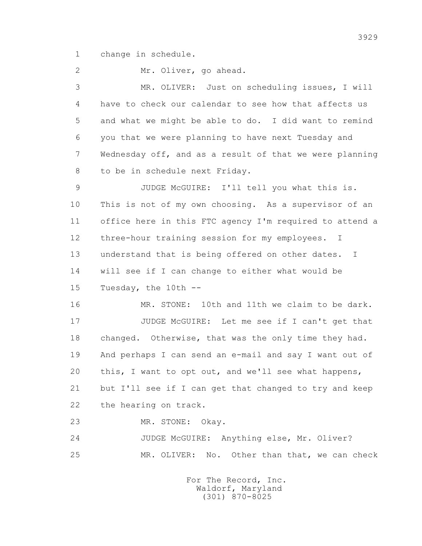1 change in schedule.

2 Mr. Oliver, go ahead.

 3 MR. OLIVER: Just on scheduling issues, I will 4 have to check our calendar to see how that affects us 5 and what we might be able to do. I did want to remind 6 you that we were planning to have next Tuesday and 7 Wednesday off, and as a result of that we were planning 8 to be in schedule next Friday.

 9 JUDGE McGUIRE: I'll tell you what this is. 10 This is not of my own choosing. As a supervisor of an 11 office here in this FTC agency I'm required to attend a 12 three-hour training session for my employees. I 13 understand that is being offered on other dates. I 14 will see if I can change to either what would be 15 Tuesday, the 10th --

 16 MR. STONE: 10th and 11th we claim to be dark. 17 JUDGE McGUIRE: Let me see if I can't get that 18 changed. Otherwise, that was the only time they had. 19 And perhaps I can send an e-mail and say I want out of 20 this, I want to opt out, and we'll see what happens, 21 but I'll see if I can get that changed to try and keep 22 the hearing on track.

23 MR. STONE: Okay.

 24 JUDGE McGUIRE: Anything else, Mr. Oliver? 25 MR. OLIVER: No. Other than that, we can check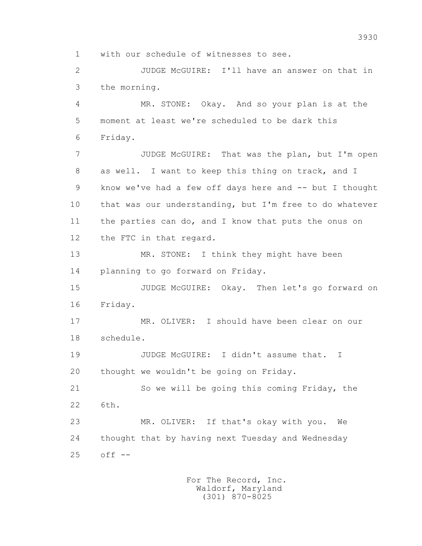1 with our schedule of witnesses to see.

 2 JUDGE McGUIRE: I'll have an answer on that in 3 the morning.

 4 MR. STONE: Okay. And so your plan is at the 5 moment at least we're scheduled to be dark this 6 Friday.

 7 JUDGE McGUIRE: That was the plan, but I'm open 8 as well. I want to keep this thing on track, and I 9 know we've had a few off days here and -- but I thought 10 that was our understanding, but I'm free to do whatever 11 the parties can do, and I know that puts the onus on 12 the FTC in that regard.

13 MR. STONE: I think they might have been 14 planning to go forward on Friday.

 15 JUDGE McGUIRE: Okay. Then let's go forward on 16 Friday.

 17 MR. OLIVER: I should have been clear on our 18 schedule.

 19 JUDGE McGUIRE: I didn't assume that. I 20 thought we wouldn't be going on Friday.

 21 So we will be going this coming Friday, the 22 6th.

 23 MR. OLIVER: If that's okay with you. We 24 thought that by having next Tuesday and Wednesday 25 off --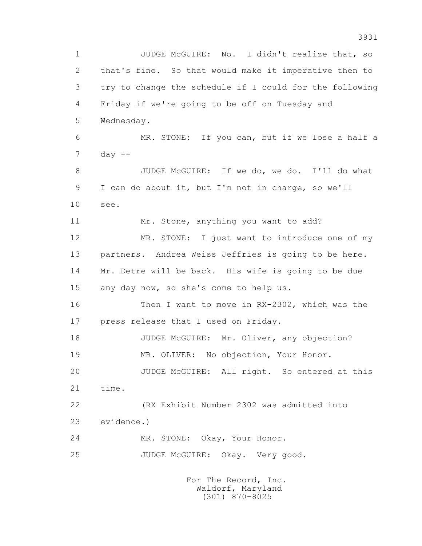1 JUDGE McGUIRE: No. I didn't realize that, so 2 that's fine. So that would make it imperative then to 3 try to change the schedule if I could for the following 4 Friday if we're going to be off on Tuesday and 5 Wednesday. 6 MR. STONE: If you can, but if we lose a half a  $7$  day  $-$  8 JUDGE McGUIRE: If we do, we do. I'll do what 9 I can do about it, but I'm not in charge, so we'll 10 see. 11 Mr. Stone, anything you want to add? 12 MR. STONE: I just want to introduce one of my 13 partners. Andrea Weiss Jeffries is going to be here. 14 Mr. Detre will be back. His wife is going to be due 15 any day now, so she's come to help us. 16 Then I want to move in RX-2302, which was the 17 press release that I used on Friday. 18 JUDGE McGUIRE: Mr. Oliver, any objection? 19 MR. OLIVER: No objection, Your Honor. 20 JUDGE McGUIRE: All right. So entered at this 21 time. 22 (RX Exhibit Number 2302 was admitted into 23 evidence.) 24 MR. STONE: Okay, Your Honor. 25 JUDGE McGUIRE: Okay. Very good.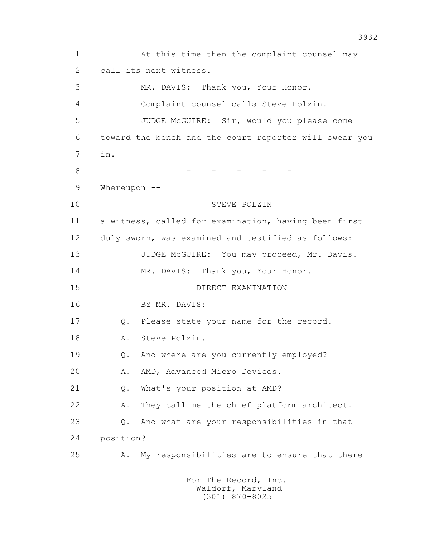1 At this time then the complaint counsel may 2 call its next witness. 3 MR. DAVIS: Thank you, Your Honor. 4 Complaint counsel calls Steve Polzin. 5 JUDGE McGUIRE: Sir, would you please come 6 toward the bench and the court reporter will swear you 7 in. 8 - - - - - 9 Whereupon -- 10 STEVE POLZIN 11 a witness, called for examination, having been first 12 duly sworn, was examined and testified as follows: 13 JUDGE McGUIRE: You may proceed, Mr. Davis. 14 MR. DAVIS: Thank you, Your Honor. 15 DIRECT EXAMINATION 16 BY MR. DAVIS: 17 Q. Please state your name for the record. 18 A. Steve Polzin. 19 Q. And where are you currently employed? 20 A. AMD, Advanced Micro Devices. 21 Q. What's your position at AMD? 22 A. They call me the chief platform architect. 23 Q. And what are your responsibilities in that 24 position? 25 A. My responsibilities are to ensure that there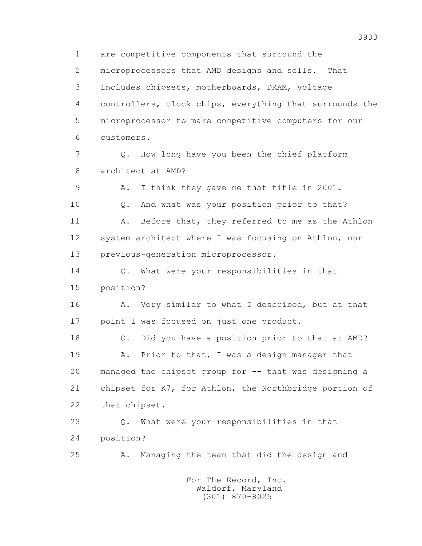1 are competitive components that surround the 2 microprocessors that AMD designs and sells. That 3 includes chipsets, motherboards, DRAM, voltage 4 controllers, clock chips, everything that surrounds the 5 microprocessor to make competitive computers for our 6 customers. 7 Q. How long have you been the chief platform 8 architect at AMD? 9 A. I think they gave me that title in 2001. 10 Q. And what was your position prior to that? 11 A. Before that, they referred to me as the Athlon 12 system architect where I was focusing on Athlon, our 13 previous-generation microprocessor. 14 Q. What were your responsibilities in that 15 position? 16 A. Very similar to what I described, but at that 17 point I was focused on just one product. 18 Q. Did you have a position prior to that at AMD? 19 A. Prior to that, I was a design manager that 20 managed the chipset group for -- that was designing a 21 chipset for K7, for Athlon, the Northbridge portion of 22 that chipset. 23 Q. What were your responsibilities in that 24 position? 25 A. Managing the team that did the design and For The Record, Inc. Waldorf, Maryland

(301) 870-8025

3933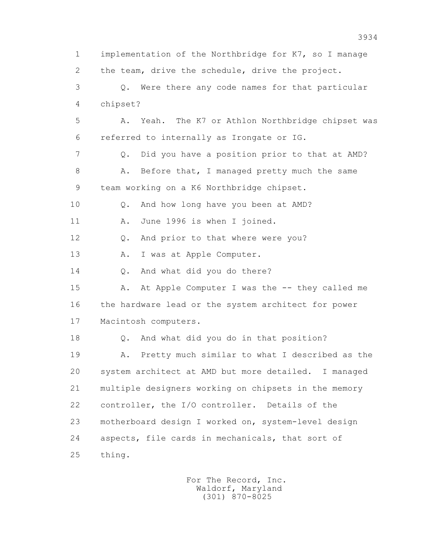1 implementation of the Northbridge for K7, so I manage 2 the team, drive the schedule, drive the project. 3 Q. Were there any code names for that particular 4 chipset? 5 A. Yeah. The K7 or Athlon Northbridge chipset was 6 referred to internally as Irongate or IG. 7 Q. Did you have a position prior to that at AMD? 8 A. Before that, I managed pretty much the same 9 team working on a K6 Northbridge chipset. 10 Q. And how long have you been at AMD? 11 A. June 1996 is when I joined. 12 Q. And prior to that where were you? 13 A. I was at Apple Computer. 14 0. And what did you do there? 15 A. At Apple Computer I was the -- they called me 16 the hardware lead or the system architect for power 17 Macintosh computers. 18 Q. And what did you do in that position? 19 A. Pretty much similar to what I described as the 20 system architect at AMD but more detailed. I managed 21 multiple designers working on chipsets in the memory 22 controller, the I/O controller. Details of the 23 motherboard design I worked on, system-level design 24 aspects, file cards in mechanicals, that sort of 25 thing.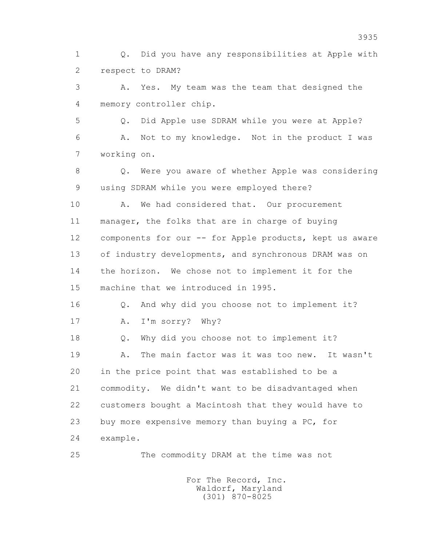1 Q. Did you have any responsibilities at Apple with 2 respect to DRAM?

 3 A. Yes. My team was the team that designed the 4 memory controller chip.

 5 Q. Did Apple use SDRAM while you were at Apple? 6 A. Not to my knowledge. Not in the product I was 7 working on.

 8 Q. Were you aware of whether Apple was considering 9 using SDRAM while you were employed there?

10 A. We had considered that. Our procurement 11 manager, the folks that are in charge of buying 12 components for our -- for Apple products, kept us aware 13 of industry developments, and synchronous DRAM was on 14 the horizon. We chose not to implement it for the 15 machine that we introduced in 1995.

 16 Q. And why did you choose not to implement it? 17 A. I'm sorry? Why?

18 Q. Why did you choose not to implement it?

 19 A. The main factor was it was too new. It wasn't 20 in the price point that was established to be a 21 commodity. We didn't want to be disadvantaged when 22 customers bought a Macintosh that they would have to 23 buy more expensive memory than buying a PC, for 24 example.

25 The commodity DRAM at the time was not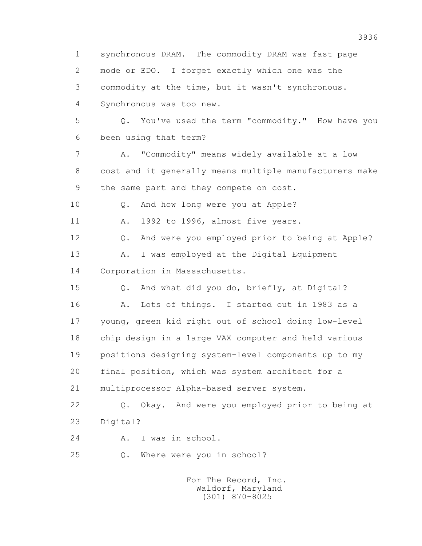1 synchronous DRAM. The commodity DRAM was fast page 2 mode or EDO. I forget exactly which one was the 3 commodity at the time, but it wasn't synchronous. 4 Synchronous was too new. 5 Q. You've used the term "commodity." How have you 6 been using that term? 7 A. "Commodity" means widely available at a low 8 cost and it generally means multiple manufacturers make 9 the same part and they compete on cost. 10 Q. And how long were you at Apple? 11 A. 1992 to 1996, almost five years. 12 Q. And were you employed prior to being at Apple? 13 A. I was employed at the Digital Equipment 14 Corporation in Massachusetts. 15 Q. And what did you do, briefly, at Digital? 16 A. Lots of things. I started out in 1983 as a 17 young, green kid right out of school doing low-level 18 chip design in a large VAX computer and held various 19 positions designing system-level components up to my 20 final position, which was system architect for a 21 multiprocessor Alpha-based server system. 22 Q. Okay. And were you employed prior to being at 23 Digital? 24 A. I was in school. 25 Q. Where were you in school? For The Record, Inc.

 Waldorf, Maryland (301) 870-8025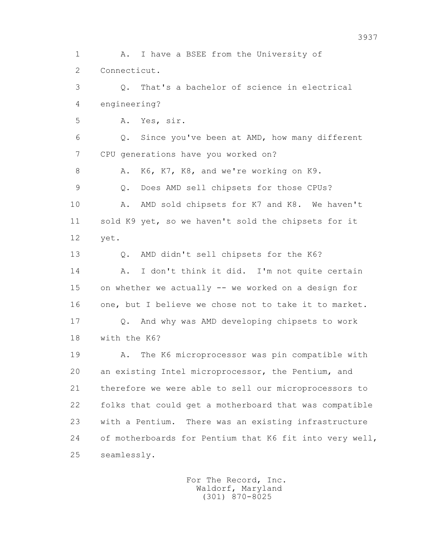1 A. I have a BSEE from the University of 2 Connecticut. 3 Q. That's a bachelor of science in electrical 4 engineering? 5 A. Yes, sir. 6 Q. Since you've been at AMD, how many different 7 CPU generations have you worked on? 8 A. K6, K7, K8, and we're working on K9. 9 Q. Does AMD sell chipsets for those CPUs? 10 A. AMD sold chipsets for K7 and K8. We haven't 11 sold K9 yet, so we haven't sold the chipsets for it 12 yet. 13 Q. AMD didn't sell chipsets for the K6? 14 A. I don't think it did. I'm not quite certain 15 on whether we actually -- we worked on a design for 16 one, but I believe we chose not to take it to market. 17 Q. And why was AMD developing chipsets to work 18 with the K6? 19 A. The K6 microprocessor was pin compatible with 20 an existing Intel microprocessor, the Pentium, and 21 therefore we were able to sell our microprocessors to 22 folks that could get a motherboard that was compatible 23 with a Pentium. There was an existing infrastructure 24 of motherboards for Pentium that K6 fit into very well, 25 seamlessly.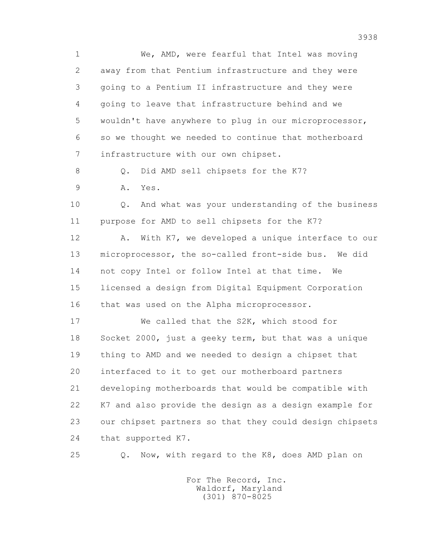1 We, AMD, were fearful that Intel was moving 2 away from that Pentium infrastructure and they were 3 going to a Pentium II infrastructure and they were 4 going to leave that infrastructure behind and we 5 wouldn't have anywhere to plug in our microprocessor, 6 so we thought we needed to continue that motherboard 7 infrastructure with our own chipset.

8 Q. Did AMD sell chipsets for the K7?

9 A. Yes.

 10 Q. And what was your understanding of the business 11 purpose for AMD to sell chipsets for the K7?

12 A. With K7, we developed a unique interface to our 13 microprocessor, the so-called front-side bus. We did 14 not copy Intel or follow Intel at that time. We 15 licensed a design from Digital Equipment Corporation 16 that was used on the Alpha microprocessor.

 17 We called that the S2K, which stood for 18 Socket 2000, just a geeky term, but that was a unique 19 thing to AMD and we needed to design a chipset that 20 interfaced to it to get our motherboard partners 21 developing motherboards that would be compatible with 22 K7 and also provide the design as a design example for 23 our chipset partners so that they could design chipsets 24 that supported K7.

25 Q. Now, with regard to the K8, does AMD plan on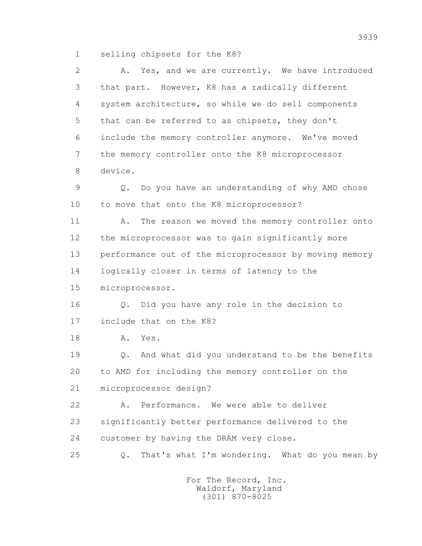1 selling chipsets for the K8?

 2 A. Yes, and we are currently. We have introduced 3 that part. However, K8 has a radically different 4 system architecture, so while we do sell components 5 that can be referred to as chipsets, they don't 6 include the memory controller anymore. We've moved 7 the memory controller onto the K8 microprocessor 8 device. 9 Q. Do you have an understanding of why AMD chose 10 to move that onto the K8 microprocessor? 11 A. The reason we moved the memory controller onto 12 the microprocessor was to gain significantly more 13 performance out of the microprocessor by moving memory 14 logically closer in terms of latency to the 15 microprocessor. 16 Q. Did you have any role in the decision to 17 include that on the K8? 18 A. Yes. 19 Q. And what did you understand to be the benefits 20 to AMD for including the memory controller on the 21 microprocessor design? 22 A. Performance. We were able to deliver 23 significantly better performance delivered to the 24 customer by having the DRAM very close. 25 Q. That's what I'm wondering. What do you mean by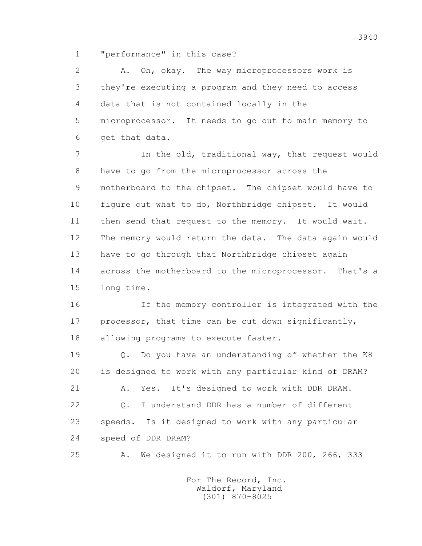1 "performance" in this case?

 2 A. Oh, okay. The way microprocessors work is 3 they're executing a program and they need to access 4 data that is not contained locally in the 5 microprocessor. It needs to go out to main memory to 6 get that data.

 7 In the old, traditional way, that request would 8 have to go from the microprocessor across the 9 motherboard to the chipset. The chipset would have to 10 figure out what to do, Northbridge chipset. It would 11 then send that request to the memory. It would wait. 12 The memory would return the data. The data again would 13 have to go through that Northbridge chipset again 14 across the motherboard to the microprocessor. That's a 15 long time.

 16 If the memory controller is integrated with the 17 processor, that time can be cut down significantly, 18 allowing programs to execute faster.

 19 Q. Do you have an understanding of whether the K8 20 is designed to work with any particular kind of DRAM? 21 A. Yes. It's designed to work with DDR DRAM. 22 Q. I understand DDR has a number of different 23 speeds. Is it designed to work with any particular 24 speed of DDR DRAM?

25 A. We designed it to run with DDR 200, 266, 333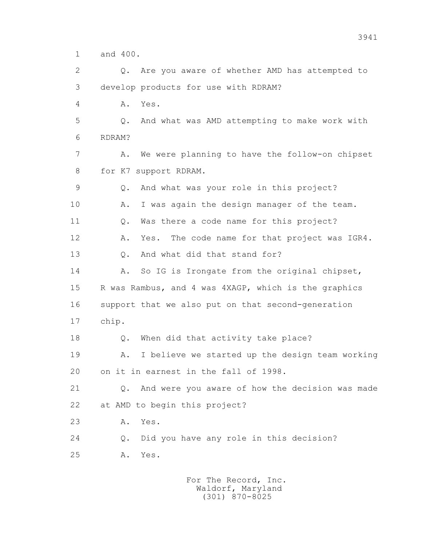1 and 400.

 2 Q. Are you aware of whether AMD has attempted to 3 develop products for use with RDRAM?

4 A. Yes.

 5 Q. And what was AMD attempting to make work with 6 RDRAM?

 7 A. We were planning to have the follow-on chipset 8 for K7 support RDRAM.

 9 Q. And what was your role in this project? 10 A. I was again the design manager of the team. 11 Q. Was there a code name for this project? 12 A. Yes. The code name for that project was IGR4. 13 Q. And what did that stand for?

14 A. So IG is Irongate from the original chipset, 15 R was Rambus, and 4 was 4XAGP, which is the graphics 16 support that we also put on that second-generation 17 chip.

18 Q. When did that activity take place?

 19 A. I believe we started up the design team working 20 on it in earnest in the fall of 1998.

 21 Q. And were you aware of how the decision was made 22 at AMD to begin this project?

23 A. Yes.

 24 Q. Did you have any role in this decision? 25 A. Yes.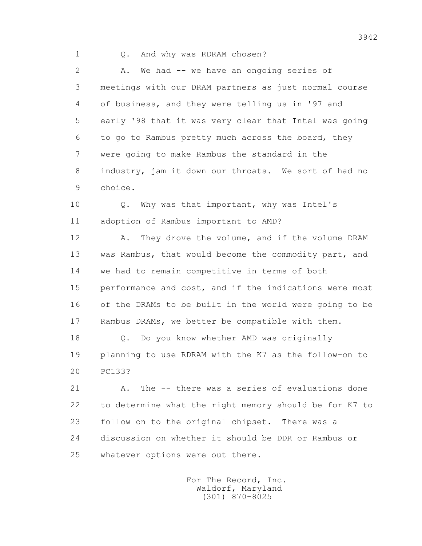1 Q. And why was RDRAM chosen?

2 A. We had -- we have an ongoing series of 3 meetings with our DRAM partners as just normal course 4 of business, and they were telling us in '97 and 5 early '98 that it was very clear that Intel was going 6 to go to Rambus pretty much across the board, they 7 were going to make Rambus the standard in the 8 industry, jam it down our throats. We sort of had no 9 choice.

 10 Q. Why was that important, why was Intel's 11 adoption of Rambus important to AMD?

 12 A. They drove the volume, and if the volume DRAM 13 was Rambus, that would become the commodity part, and 14 we had to remain competitive in terms of both 15 performance and cost, and if the indications were most 16 of the DRAMs to be built in the world were going to be 17 Rambus DRAMs, we better be compatible with them.

 18 Q. Do you know whether AMD was originally 19 planning to use RDRAM with the K7 as the follow-on to 20 PC133?

21 A. The -- there was a series of evaluations done 22 to determine what the right memory should be for K7 to 23 follow on to the original chipset. There was a 24 discussion on whether it should be DDR or Rambus or 25 whatever options were out there.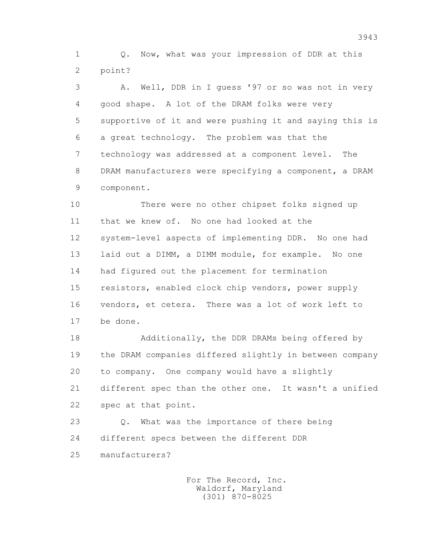1 Q. Now, what was your impression of DDR at this 2 point?

 3 A. Well, DDR in I guess '97 or so was not in very 4 good shape. A lot of the DRAM folks were very 5 supportive of it and were pushing it and saying this is 6 a great technology. The problem was that the 7 technology was addressed at a component level. The 8 DRAM manufacturers were specifying a component, a DRAM 9 component.

 10 There were no other chipset folks signed up 11 that we knew of. No one had looked at the 12 system-level aspects of implementing DDR. No one had 13 laid out a DIMM, a DIMM module, for example. No one 14 had figured out the placement for termination 15 resistors, enabled clock chip vendors, power supply 16 vendors, et cetera. There was a lot of work left to 17 be done.

 18 Additionally, the DDR DRAMs being offered by 19 the DRAM companies differed slightly in between company 20 to company. One company would have a slightly 21 different spec than the other one. It wasn't a unified 22 spec at that point.

 23 Q. What was the importance of there being 24 different specs between the different DDR

25 manufacturers?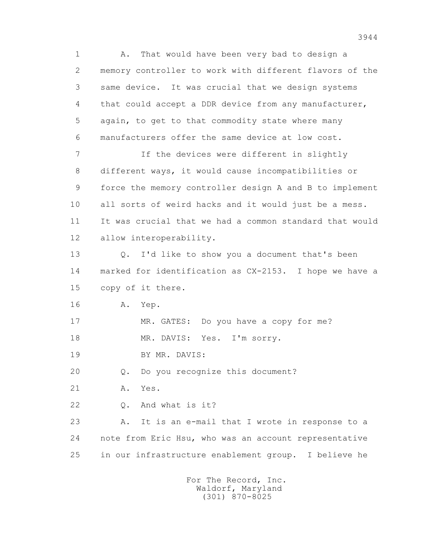1 A. That would have been very bad to design a 2 memory controller to work with different flavors of the 3 same device. It was crucial that we design systems 4 that could accept a DDR device from any manufacturer, 5 again, to get to that commodity state where many 6 manufacturers offer the same device at low cost. 7 If the devices were different in slightly 8 different ways, it would cause incompatibilities or 9 force the memory controller design A and B to implement 10 all sorts of weird hacks and it would just be a mess. 11 It was crucial that we had a common standard that would 12 allow interoperability. 13 Q. I'd like to show you a document that's been 14 marked for identification as CX-2153. I hope we have a 15 copy of it there. 16 A. Yep. 17 MR. GATES: Do you have a copy for me? 18 MR. DAVIS: Yes. I'm sorry. 19 BY MR. DAVIS: 20 Q. Do you recognize this document? 21 A. Yes. 22 Q. And what is it?

 23 A. It is an e-mail that I wrote in response to a 24 note from Eric Hsu, who was an account representative 25 in our infrastructure enablement group. I believe he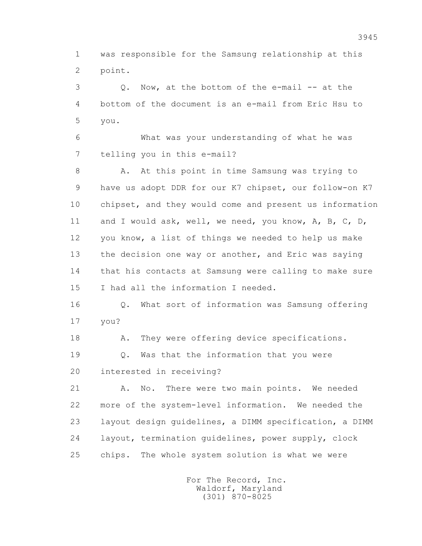1 was responsible for the Samsung relationship at this 2 point.

 3 Q. Now, at the bottom of the e-mail -- at the 4 bottom of the document is an e-mail from Eric Hsu to 5 you.

 6 What was your understanding of what he was 7 telling you in this e-mail?

8 A. At this point in time Samsung was trying to 9 have us adopt DDR for our K7 chipset, our follow-on K7 10 chipset, and they would come and present us information 11 and I would ask, well, we need, you know, A, B, C, D, 12 you know, a list of things we needed to help us make 13 the decision one way or another, and Eric was saying 14 that his contacts at Samsung were calling to make sure 15 I had all the information I needed.

 16 Q. What sort of information was Samsung offering 17 you?

18 A. They were offering device specifications.

 19 Q. Was that the information that you were 20 interested in receiving?

 21 A. No. There were two main points. We needed 22 more of the system-level information. We needed the 23 layout design guidelines, a DIMM specification, a DIMM 24 layout, termination guidelines, power supply, clock 25 chips. The whole system solution is what we were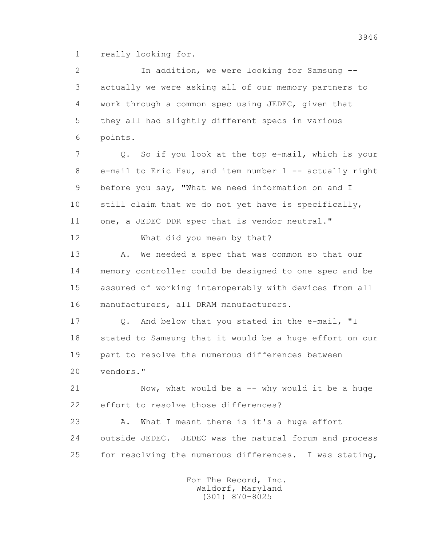1 really looking for.

 2 In addition, we were looking for Samsung -- 3 actually we were asking all of our memory partners to 4 work through a common spec using JEDEC, given that 5 they all had slightly different specs in various 6 points. 7 Q. So if you look at the top e-mail, which is your 8 e-mail to Eric Hsu, and item number 1 -- actually right 9 before you say, "What we need information on and I 10 still claim that we do not yet have is specifically, 11 one, a JEDEC DDR spec that is vendor neutral." 12 What did you mean by that? 13 A. We needed a spec that was common so that our 14 memory controller could be designed to one spec and be 15 assured of working interoperably with devices from all 16 manufacturers, all DRAM manufacturers. 17 Q. And below that you stated in the e-mail, "I 18 stated to Samsung that it would be a huge effort on our 19 part to resolve the numerous differences between 20 vendors." 21 Now, what would be a -- why would it be a huge 22 effort to resolve those differences? 23 A. What I meant there is it's a huge effort 24 outside JEDEC. JEDEC was the natural forum and process 25 for resolving the numerous differences. I was stating,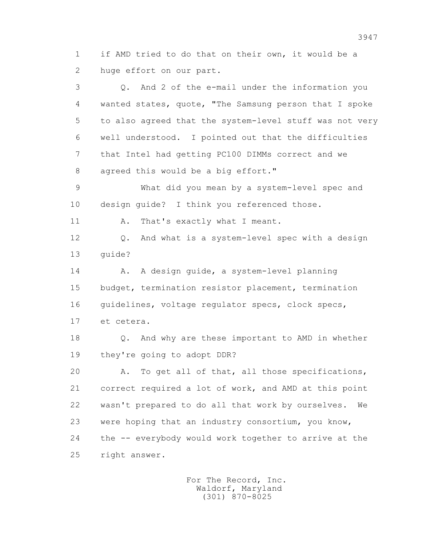1 if AMD tried to do that on their own, it would be a 2 huge effort on our part.

 3 Q. And 2 of the e-mail under the information you 4 wanted states, quote, "The Samsung person that I spoke 5 to also agreed that the system-level stuff was not very 6 well understood. I pointed out that the difficulties 7 that Intel had getting PC100 DIMMs correct and we 8 agreed this would be a big effort."

 9 What did you mean by a system-level spec and 10 design guide? I think you referenced those.

11 A. That's exactly what I meant.

 12 Q. And what is a system-level spec with a design 13 guide?

 14 A. A design guide, a system-level planning 15 budget, termination resistor placement, termination 16 guidelines, voltage regulator specs, clock specs, 17 et cetera.

 18 Q. And why are these important to AMD in whether 19 they're going to adopt DDR?

 20 A. To get all of that, all those specifications, 21 correct required a lot of work, and AMD at this point 22 wasn't prepared to do all that work by ourselves. We 23 were hoping that an industry consortium, you know, 24 the -- everybody would work together to arrive at the 25 right answer.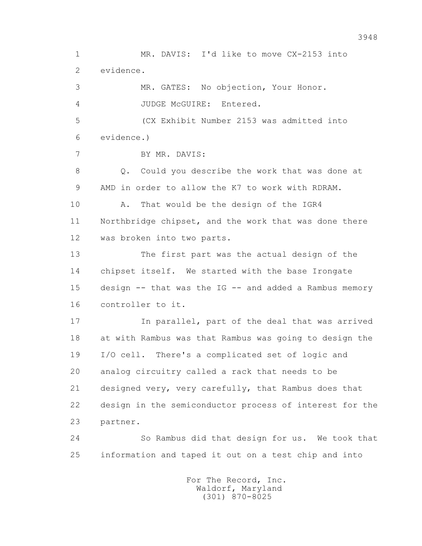1 MR. DAVIS: I'd like to move CX-2153 into 2 evidence. 3 MR. GATES: No objection, Your Honor. 4 JUDGE McGUIRE: Entered. 5 (CX Exhibit Number 2153 was admitted into 6 evidence.) 7 BY MR. DAVIS: 8 Q. Could you describe the work that was done at 9 AMD in order to allow the K7 to work with RDRAM. 10 A. That would be the design of the IGR4 11 Northbridge chipset, and the work that was done there 12 was broken into two parts. 13 The first part was the actual design of the 14 chipset itself. We started with the base Irongate 15 design -- that was the IG -- and added a Rambus memory 16 controller to it. 17 In parallel, part of the deal that was arrived 18 at with Rambus was that Rambus was going to design the 19 I/O cell. There's a complicated set of logic and 20 analog circuitry called a rack that needs to be 21 designed very, very carefully, that Rambus does that 22 design in the semiconductor process of interest for the 23 partner. 24 So Rambus did that design for us. We took that 25 information and taped it out on a test chip and into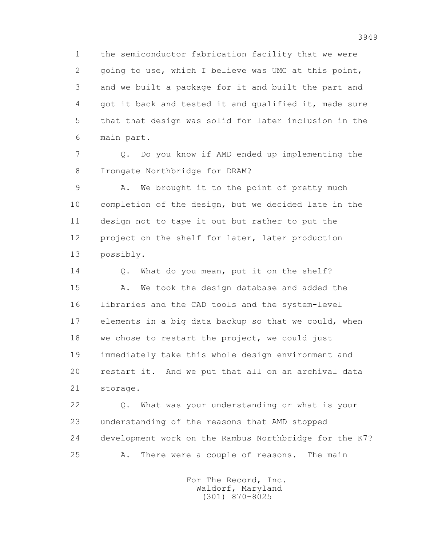1 the semiconductor fabrication facility that we were 2 going to use, which I believe was UMC at this point, 3 and we built a package for it and built the part and 4 got it back and tested it and qualified it, made sure 5 that that design was solid for later inclusion in the 6 main part.

 7 Q. Do you know if AMD ended up implementing the 8 Irongate Northbridge for DRAM?

 9 A. We brought it to the point of pretty much 10 completion of the design, but we decided late in the 11 design not to tape it out but rather to put the 12 project on the shelf for later, later production 13 possibly.

14 0. What do you mean, put it on the shelf? 15 A. We took the design database and added the 16 libraries and the CAD tools and the system-level 17 elements in a big data backup so that we could, when 18 we chose to restart the project, we could just 19 immediately take this whole design environment and 20 restart it. And we put that all on an archival data 21 storage.

 22 Q. What was your understanding or what is your 23 understanding of the reasons that AMD stopped 24 development work on the Rambus Northbridge for the K7? 25 A. There were a couple of reasons. The main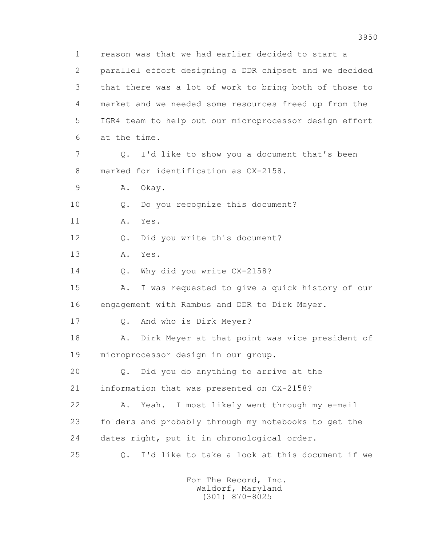1 reason was that we had earlier decided to start a 2 parallel effort designing a DDR chipset and we decided 3 that there was a lot of work to bring both of those to 4 market and we needed some resources freed up from the 5 IGR4 team to help out our microprocessor design effort 6 at the time. 7 Q. I'd like to show you a document that's been 8 marked for identification as CX-2158. 9 A. Okay. 10 Q. Do you recognize this document? 11 A. Yes. 12 Q. Did you write this document? 13 A. Yes. 14 0. Why did you write CX-2158? 15 A. I was requested to give a quick history of our 16 engagement with Rambus and DDR to Dirk Meyer. 17 Q. And who is Dirk Meyer? 18 A. Dirk Meyer at that point was vice president of 19 microprocessor design in our group. 20 Q. Did you do anything to arrive at the 21 information that was presented on CX-2158? 22 A. Yeah. I most likely went through my e-mail 23 folders and probably through my notebooks to get the 24 dates right, put it in chronological order. 25 Q. I'd like to take a look at this document if we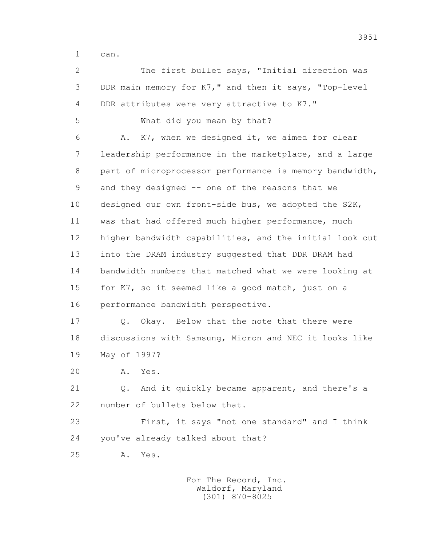1 can.

 2 The first bullet says, "Initial direction was 3 DDR main memory for K7," and then it says, "Top-level 4 DDR attributes were very attractive to K7." 5 What did you mean by that? 6 A. K7, when we designed it, we aimed for clear 7 leadership performance in the marketplace, and a large 8 part of microprocessor performance is memory bandwidth, 9 and they designed -- one of the reasons that we 10 designed our own front-side bus, we adopted the S2K, 11 was that had offered much higher performance, much 12 higher bandwidth capabilities, and the initial look out 13 into the DRAM industry suggested that DDR DRAM had 14 bandwidth numbers that matched what we were looking at 15 for K7, so it seemed like a good match, just on a 16 performance bandwidth perspective. 17 Q. Okay. Below that the note that there were 18 discussions with Samsung, Micron and NEC it looks like 19 May of 1997? 20 A. Yes.

 21 Q. And it quickly became apparent, and there's a 22 number of bullets below that.

 23 First, it says "not one standard" and I think 24 you've already talked about that?

25 A. Yes.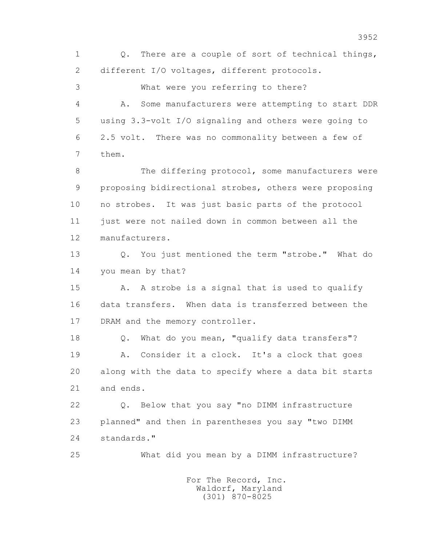1 Q. There are a couple of sort of technical things, 2 different I/O voltages, different protocols. 3 What were you referring to there?

 4 A. Some manufacturers were attempting to start DDR 5 using 3.3-volt I/O signaling and others were going to 6 2.5 volt. There was no commonality between a few of 7 them.

8 The differing protocol, some manufacturers were 9 proposing bidirectional strobes, others were proposing 10 no strobes. It was just basic parts of the protocol 11 just were not nailed down in common between all the 12 manufacturers.

 13 Q. You just mentioned the term "strobe." What do 14 you mean by that?

15 A. A strobe is a signal that is used to qualify 16 data transfers. When data is transferred between the 17 DRAM and the memory controller.

 18 Q. What do you mean, "qualify data transfers"? 19 A. Consider it a clock. It's a clock that goes 20 along with the data to specify where a data bit starts 21 and ends.

 22 Q. Below that you say "no DIMM infrastructure 23 planned" and then in parentheses you say "two DIMM 24 standards."

25 What did you mean by a DIMM infrastructure?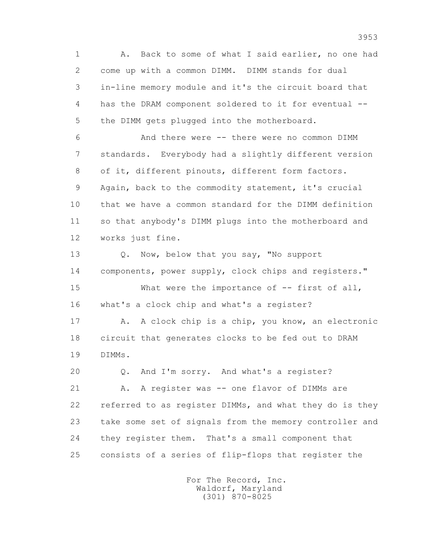1 A. Back to some of what I said earlier, no one had 2 come up with a common DIMM. DIMM stands for dual 3 in-line memory module and it's the circuit board that 4 has the DRAM component soldered to it for eventual -- 5 the DIMM gets plugged into the motherboard.

 6 And there were -- there were no common DIMM 7 standards. Everybody had a slightly different version 8 of it, different pinouts, different form factors. 9 Again, back to the commodity statement, it's crucial 10 that we have a common standard for the DIMM definition 11 so that anybody's DIMM plugs into the motherboard and 12 works just fine.

 13 Q. Now, below that you say, "No support 14 components, power supply, clock chips and registers." 15 What were the importance of -- first of all,

16 what's a clock chip and what's a register?

 17 A. A clock chip is a chip, you know, an electronic 18 circuit that generates clocks to be fed out to DRAM 19 DIMMs.

20 Q. And I'm sorry. And what's a register?

21 A. A register was -- one flavor of DIMMs are 22 referred to as register DIMMs, and what they do is they 23 take some set of signals from the memory controller and 24 they register them. That's a small component that 25 consists of a series of flip-flops that register the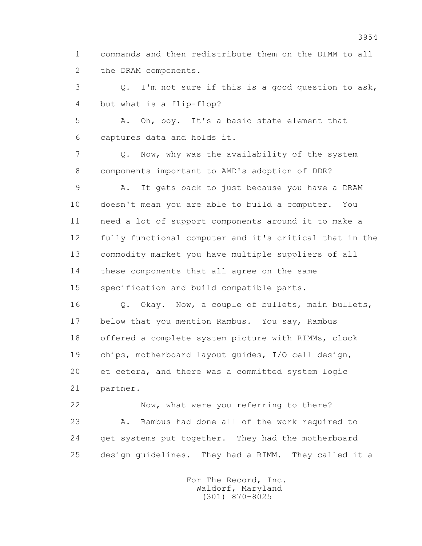1 commands and then redistribute them on the DIMM to all 2 the DRAM components.

 3 Q. I'm not sure if this is a good question to ask, 4 but what is a flip-flop?

 5 A. Oh, boy. It's a basic state element that 6 captures data and holds it.

 7 Q. Now, why was the availability of the system 8 components important to AMD's adoption of DDR?

 9 A. It gets back to just because you have a DRAM 10 doesn't mean you are able to build a computer. You 11 need a lot of support components around it to make a 12 fully functional computer and it's critical that in the 13 commodity market you have multiple suppliers of all 14 these components that all agree on the same 15 specification and build compatible parts.

 16 Q. Okay. Now, a couple of bullets, main bullets, 17 below that you mention Rambus. You say, Rambus 18 offered a complete system picture with RIMMs, clock 19 chips, motherboard layout guides, I/O cell design, 20 et cetera, and there was a committed system logic 21 partner.

 22 Now, what were you referring to there? 23 A. Rambus had done all of the work required to 24 get systems put together. They had the motherboard 25 design guidelines. They had a RIMM. They called it a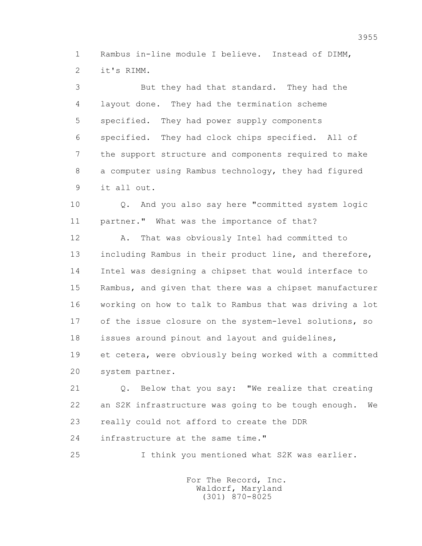1 Rambus in-line module I believe. Instead of DIMM, 2 it's RIMM.

 3 But they had that standard. They had the 4 layout done. They had the termination scheme 5 specified. They had power supply components 6 specified. They had clock chips specified. All of 7 the support structure and components required to make 8 a computer using Rambus technology, they had figured 9 it all out.

 10 Q. And you also say here "committed system logic 11 partner." What was the importance of that?

 12 A. That was obviously Intel had committed to 13 including Rambus in their product line, and therefore, 14 Intel was designing a chipset that would interface to 15 Rambus, and given that there was a chipset manufacturer 16 working on how to talk to Rambus that was driving a lot 17 of the issue closure on the system-level solutions, so 18 issues around pinout and layout and guidelines, 19 et cetera, were obviously being worked with a committed 20 system partner.

 21 Q. Below that you say: "We realize that creating 22 an S2K infrastructure was going to be tough enough. We 23 really could not afford to create the DDR 24 infrastructure at the same time."

25 I think you mentioned what S2K was earlier.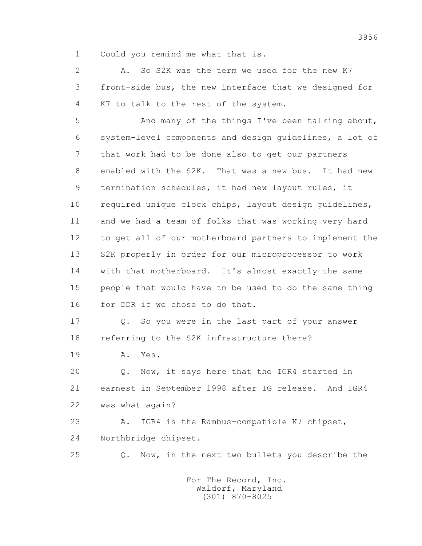1 Could you remind me what that is.

 2 A. So S2K was the term we used for the new K7 3 front-side bus, the new interface that we designed for 4 K7 to talk to the rest of the system.

 5 And many of the things I've been talking about, 6 system-level components and design guidelines, a lot of 7 that work had to be done also to get our partners 8 enabled with the S2K. That was a new bus. It had new 9 termination schedules, it had new layout rules, it 10 required unique clock chips, layout design guidelines, 11 and we had a team of folks that was working very hard 12 to get all of our motherboard partners to implement the 13 S2K properly in order for our microprocessor to work 14 with that motherboard. It's almost exactly the same 15 people that would have to be used to do the same thing 16 for DDR if we chose to do that.

17 Q. So you were in the last part of your answer 18 referring to the S2K infrastructure there?

19 A. Yes.

 20 Q. Now, it says here that the IGR4 started in 21 earnest in September 1998 after IG release. And IGR4 22 was what again?

 23 A. IGR4 is the Rambus-compatible K7 chipset, 24 Northbridge chipset.

25 Q. Now, in the next two bullets you describe the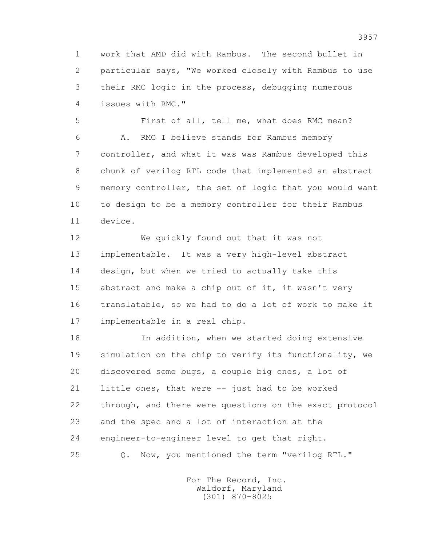1 work that AMD did with Rambus. The second bullet in 2 particular says, "We worked closely with Rambus to use 3 their RMC logic in the process, debugging numerous 4 issues with RMC."

 5 First of all, tell me, what does RMC mean? 6 A. RMC I believe stands for Rambus memory 7 controller, and what it was was Rambus developed this 8 chunk of verilog RTL code that implemented an abstract 9 memory controller, the set of logic that you would want 10 to design to be a memory controller for their Rambus 11 device.

 12 We quickly found out that it was not 13 implementable. It was a very high-level abstract 14 design, but when we tried to actually take this 15 abstract and make a chip out of it, it wasn't very 16 translatable, so we had to do a lot of work to make it 17 implementable in a real chip.

 18 In addition, when we started doing extensive 19 simulation on the chip to verify its functionality, we 20 discovered some bugs, a couple big ones, a lot of 21 little ones, that were -- just had to be worked 22 through, and there were questions on the exact protocol 23 and the spec and a lot of interaction at the 24 engineer-to-engineer level to get that right. 25 Q. Now, you mentioned the term "verilog RTL."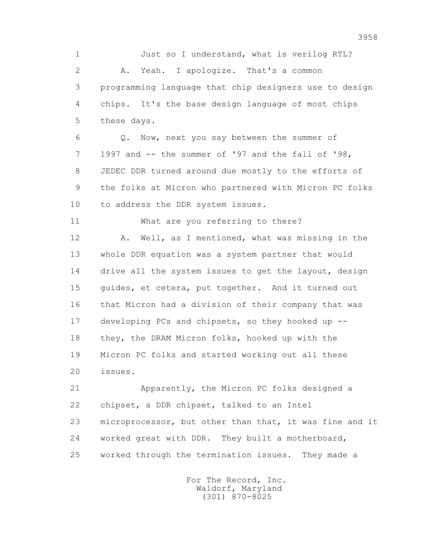1 Just so I understand, what is verilog RTL? 2 A. Yeah. I apologize. That's a common 3 programming language that chip designers use to design 4 chips. It's the base design language of most chips 5 these days.

 6 Q. Now, next you say between the summer of 7 1997 and -- the summer of '97 and the fall of '98, 8 JEDEC DDR turned around due mostly to the efforts of 9 the folks at Micron who partnered with Micron PC folks 10 to address the DDR system issues.

11 What are you referring to there?

 12 A. Well, as I mentioned, what was missing in the 13 whole DDR equation was a system partner that would 14 drive all the system issues to get the layout, design 15 guides, et cetera, put together. And it turned out 16 that Micron had a division of their company that was 17 developing PCs and chipsets, so they hooked up -- 18 they, the DRAM Micron folks, hooked up with the 19 Micron PC folks and started working out all these 20 issues.

 21 Apparently, the Micron PC folks designed a 22 chipset, a DDR chipset, talked to an Intel 23 microprocessor, but other than that, it was fine and it 24 worked great with DDR. They built a motherboard, 25 worked through the termination issues. They made a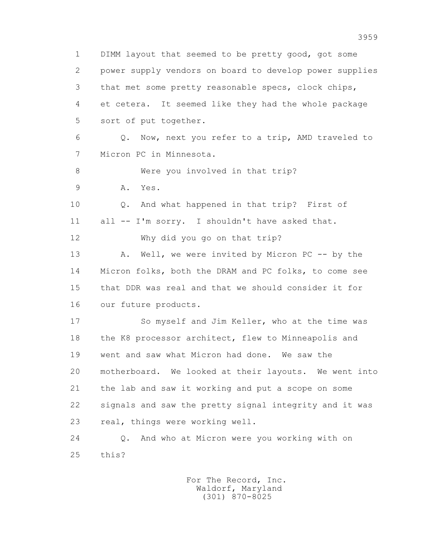1 DIMM layout that seemed to be pretty good, got some 2 power supply vendors on board to develop power supplies 3 that met some pretty reasonable specs, clock chips, 4 et cetera. It seemed like they had the whole package 5 sort of put together. 6 Q. Now, next you refer to a trip, AMD traveled to 7 Micron PC in Minnesota. 8 Were you involved in that trip? 9 A. Yes. 10 Q. And what happened in that trip? First of 11 all -- I'm sorry. I shouldn't have asked that. 12 Why did you go on that trip? 13 A. Well, we were invited by Micron PC -- by the 14 Micron folks, both the DRAM and PC folks, to come see 15 that DDR was real and that we should consider it for 16 our future products. 17 So myself and Jim Keller, who at the time was 18 the K8 processor architect, flew to Minneapolis and 19 went and saw what Micron had done. We saw the 20 motherboard. We looked at their layouts. We went into 21 the lab and saw it working and put a scope on some 22 signals and saw the pretty signal integrity and it was 23 real, things were working well. 24 Q. And who at Micron were you working with on 25 this?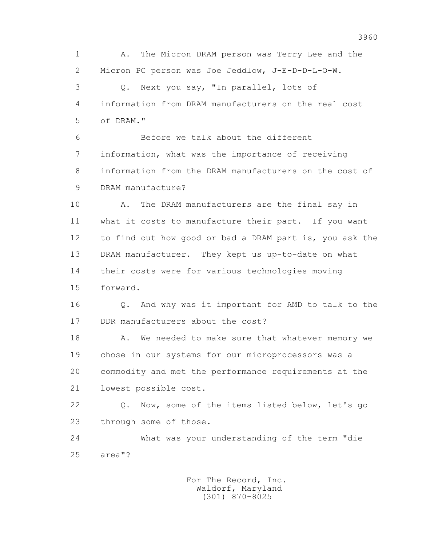1 A. The Micron DRAM person was Terry Lee and the 2 Micron PC person was Joe Jeddlow, J-E-D-D-L-O-W. 3 Q. Next you say, "In parallel, lots of 4 information from DRAM manufacturers on the real cost 5 of DRAM."

 6 Before we talk about the different 7 information, what was the importance of receiving 8 information from the DRAM manufacturers on the cost of 9 DRAM manufacture?

 10 A. The DRAM manufacturers are the final say in 11 what it costs to manufacture their part. If you want 12 to find out how good or bad a DRAM part is, you ask the 13 DRAM manufacturer. They kept us up-to-date on what 14 their costs were for various technologies moving 15 forward.

 16 Q. And why was it important for AMD to talk to the 17 DDR manufacturers about the cost?

18 A. We needed to make sure that whatever memory we 19 chose in our systems for our microprocessors was a 20 commodity and met the performance requirements at the 21 lowest possible cost.

 22 Q. Now, some of the items listed below, let's go 23 through some of those.

 24 What was your understanding of the term "die 25 area"?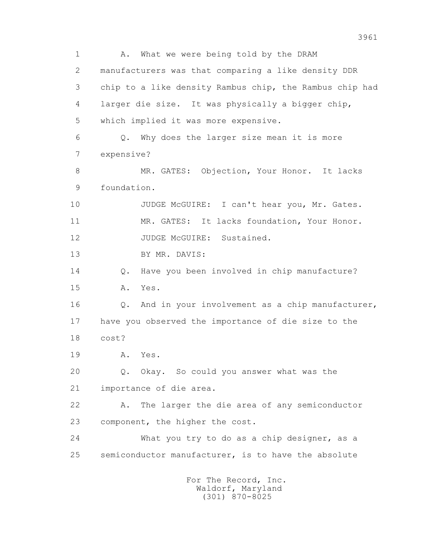1 A. What we were being told by the DRAM 2 manufacturers was that comparing a like density DDR 3 chip to a like density Rambus chip, the Rambus chip had 4 larger die size. It was physically a bigger chip, 5 which implied it was more expensive. 6 Q. Why does the larger size mean it is more 7 expensive? 8 MR. GATES: Objection, Your Honor. It lacks 9 foundation. 10 JUDGE McGUIRE: I can't hear you, Mr. Gates. 11 MR. GATES: It lacks foundation, Your Honor. 12 JUDGE McGUIRE: Sustained. 13 BY MR. DAVIS: 14 0. Have you been involved in chip manufacture? 15 A. Yes. 16 Q. And in your involvement as a chip manufacturer, 17 have you observed the importance of die size to the 18 cost? 19 A. Yes. 20 Q. Okay. So could you answer what was the 21 importance of die area. 22 A. The larger the die area of any semiconductor 23 component, the higher the cost. 24 What you try to do as a chip designer, as a 25 semiconductor manufacturer, is to have the absolute For The Record, Inc.

 Waldorf, Maryland (301) 870-8025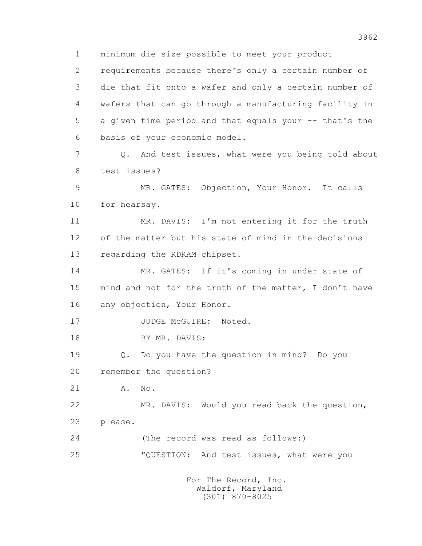1 minimum die size possible to meet your product

 2 requirements because there's only a certain number of 3 die that fit onto a wafer and only a certain number of 4 wafers that can go through a manufacturing facility in 5 a given time period and that equals your -- that's the 6 basis of your economic model.

 7 Q. And test issues, what were you being told about 8 test issues?

 9 MR. GATES: Objection, Your Honor. It calls 10 for hearsay.

 11 MR. DAVIS: I'm not entering it for the truth 12 of the matter but his state of mind in the decisions 13 regarding the RDRAM chipset.

 14 MR. GATES: If it's coming in under state of 15 mind and not for the truth of the matter, I don't have 16 any objection, Your Honor.

17 JUDGE McGUIRE: Noted.

18 BY MR. DAVIS:

 19 Q. Do you have the question in mind? Do you 20 remember the question?

21 A. No.

 22 MR. DAVIS: Would you read back the question, 23 please.

 24 (The record was read as follows:) 25 "QUESTION: And test issues, what were you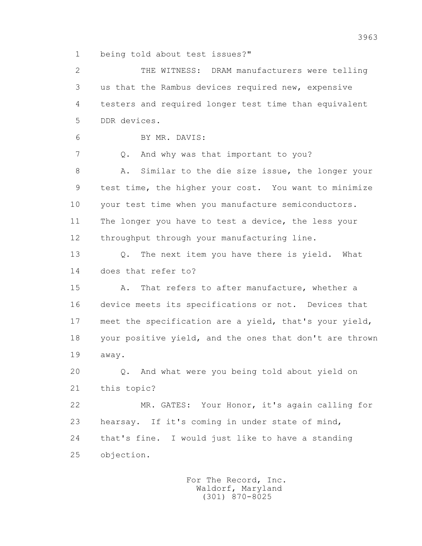1 being told about test issues?"

 2 THE WITNESS: DRAM manufacturers were telling 3 us that the Rambus devices required new, expensive 4 testers and required longer test time than equivalent 5 DDR devices. 6 BY MR. DAVIS: 7 Q. And why was that important to you? 8 A. Similar to the die size issue, the longer your

 9 test time, the higher your cost. You want to minimize 10 your test time when you manufacture semiconductors. 11 The longer you have to test a device, the less your 12 throughput through your manufacturing line.

 13 Q. The next item you have there is yield. What 14 does that refer to?

 15 A. That refers to after manufacture, whether a 16 device meets its specifications or not. Devices that 17 meet the specification are a yield, that's your yield, 18 your positive yield, and the ones that don't are thrown 19 away.

 20 Q. And what were you being told about yield on 21 this topic?

 22 MR. GATES: Your Honor, it's again calling for 23 hearsay. If it's coming in under state of mind, 24 that's fine. I would just like to have a standing 25 objection.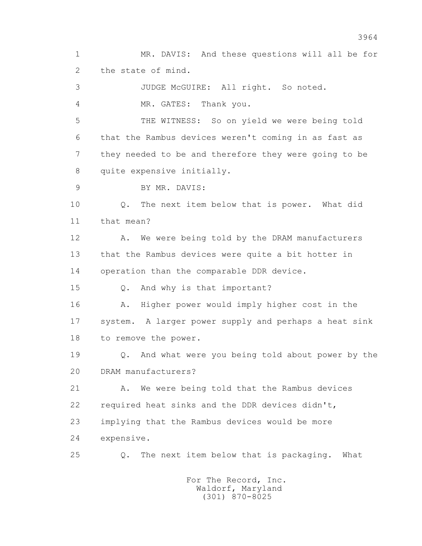1 MR. DAVIS: And these questions will all be for 2 the state of mind.

 3 JUDGE McGUIRE: All right. So noted. 4 MR. GATES: Thank you.

 5 THE WITNESS: So on yield we were being told 6 that the Rambus devices weren't coming in as fast as 7 they needed to be and therefore they were going to be 8 quite expensive initially.

9 BY MR. DAVIS:

 10 Q. The next item below that is power. What did 11 that mean?

12 A. We were being told by the DRAM manufacturers 13 that the Rambus devices were quite a bit hotter in 14 operation than the comparable DDR device.

15 Q. And why is that important?

 16 A. Higher power would imply higher cost in the 17 system. A larger power supply and perhaps a heat sink 18 to remove the power.

 19 Q. And what were you being told about power by the 20 DRAM manufacturers?

 21 A. We were being told that the Rambus devices 22 required heat sinks and the DDR devices didn't, 23 implying that the Rambus devices would be more 24 expensive.

25 Q. The next item below that is packaging. What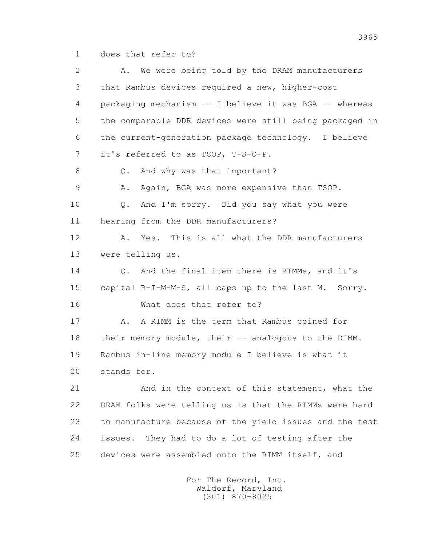1 does that refer to?

 2 A. We were being told by the DRAM manufacturers 3 that Rambus devices required a new, higher-cost 4 packaging mechanism -- I believe it was BGA -- whereas 5 the comparable DDR devices were still being packaged in 6 the current-generation package technology. I believe 7 it's referred to as TSOP, T-S-O-P. 8 Q. And why was that important? 9 A. Again, BGA was more expensive than TSOP. 10 Q. And I'm sorry. Did you say what you were 11 hearing from the DDR manufacturers? 12 A. Yes. This is all what the DDR manufacturers 13 were telling us. 14 0. And the final item there is RIMMs, and it's 15 capital R-I-M-M-S, all caps up to the last M. Sorry. 16 What does that refer to? 17 A. A RIMM is the term that Rambus coined for 18 their memory module, their -- analogous to the DIMM. 19 Rambus in-line memory module I believe is what it 20 stands for. 21 And in the context of this statement, what the 22 DRAM folks were telling us is that the RIMMs were hard 23 to manufacture because of the yield issues and the test 24 issues. They had to do a lot of testing after the 25 devices were assembled onto the RIMM itself, and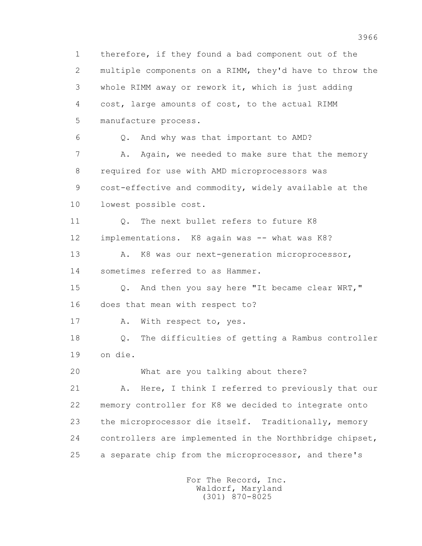1 therefore, if they found a bad component out of the 2 multiple components on a RIMM, they'd have to throw the 3 whole RIMM away or rework it, which is just adding 4 cost, large amounts of cost, to the actual RIMM 5 manufacture process. 6 Q. And why was that important to AMD? 7 A. Again, we needed to make sure that the memory 8 required for use with AMD microprocessors was 9 cost-effective and commodity, widely available at the 10 lowest possible cost. 11 Q. The next bullet refers to future K8 12 implementations. K8 again was -- what was K8? 13 A. K8 was our next-generation microprocessor, 14 sometimes referred to as Hammer. 15 Q. And then you say here "It became clear WRT," 16 does that mean with respect to? 17 A. With respect to, yes. 18 Q. The difficulties of getting a Rambus controller 19 on die. 20 What are you talking about there? 21 A. Here, I think I referred to previously that our 22 memory controller for K8 we decided to integrate onto 23 the microprocessor die itself. Traditionally, memory 24 controllers are implemented in the Northbridge chipset, 25 a separate chip from the microprocessor, and there's For The Record, Inc.

 Waldorf, Maryland (301) 870-8025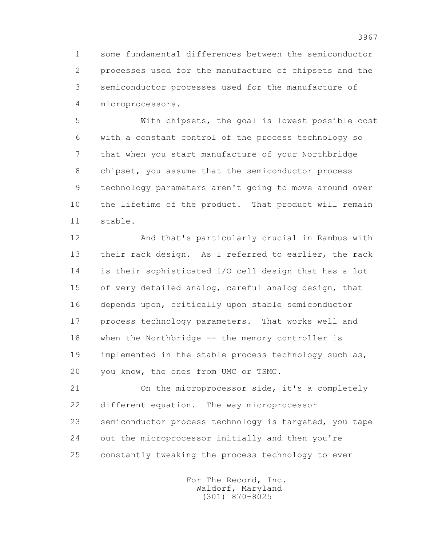1 some fundamental differences between the semiconductor 2 processes used for the manufacture of chipsets and the 3 semiconductor processes used for the manufacture of 4 microprocessors.

 5 With chipsets, the goal is lowest possible cost 6 with a constant control of the process technology so 7 that when you start manufacture of your Northbridge 8 chipset, you assume that the semiconductor process 9 technology parameters aren't going to move around over 10 the lifetime of the product. That product will remain 11 stable.

 12 And that's particularly crucial in Rambus with 13 their rack design. As I referred to earlier, the rack 14 is their sophisticated I/O cell design that has a lot 15 of very detailed analog, careful analog design, that 16 depends upon, critically upon stable semiconductor 17 process technology parameters. That works well and 18 when the Northbridge -- the memory controller is 19 implemented in the stable process technology such as, 20 you know, the ones from UMC or TSMC.

 21 On the microprocessor side, it's a completely 22 different equation. The way microprocessor 23 semiconductor process technology is targeted, you tape 24 out the microprocessor initially and then you're 25 constantly tweaking the process technology to ever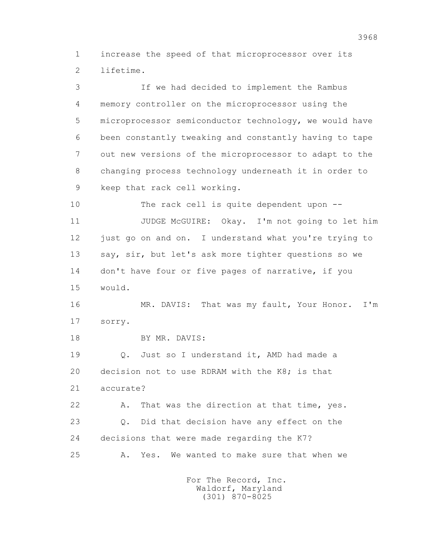1 increase the speed of that microprocessor over its 2 lifetime.

 3 If we had decided to implement the Rambus 4 memory controller on the microprocessor using the 5 microprocessor semiconductor technology, we would have 6 been constantly tweaking and constantly having to tape 7 out new versions of the microprocessor to adapt to the 8 changing process technology underneath it in order to 9 keep that rack cell working. 10 The rack cell is quite dependent upon -- 11 JUDGE McGUIRE: Okay. I'm not going to let him 12 just go on and on. I understand what you're trying to 13 say, sir, but let's ask more tighter questions so we 14 don't have four or five pages of narrative, if you 15 would. 16 MR. DAVIS: That was my fault, Your Honor. I'm

17 sorry.

18 BY MR. DAVIS:

 19 Q. Just so I understand it, AMD had made a 20 decision not to use RDRAM with the K8; is that 21 accurate?

 22 A. That was the direction at that time, yes. 23 Q. Did that decision have any effect on the 24 decisions that were made regarding the K7? 25 A. Yes. We wanted to make sure that when we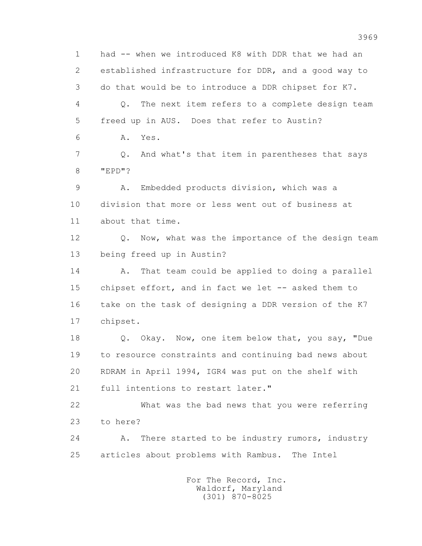1 had -- when we introduced K8 with DDR that we had an 2 established infrastructure for DDR, and a good way to 3 do that would be to introduce a DDR chipset for K7. 4 Q. The next item refers to a complete design team 5 freed up in AUS. Does that refer to Austin? 6 A. Yes. 7 Q. And what's that item in parentheses that says 8 "EPD"? 9 A. Embedded products division, which was a 10 division that more or less went out of business at 11 about that time. 12 Q. Now, what was the importance of the design team 13 being freed up in Austin? 14 A. That team could be applied to doing a parallel 15 chipset effort, and in fact we let -- asked them to 16 take on the task of designing a DDR version of the K7 17 chipset. 18 Q. Okay. Now, one item below that, you say, "Due 19 to resource constraints and continuing bad news about 20 RDRAM in April 1994, IGR4 was put on the shelf with 21 full intentions to restart later." 22 What was the bad news that you were referring 23 to here? 24 A. There started to be industry rumors, industry 25 articles about problems with Rambus. The Intel For The Record, Inc.

 Waldorf, Maryland (301) 870-8025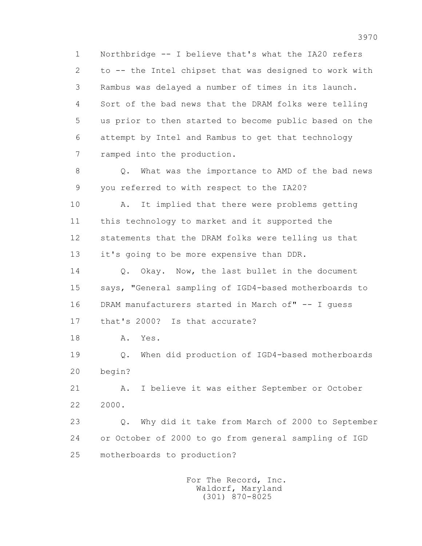1 Northbridge -- I believe that's what the IA20 refers 2 to -- the Intel chipset that was designed to work with 3 Rambus was delayed a number of times in its launch. 4 Sort of the bad news that the DRAM folks were telling 5 us prior to then started to become public based on the 6 attempt by Intel and Rambus to get that technology 7 ramped into the production.

 8 Q. What was the importance to AMD of the bad news 9 you referred to with respect to the IA20?

 10 A. It implied that there were problems getting 11 this technology to market and it supported the 12 statements that the DRAM folks were telling us that 13 it's going to be more expensive than DDR.

14 0. Okay. Now, the last bullet in the document 15 says, "General sampling of IGD4-based motherboards to 16 DRAM manufacturers started in March of" -- I guess 17 that's 2000? Is that accurate?

18 A. Yes.

 19 Q. When did production of IGD4-based motherboards 20 begin?

21 A. I believe it was either September or October 22 2000.

 23 Q. Why did it take from March of 2000 to September 24 or October of 2000 to go from general sampling of IGD 25 motherboards to production?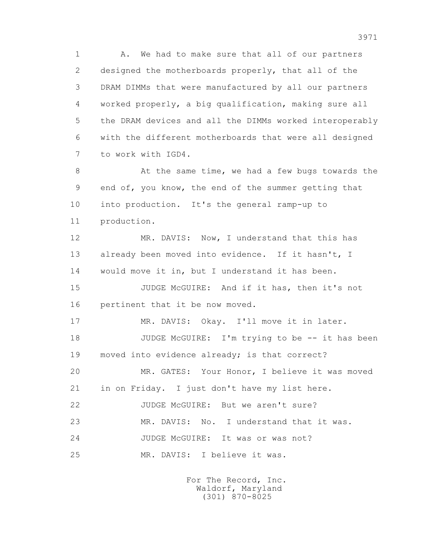1 A. We had to make sure that all of our partners 2 designed the motherboards properly, that all of the 3 DRAM DIMMs that were manufactured by all our partners 4 worked properly, a big qualification, making sure all 5 the DRAM devices and all the DIMMs worked interoperably 6 with the different motherboards that were all designed 7 to work with IGD4.

8 At the same time, we had a few bugs towards the 9 end of, you know, the end of the summer getting that 10 into production. It's the general ramp-up to 11 production.

12 MR. DAVIS: Now, I understand that this has 13 already been moved into evidence. If it hasn't, I 14 would move it in, but I understand it has been.

 15 JUDGE McGUIRE: And if it has, then it's not 16 pertinent that it be now moved.

 17 MR. DAVIS: Okay. I'll move it in later. 18 JUDGE McGUIRE: I'm trying to be -- it has been 19 moved into evidence already; is that correct? 20 MR. GATES: Your Honor, I believe it was moved 21 in on Friday. I just don't have my list here. 22 JUDGE McGUIRE: But we aren't sure? 23 MR. DAVIS: No. I understand that it was. 24 JUDGE McGUIRE: It was or was not? 25 MR. DAVIS: I believe it was.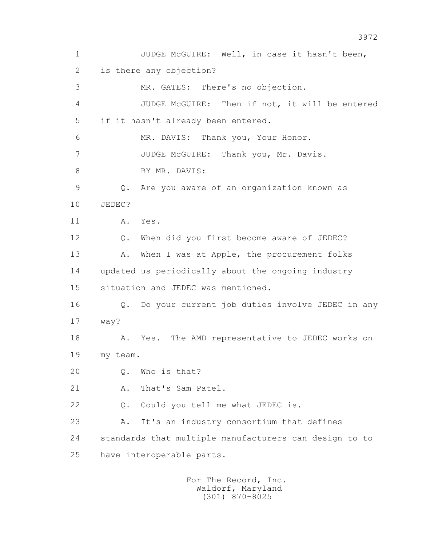1 JUDGE McGUIRE: Well, in case it hasn't been, 2 is there any objection? 3 MR. GATES: There's no objection. 4 JUDGE McGUIRE: Then if not, it will be entered 5 if it hasn't already been entered. 6 MR. DAVIS: Thank you, Your Honor. 7 JUDGE McGUIRE: Thank you, Mr. Davis. 8 BY MR. DAVIS: 9 Q. Are you aware of an organization known as 10 JEDEC? 11 A. Yes. 12 Q. When did you first become aware of JEDEC? 13 A. When I was at Apple, the procurement folks 14 updated us periodically about the ongoing industry 15 situation and JEDEC was mentioned. 16 Q. Do your current job duties involve JEDEC in any 17 way? 18 A. Yes. The AMD representative to JEDEC works on 19 my team. 20 Q. Who is that? 21 A. That's Sam Patel. 22 Q. Could you tell me what JEDEC is. 23 A. It's an industry consortium that defines 24 standards that multiple manufacturers can design to to 25 have interoperable parts.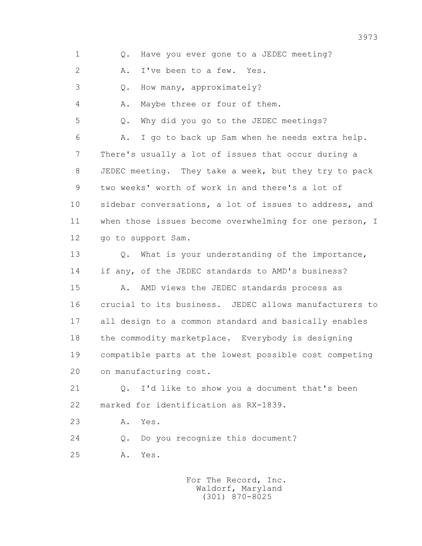1 0. Have you ever gone to a JEDEC meeting? 2 A. I've been to a few. Yes. 3 Q. How many, approximately? 4 A. Maybe three or four of them. 5 Q. Why did you go to the JEDEC meetings? 6 A. I go to back up Sam when he needs extra help. 7 There's usually a lot of issues that occur during a 8 JEDEC meeting. They take a week, but they try to pack 9 two weeks' worth of work in and there's a lot of 10 sidebar conversations, a lot of issues to address, and 11 when those issues become overwhelming for one person, I 12 go to support Sam. 13 Q. What is your understanding of the importance, 14 if any, of the JEDEC standards to AMD's business? 15 A. AMD views the JEDEC standards process as 16 crucial to its business. JEDEC allows manufacturers to 17 all design to a common standard and basically enables 18 the commodity marketplace. Everybody is designing 19 compatible parts at the lowest possible cost competing 20 on manufacturing cost. 21 Q. I'd like to show you a document that's been 22 marked for identification as RX-1839. 23 A. Yes. 24 Q. Do you recognize this document? 25 A. Yes.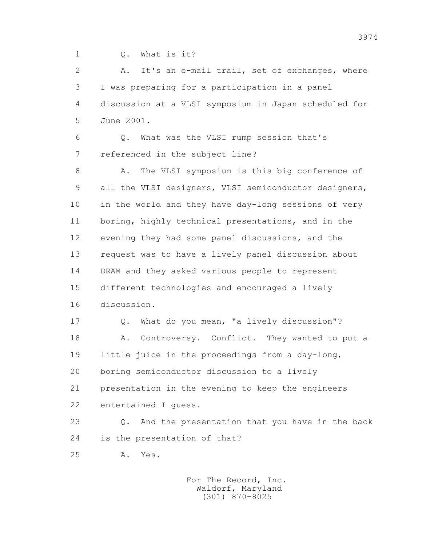1 Q. What is it?

 2 A. It's an e-mail trail, set of exchanges, where 3 I was preparing for a participation in a panel 4 discussion at a VLSI symposium in Japan scheduled for 5 June 2001.

 6 Q. What was the VLSI rump session that's 7 referenced in the subject line?

8 A. The VLSI symposium is this big conference of 9 all the VLSI designers, VLSI semiconductor designers, 10 in the world and they have day-long sessions of very 11 boring, highly technical presentations, and in the 12 evening they had some panel discussions, and the 13 request was to have a lively panel discussion about 14 DRAM and they asked various people to represent 15 different technologies and encouraged a lively 16 discussion.

 17 Q. What do you mean, "a lively discussion"? 18 A. Controversy. Conflict. They wanted to put a 19 little juice in the proceedings from a day-long, 20 boring semiconductor discussion to a lively 21 presentation in the evening to keep the engineers 22 entertained I guess.

 23 Q. And the presentation that you have in the back 24 is the presentation of that?

25 A. Yes.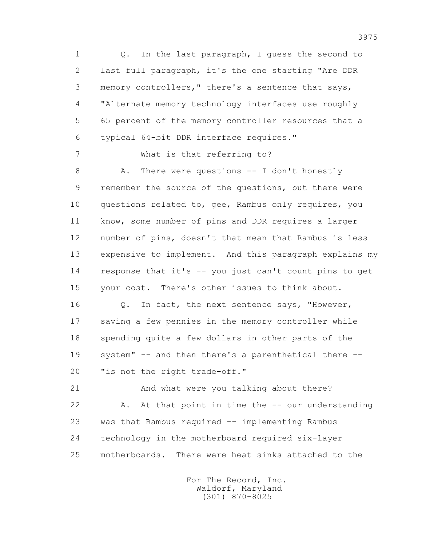1 Q. In the last paragraph, I guess the second to 2 last full paragraph, it's the one starting "Are DDR 3 memory controllers," there's a sentence that says, 4 "Alternate memory technology interfaces use roughly 5 65 percent of the memory controller resources that a 6 typical 64-bit DDR interface requires."

7 What is that referring to?

8 A. There were questions -- I don't honestly 9 remember the source of the questions, but there were 10 questions related to, gee, Rambus only requires, you 11 know, some number of pins and DDR requires a larger 12 number of pins, doesn't that mean that Rambus is less 13 expensive to implement. And this paragraph explains my 14 response that it's -- you just can't count pins to get 15 your cost. There's other issues to think about.

 16 Q. In fact, the next sentence says, "However, 17 saving a few pennies in the memory controller while 18 spending quite a few dollars in other parts of the 19 system" -- and then there's a parenthetical there -- 20 "is not the right trade-off."

 21 And what were you talking about there? 22 A. At that point in time the -- our understanding 23 was that Rambus required -- implementing Rambus 24 technology in the motherboard required six-layer 25 motherboards. There were heat sinks attached to the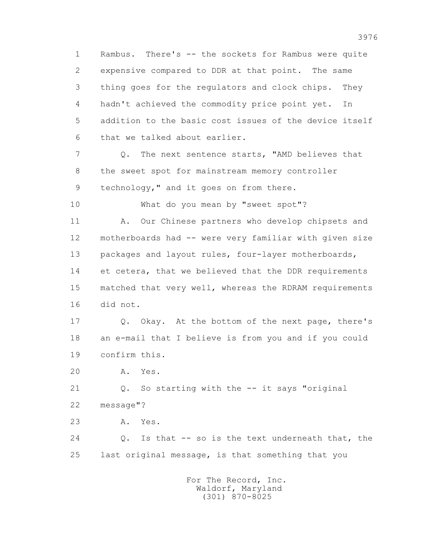1 Rambus. There's -- the sockets for Rambus were quite 2 expensive compared to DDR at that point. The same 3 thing goes for the regulators and clock chips. They 4 hadn't achieved the commodity price point yet. In 5 addition to the basic cost issues of the device itself 6 that we talked about earlier.

7 2. The next sentence starts, "AMD believes that 8 the sweet spot for mainstream memory controller 9 technology," and it goes on from there.

10 What do you mean by "sweet spot"?

11 A. Our Chinese partners who develop chipsets and 12 motherboards had -- were very familiar with given size 13 packages and layout rules, four-layer motherboards, 14 et cetera, that we believed that the DDR requirements 15 matched that very well, whereas the RDRAM requirements 16 did not.

 17 Q. Okay. At the bottom of the next page, there's 18 an e-mail that I believe is from you and if you could 19 confirm this.

20 A. Yes.

 21 Q. So starting with the -- it says "original 22 message"?

23 A. Yes.

 24 Q. Is that -- so is the text underneath that, the 25 last original message, is that something that you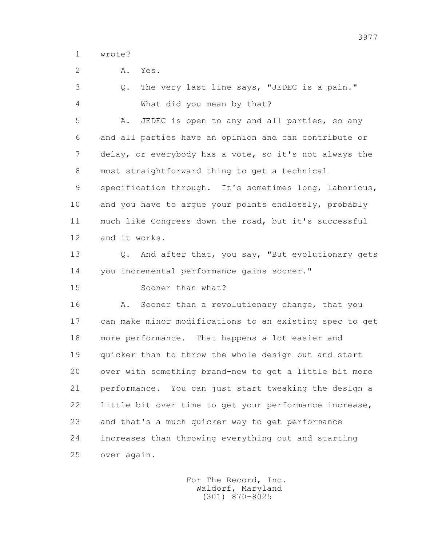1 wrote?

2 A. Yes.

 3 Q. The very last line says, "JEDEC is a pain." 4 What did you mean by that? 5 A. JEDEC is open to any and all parties, so any 6 and all parties have an opinion and can contribute or 7 delay, or everybody has a vote, so it's not always the 8 most straightforward thing to get a technical 9 specification through. It's sometimes long, laborious, 10 and you have to argue your points endlessly, probably 11 much like Congress down the road, but it's successful 12 and it works. 13 Q. And after that, you say, "But evolutionary gets 14 you incremental performance gains sooner." 15 Sooner than what? 16 A. Sooner than a revolutionary change, that you 17 can make minor modifications to an existing spec to get 18 more performance. That happens a lot easier and 19 quicker than to throw the whole design out and start 20 over with something brand-new to get a little bit more 21 performance. You can just start tweaking the design a 22 little bit over time to get your performance increase, 23 and that's a much quicker way to get performance 24 increases than throwing everything out and starting 25 over again.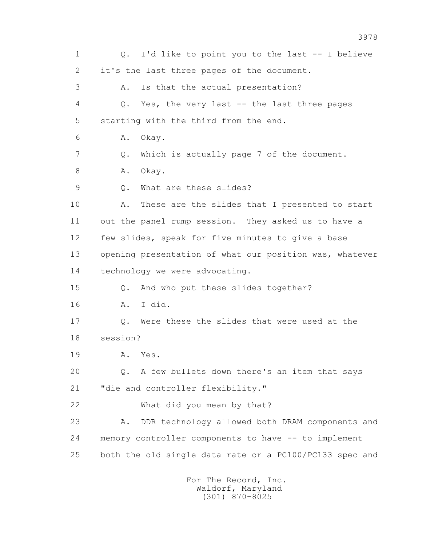1 Q. I'd like to point you to the last -- I believe 2 it's the last three pages of the document. 3 A. Is that the actual presentation? 4 Q. Yes, the very last -- the last three pages 5 starting with the third from the end. 6 A. Okay. 7 Q. Which is actually page 7 of the document. 8 A. Okay. 9 Q. What are these slides? 10 A. These are the slides that I presented to start 11 out the panel rump session. They asked us to have a 12 few slides, speak for five minutes to give a base 13 opening presentation of what our position was, whatever 14 technology we were advocating. 15 Q. And who put these slides together? 16 A. I did. 17 Q. Were these the slides that were used at the 18 session? 19 A. Yes. 20 Q. A few bullets down there's an item that says 21 "die and controller flexibility." 22 What did you mean by that? 23 A. DDR technology allowed both DRAM components and 24 memory controller components to have -- to implement 25 both the old single data rate or a PC100/PC133 spec and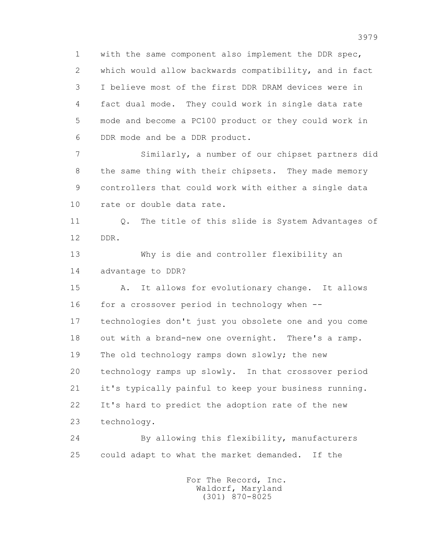1 with the same component also implement the DDR spec, 2 which would allow backwards compatibility, and in fact 3 I believe most of the first DDR DRAM devices were in 4 fact dual mode. They could work in single data rate 5 mode and become a PC100 product or they could work in 6 DDR mode and be a DDR product.

 7 Similarly, a number of our chipset partners did 8 the same thing with their chipsets. They made memory 9 controllers that could work with either a single data 10 rate or double data rate.

 11 Q. The title of this slide is System Advantages of 12 DDR.

 13 Why is die and controller flexibility an 14 advantage to DDR?

 15 A. It allows for evolutionary change. It allows 16 for a crossover period in technology when -- 17 technologies don't just you obsolete one and you come 18 out with a brand-new one overnight. There's a ramp. 19 The old technology ramps down slowly; the new 20 technology ramps up slowly. In that crossover period 21 it's typically painful to keep your business running. 22 It's hard to predict the adoption rate of the new 23 technology.

 24 By allowing this flexibility, manufacturers 25 could adapt to what the market demanded. If the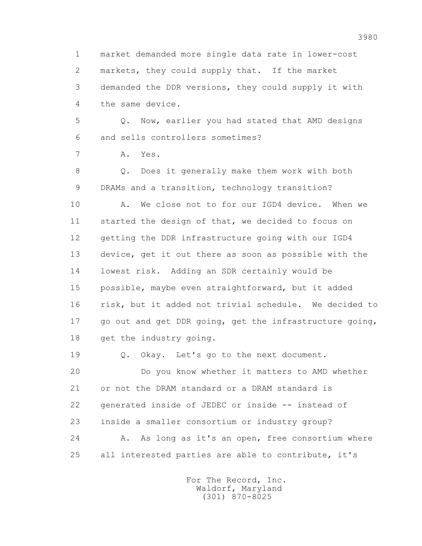1 market demanded more single data rate in lower-cost 2 markets, they could supply that. If the market 3 demanded the DDR versions, they could supply it with 4 the same device.

 5 Q. Now, earlier you had stated that AMD designs 6 and sells controllers sometimes?

7 A. Yes.

 8 Q. Does it generally make them work with both 9 DRAMs and a transition, technology transition?

 10 A. We close not to for our IGD4 device. When we 11 started the design of that, we decided to focus on 12 getting the DDR infrastructure going with our IGD4 13 device, get it out there as soon as possible with the 14 lowest risk. Adding an SDR certainly would be 15 possible, maybe even straightforward, but it added 16 risk, but it added not trivial schedule. We decided to 17 go out and get DDR going, get the infrastructure going, 18 get the industry going.

 19 Q. Okay. Let's go to the next document. 20 Do you know whether it matters to AMD whether 21 or not the DRAM standard or a DRAM standard is 22 generated inside of JEDEC or inside -- instead of 23 inside a smaller consortium or industry group? 24 A. As long as it's an open, free consortium where 25 all interested parties are able to contribute, it's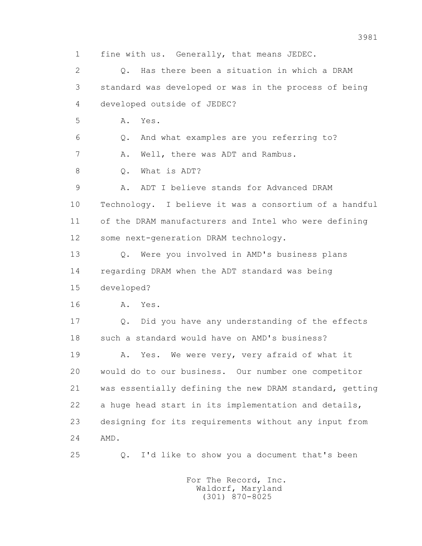1 fine with us. Generally, that means JEDEC. 2 Q. Has there been a situation in which a DRAM 3 standard was developed or was in the process of being 4 developed outside of JEDEC? 5 A. Yes. 6 Q. And what examples are you referring to? 7 A. Well, there was ADT and Rambus. 8 0. What is ADT? 9 A. ADT I believe stands for Advanced DRAM 10 Technology. I believe it was a consortium of a handful 11 of the DRAM manufacturers and Intel who were defining 12 some next-generation DRAM technology. 13 Q. Were you involved in AMD's business plans 14 regarding DRAM when the ADT standard was being 15 developed? 16 A. Yes. 17 Q. Did you have any understanding of the effects 18 such a standard would have on AMD's business? 19 A. Yes. We were very, very afraid of what it 20 would do to our business. Our number one competitor 21 was essentially defining the new DRAM standard, getting 22 a huge head start in its implementation and details, 23 designing for its requirements without any input from 24 AMD. 25 Q. I'd like to show you a document that's been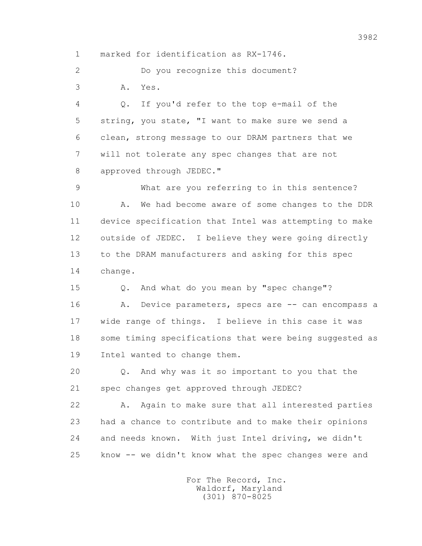1 marked for identification as RX-1746.

 2 Do you recognize this document? 3 A. Yes.

 4 Q. If you'd refer to the top e-mail of the 5 string, you state, "I want to make sure we send a 6 clean, strong message to our DRAM partners that we 7 will not tolerate any spec changes that are not 8 approved through JEDEC."

 9 What are you referring to in this sentence? 10 A. We had become aware of some changes to the DDR 11 device specification that Intel was attempting to make 12 outside of JEDEC. I believe they were going directly 13 to the DRAM manufacturers and asking for this spec 14 change.

 15 Q. And what do you mean by "spec change"? 16 A. Device parameters, specs are -- can encompass a 17 wide range of things. I believe in this case it was 18 some timing specifications that were being suggested as 19 Intel wanted to change them.

 20 Q. And why was it so important to you that the 21 spec changes get approved through JEDEC?

 22 A. Again to make sure that all interested parties 23 had a chance to contribute and to make their opinions 24 and needs known. With just Intel driving, we didn't 25 know -- we didn't know what the spec changes were and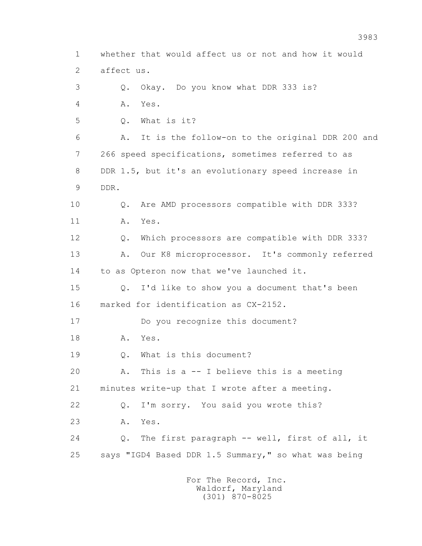1 whether that would affect us or not and how it would 2 affect us. 3 Q. Okay. Do you know what DDR 333 is? 4 A. Yes. 5 Q. What is it? 6 A. It is the follow-on to the original DDR 200 and 7 266 speed specifications, sometimes referred to as 8 DDR 1.5, but it's an evolutionary speed increase in 9 DDR. 10 Q. Are AMD processors compatible with DDR 333? 11 A. Yes. 12 Q. Which processors are compatible with DDR 333? 13 A. Our K8 microprocessor. It's commonly referred 14 to as Opteron now that we've launched it. 15 Q. I'd like to show you a document that's been 16 marked for identification as CX-2152. 17 Do you recognize this document? 18 A. Yes. 19 0. What is this document? 20 A. This is a -- I believe this is a meeting 21 minutes write-up that I wrote after a meeting. 22 Q. I'm sorry. You said you wrote this? 23 A. Yes. 24 Q. The first paragraph -- well, first of all, it 25 says "IGD4 Based DDR 1.5 Summary," so what was being For The Record, Inc.

 Waldorf, Maryland (301) 870-8025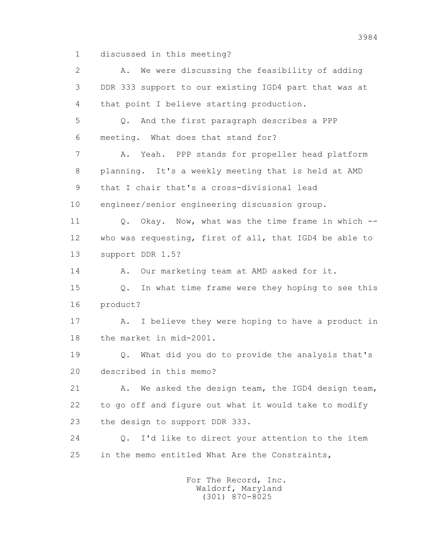1 discussed in this meeting?

 2 A. We were discussing the feasibility of adding 3 DDR 333 support to our existing IGD4 part that was at 4 that point I believe starting production. 5 Q. And the first paragraph describes a PPP 6 meeting. What does that stand for? 7 A. Yeah. PPP stands for propeller head platform 8 planning. It's a weekly meeting that is held at AMD 9 that I chair that's a cross-divisional lead 10 engineer/senior engineering discussion group. 11 0. Okay. Now, what was the time frame in which -- 12 who was requesting, first of all, that IGD4 be able to 13 support DDR 1.5? 14 A. Our marketing team at AMD asked for it. 15 Q. In what time frame were they hoping to see this 16 product? 17 A. I believe they were hoping to have a product in 18 the market in mid-2001. 19 Q. What did you do to provide the analysis that's 20 described in this memo? 21 A. We asked the design team, the IGD4 design team, 22 to go off and figure out what it would take to modify 23 the design to support DDR 333. 24 Q. I'd like to direct your attention to the item 25 in the memo entitled What Are the Constraints,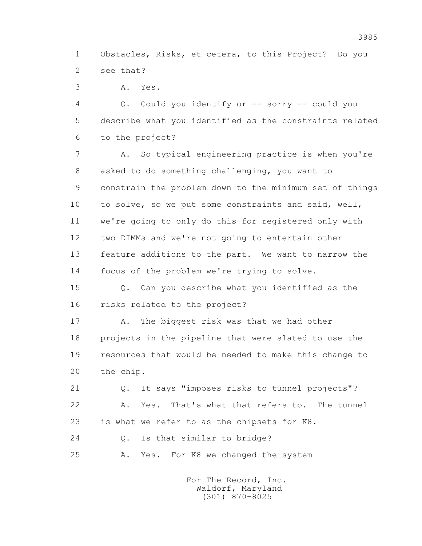1 Obstacles, Risks, et cetera, to this Project? Do you 2 see that?

3 A. Yes.

 4 Q. Could you identify or -- sorry -- could you 5 describe what you identified as the constraints related 6 to the project?

 7 A. So typical engineering practice is when you're 8 asked to do something challenging, you want to 9 constrain the problem down to the minimum set of things 10 to solve, so we put some constraints and said, well, 11 we're going to only do this for registered only with 12 two DIMMs and we're not going to entertain other 13 feature additions to the part. We want to narrow the 14 focus of the problem we're trying to solve.

 15 Q. Can you describe what you identified as the 16 risks related to the project?

17 A. The biggest risk was that we had other 18 projects in the pipeline that were slated to use the 19 resources that would be needed to make this change to 20 the chip.

 21 Q. It says "imposes risks to tunnel projects"? 22 A. Yes. That's what that refers to. The tunnel 23 is what we refer to as the chipsets for K8. 24 Q. Is that similar to bridge?

25 A. Yes. For K8 we changed the system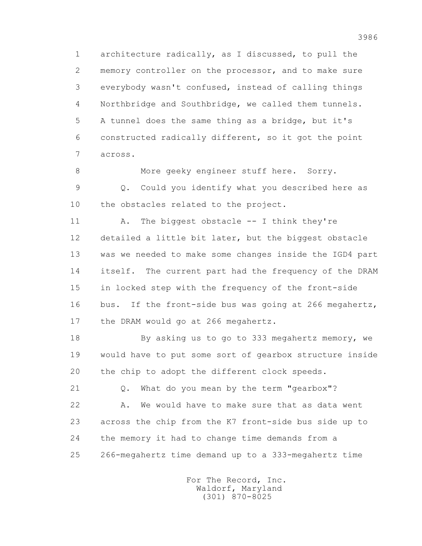1 architecture radically, as I discussed, to pull the 2 memory controller on the processor, and to make sure 3 everybody wasn't confused, instead of calling things 4 Northbridge and Southbridge, we called them tunnels. 5 A tunnel does the same thing as a bridge, but it's 6 constructed radically different, so it got the point 7 across.

 8 More geeky engineer stuff here. Sorry. 9 Q. Could you identify what you described here as 10 the obstacles related to the project.

11 A. The biggest obstacle -- I think they're 12 detailed a little bit later, but the biggest obstacle 13 was we needed to make some changes inside the IGD4 part 14 itself. The current part had the frequency of the DRAM 15 in locked step with the frequency of the front-side 16 bus. If the front-side bus was going at 266 megahertz, 17 the DRAM would go at 266 megahertz.

 18 By asking us to go to 333 megahertz memory, we 19 would have to put some sort of gearbox structure inside 20 the chip to adopt the different clock speeds.

 21 Q. What do you mean by the term "gearbox"? 22 A. We would have to make sure that as data went 23 across the chip from the K7 front-side bus side up to 24 the memory it had to change time demands from a 25 266-megahertz time demand up to a 333-megahertz time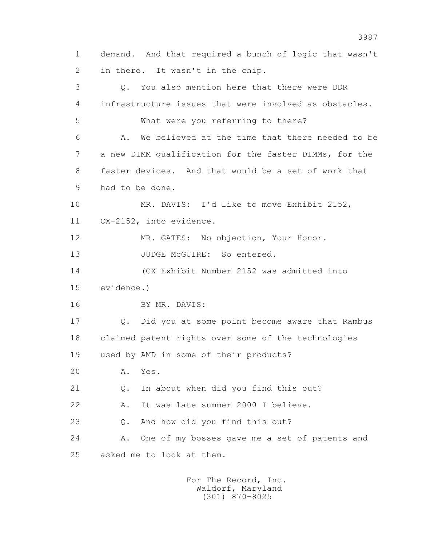1 demand. And that required a bunch of logic that wasn't 2 in there. It wasn't in the chip. 3 Q. You also mention here that there were DDR 4 infrastructure issues that were involved as obstacles. 5 What were you referring to there? 6 A. We believed at the time that there needed to be 7 a new DIMM qualification for the faster DIMMs, for the 8 faster devices. And that would be a set of work that 9 had to be done. 10 MR. DAVIS: I'd like to move Exhibit 2152, 11 CX-2152, into evidence. 12 MR. GATES: No objection, Your Honor. 13 JUDGE McGUIRE: So entered. 14 (CX Exhibit Number 2152 was admitted into 15 evidence.) 16 BY MR. DAVIS: 17 Q. Did you at some point become aware that Rambus 18 claimed patent rights over some of the technologies 19 used by AMD in some of their products? 20 A. Yes. 21 Q. In about when did you find this out? 22 A. It was late summer 2000 I believe. 23 Q. And how did you find this out? 24 A. One of my bosses gave me a set of patents and 25 asked me to look at them.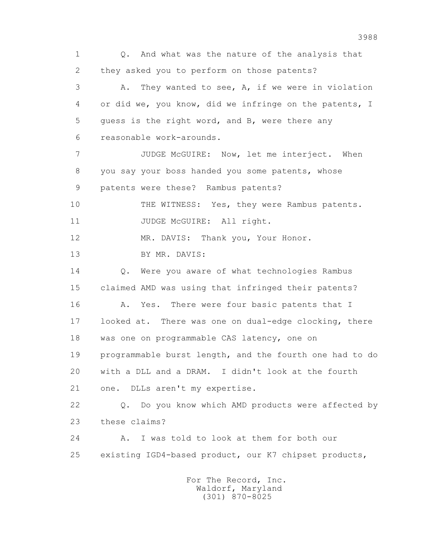1 Q. And what was the nature of the analysis that 2 they asked you to perform on those patents? 3 A. They wanted to see, A, if we were in violation 4 or did we, you know, did we infringe on the patents, I 5 guess is the right word, and B, were there any 6 reasonable work-arounds. 7 JUDGE McGUIRE: Now, let me interject. When 8 you say your boss handed you some patents, whose 9 patents were these? Rambus patents? 10 THE WITNESS: Yes, they were Rambus patents. 11 JUDGE McGUIRE: All right. 12 MR. DAVIS: Thank you, Your Honor. 13 BY MR. DAVIS: 14 0. Were you aware of what technologies Rambus 15 claimed AMD was using that infringed their patents? 16 A. Yes. There were four basic patents that I 17 looked at. There was one on dual-edge clocking, there 18 was one on programmable CAS latency, one on 19 programmable burst length, and the fourth one had to do 20 with a DLL and a DRAM. I didn't look at the fourth 21 one. DLLs aren't my expertise. 22 Q. Do you know which AMD products were affected by 23 these claims? 24 A. I was told to look at them for both our 25 existing IGD4-based product, our K7 chipset products, For The Record, Inc.

 Waldorf, Maryland (301) 870-8025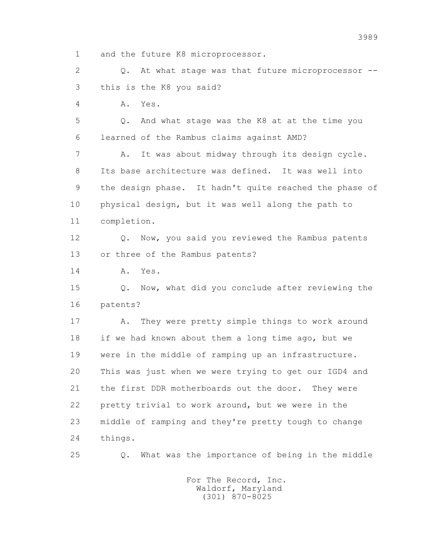1 and the future K8 microprocessor.

 2 Q. At what stage was that future microprocessor -- 3 this is the K8 you said?

4 A. Yes.

 5 Q. And what stage was the K8 at at the time you 6 learned of the Rambus claims against AMD?

 7 A. It was about midway through its design cycle. 8 Its base architecture was defined. It was well into 9 the design phase. It hadn't quite reached the phase of 10 physical design, but it was well along the path to 11 completion.

12 Q. Now, you said you reviewed the Rambus patents 13 or three of the Rambus patents?

14 A. Yes.

 15 Q. Now, what did you conclude after reviewing the 16 patents?

17 A. They were pretty simple things to work around 18 if we had known about them a long time ago, but we 19 were in the middle of ramping up an infrastructure. 20 This was just when we were trying to get our IGD4 and 21 the first DDR motherboards out the door. They were 22 pretty trivial to work around, but we were in the 23 middle of ramping and they're pretty tough to change 24 things.

25 Q. What was the importance of being in the middle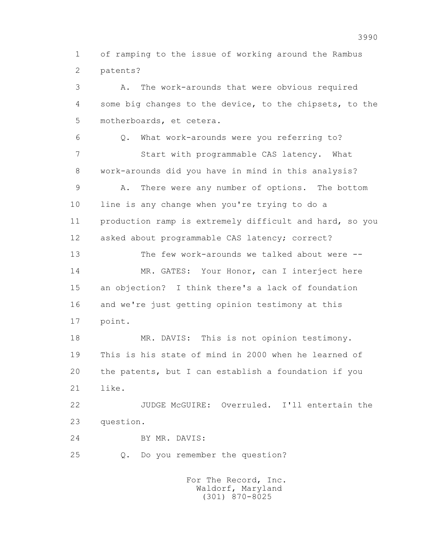1 of ramping to the issue of working around the Rambus 2 patents?

 3 A. The work-arounds that were obvious required 4 some big changes to the device, to the chipsets, to the 5 motherboards, et cetera. 6 Q. What work-arounds were you referring to? 7 Start with programmable CAS latency. What 8 work-arounds did you have in mind in this analysis? 9 A. There were any number of options. The bottom 10 line is any change when you're trying to do a 11 production ramp is extremely difficult and hard, so you 12 asked about programmable CAS latency; correct? 13 The few work-arounds we talked about were -- 14 MR. GATES: Your Honor, can I interject here 15 an objection? I think there's a lack of foundation 16 and we're just getting opinion testimony at this 17 point. 18 MR. DAVIS: This is not opinion testimony.

 19 This is his state of mind in 2000 when he learned of 20 the patents, but I can establish a foundation if you 21 like.

 22 JUDGE McGUIRE: Overruled. I'll entertain the 23 question.

24 BY MR. DAVIS:

25 Q. Do you remember the question?

 For The Record, Inc. Waldorf, Maryland (301) 870-8025

3990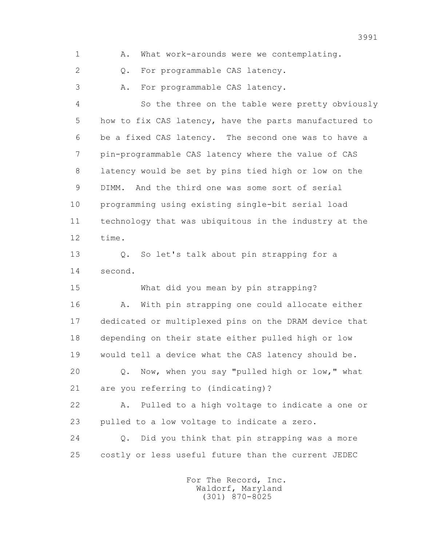1 A. What work-arounds were we contemplating.

2 0. For programmable CAS latency.

3 A. For programmable CAS latency.

 4 So the three on the table were pretty obviously 5 how to fix CAS latency, have the parts manufactured to 6 be a fixed CAS latency. The second one was to have a 7 pin-programmable CAS latency where the value of CAS 8 latency would be set by pins tied high or low on the 9 DIMM. And the third one was some sort of serial 10 programming using existing single-bit serial load 11 technology that was ubiquitous in the industry at the 12 time.

 13 Q. So let's talk about pin strapping for a 14 second.

 15 What did you mean by pin strapping? 16 A. With pin strapping one could allocate either 17 dedicated or multiplexed pins on the DRAM device that 18 depending on their state either pulled high or low 19 would tell a device what the CAS latency should be. 20 Q. Now, when you say "pulled high or low," what 21 are you referring to (indicating)?

 22 A. Pulled to a high voltage to indicate a one or 23 pulled to a low voltage to indicate a zero.

 24 Q. Did you think that pin strapping was a more 25 costly or less useful future than the current JEDEC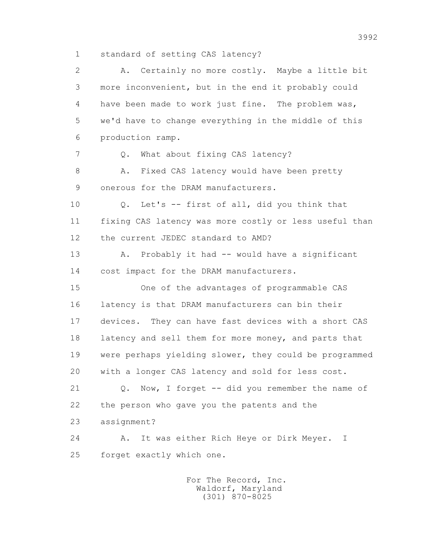1 standard of setting CAS latency?

 2 A. Certainly no more costly. Maybe a little bit 3 more inconvenient, but in the end it probably could 4 have been made to work just fine. The problem was, 5 we'd have to change everything in the middle of this 6 production ramp. 7 0. What about fixing CAS latency? 8 A. Fixed CAS latency would have been pretty 9 onerous for the DRAM manufacturers. 10 Q. Let's -- first of all, did you think that 11 fixing CAS latency was more costly or less useful than 12 the current JEDEC standard to AMD? 13 A. Probably it had -- would have a significant 14 cost impact for the DRAM manufacturers. 15 One of the advantages of programmable CAS 16 latency is that DRAM manufacturers can bin their 17 devices. They can have fast devices with a short CAS 18 latency and sell them for more money, and parts that 19 were perhaps yielding slower, they could be programmed 20 with a longer CAS latency and sold for less cost. 21 Q. Now, I forget -- did you remember the name of 22 the person who gave you the patents and the 23 assignment? 24 A. It was either Rich Heye or Dirk Meyer. I 25 forget exactly which one.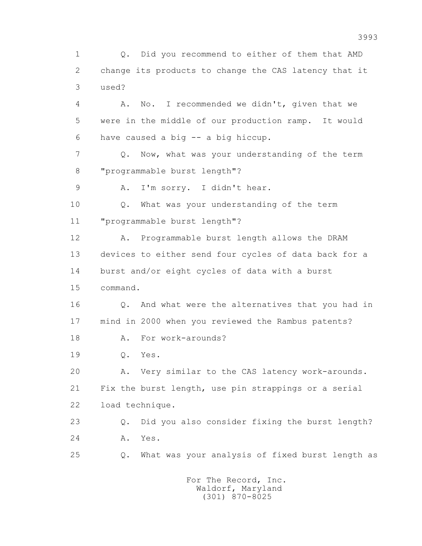1 Q. Did you recommend to either of them that AMD 2 change its products to change the CAS latency that it 3 used?

 4 A. No. I recommended we didn't, given that we 5 were in the middle of our production ramp. It would 6 have caused a big -- a big hiccup.

 7 Q. Now, what was your understanding of the term 8 "programmable burst length"?

9 A. I'm sorry. I didn't hear.

 10 Q. What was your understanding of the term 11 "programmable burst length"?

 12 A. Programmable burst length allows the DRAM 13 devices to either send four cycles of data back for a 14 burst and/or eight cycles of data with a burst 15 command.

 16 Q. And what were the alternatives that you had in 17 mind in 2000 when you reviewed the Rambus patents?

18 A. For work-arounds?

19 Q. Yes.

 20 A. Very similar to the CAS latency work-arounds. 21 Fix the burst length, use pin strappings or a serial 22 load technique.

 23 Q. Did you also consider fixing the burst length? 24 A. Yes.

25 Q. What was your analysis of fixed burst length as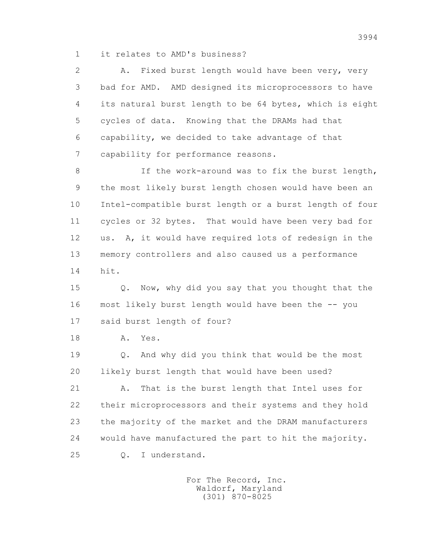1 it relates to AMD's business?

 2 A. Fixed burst length would have been very, very 3 bad for AMD. AMD designed its microprocessors to have 4 its natural burst length to be 64 bytes, which is eight 5 cycles of data. Knowing that the DRAMs had that 6 capability, we decided to take advantage of that 7 capability for performance reasons.

8 If the work-around was to fix the burst length, 9 the most likely burst length chosen would have been an 10 Intel-compatible burst length or a burst length of four 11 cycles or 32 bytes. That would have been very bad for 12 us. A, it would have required lots of redesign in the 13 memory controllers and also caused us a performance 14 hit.

 15 Q. Now, why did you say that you thought that the 16 most likely burst length would have been the -- you 17 said burst length of four?

18 A. Yes.

 19 Q. And why did you think that would be the most 20 likely burst length that would have been used?

 21 A. That is the burst length that Intel uses for 22 their microprocessors and their systems and they hold 23 the majority of the market and the DRAM manufacturers 24 would have manufactured the part to hit the majority. 25 Q. I understand.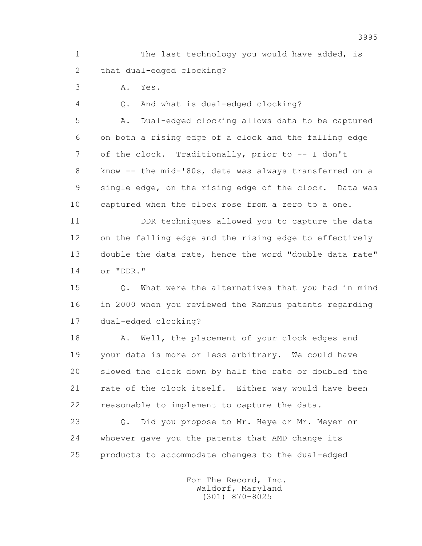1 The last technology you would have added, is 2 that dual-edged clocking?

3 A. Yes.

4 Q. And what is dual-edged clocking?

 5 A. Dual-edged clocking allows data to be captured 6 on both a rising edge of a clock and the falling edge 7 of the clock. Traditionally, prior to -- I don't 8 know -- the mid-'80s, data was always transferred on a 9 single edge, on the rising edge of the clock. Data was 10 captured when the clock rose from a zero to a one.

 11 DDR techniques allowed you to capture the data 12 on the falling edge and the rising edge to effectively 13 double the data rate, hence the word "double data rate" 14 or "DDR."

 15 Q. What were the alternatives that you had in mind 16 in 2000 when you reviewed the Rambus patents regarding 17 dual-edged clocking?

18 A. Well, the placement of your clock edges and 19 your data is more or less arbitrary. We could have 20 slowed the clock down by half the rate or doubled the 21 rate of the clock itself. Either way would have been 22 reasonable to implement to capture the data.

 23 Q. Did you propose to Mr. Heye or Mr. Meyer or 24 whoever gave you the patents that AMD change its 25 products to accommodate changes to the dual-edged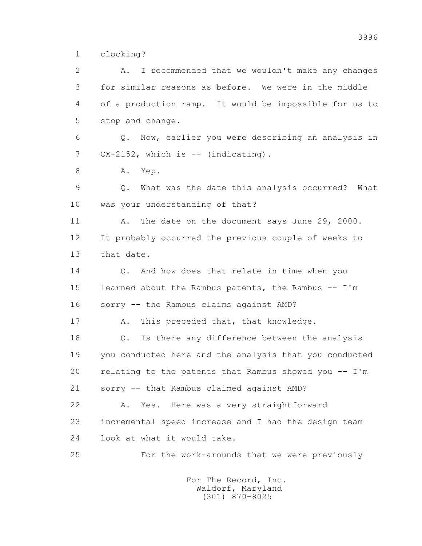1 clocking?

 2 A. I recommended that we wouldn't make any changes 3 for similar reasons as before. We were in the middle 4 of a production ramp. It would be impossible for us to 5 stop and change. 6 Q. Now, earlier you were describing an analysis in 7 CX-2152, which is -- (indicating). 8 A. Yep. 9 Q. What was the date this analysis occurred? What 10 was your understanding of that? 11 A. The date on the document says June 29, 2000. 12 It probably occurred the previous couple of weeks to 13 that date. 14 0. And how does that relate in time when you 15 learned about the Rambus patents, the Rambus -- I'm 16 sorry -- the Rambus claims against AMD? 17 A. This preceded that, that knowledge. 18 Q. Is there any difference between the analysis 19 you conducted here and the analysis that you conducted 20 relating to the patents that Rambus showed you -- I'm 21 sorry -- that Rambus claimed against AMD? 22 A. Yes. Here was a very straightforward 23 incremental speed increase and I had the design team 24 look at what it would take. 25 For the work-arounds that we were previously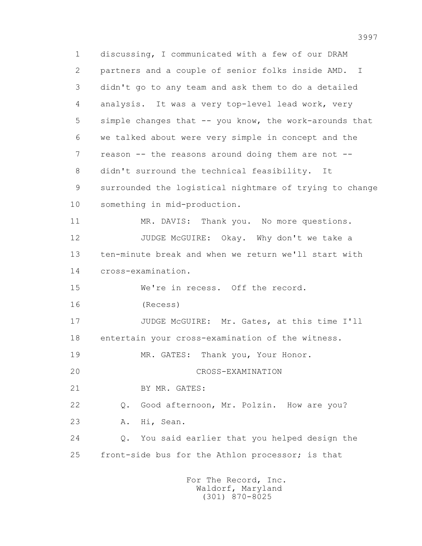1 discussing, I communicated with a few of our DRAM 2 partners and a couple of senior folks inside AMD. I 3 didn't go to any team and ask them to do a detailed 4 analysis. It was a very top-level lead work, very 5 simple changes that -- you know, the work-arounds that 6 we talked about were very simple in concept and the 7 reason -- the reasons around doing them are not -- 8 didn't surround the technical feasibility. It 9 surrounded the logistical nightmare of trying to change 10 something in mid-production. 11 MR. DAVIS: Thank you. No more questions. 12 JUDGE McGUIRE: Okay. Why don't we take a 13 ten-minute break and when we return we'll start with 14 cross-examination. 15 We're in recess. Off the record. 16 (Recess) 17 JUDGE McGUIRE: Mr. Gates, at this time I'll 18 entertain your cross-examination of the witness. 19 MR. GATES: Thank you, Your Honor. 20 CROSS-EXAMINATION 21 BY MR. GATES: 22 Q. Good afternoon, Mr. Polzin. How are you? 23 A. Hi, Sean. 24 Q. You said earlier that you helped design the 25 front-side bus for the Athlon processor; is that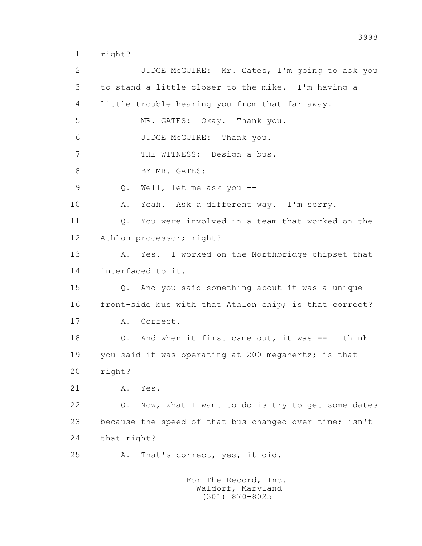1 right?

 2 JUDGE McGUIRE: Mr. Gates, I'm going to ask you 3 to stand a little closer to the mike. I'm having a 4 little trouble hearing you from that far away. 5 MR. GATES: Okay. Thank you. 6 JUDGE McGUIRE: Thank you. 7 THE WITNESS: Design a bus. 8 BY MR. GATES: 9 Q. Well, let me ask you -- 10 A. Yeah. Ask a different way. I'm sorry. 11 Q. You were involved in a team that worked on the 12 Athlon processor; right? 13 A. Yes. I worked on the Northbridge chipset that 14 interfaced to it. 15 Q. And you said something about it was a unique 16 front-side bus with that Athlon chip; is that correct? 17 A. Correct. 18 Q. And when it first came out, it was -- I think 19 you said it was operating at 200 megahertz; is that 20 right? 21 A. Yes. 22 Q. Now, what I want to do is try to get some dates 23 because the speed of that bus changed over time; isn't 24 that right? 25 A. That's correct, yes, it did.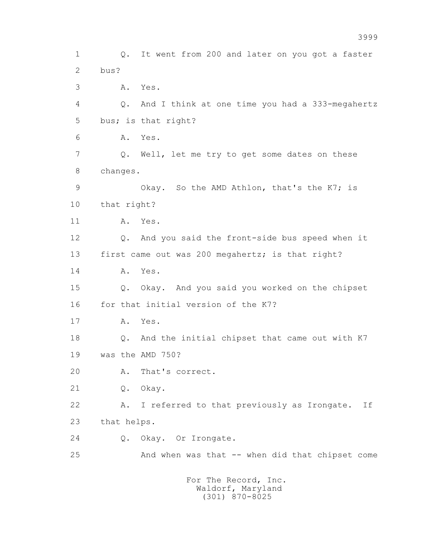1 Q. It went from 200 and later on you got a faster 2 bus? 3 A. Yes. 4 Q. And I think at one time you had a 333-megahertz 5 bus; is that right? 6 A. Yes. 7 Q. Well, let me try to get some dates on these 8 changes. 9 Okay. So the AMD Athlon, that's the K7; is 10 that right? 11 A. Yes. 12 Q. And you said the front-side bus speed when it 13 first came out was 200 megahertz; is that right? 14 A. Yes. 15 Q. Okay. And you said you worked on the chipset 16 for that initial version of the K7? 17 A. Yes. 18 Q. And the initial chipset that came out with K7 19 was the AMD 750? 20 A. That's correct. 21 Q. Okay. 22 A. I referred to that previously as Irongate. If 23 that helps. 24 Q. Okay. Or Irongate. 25 And when was that -- when did that chipset come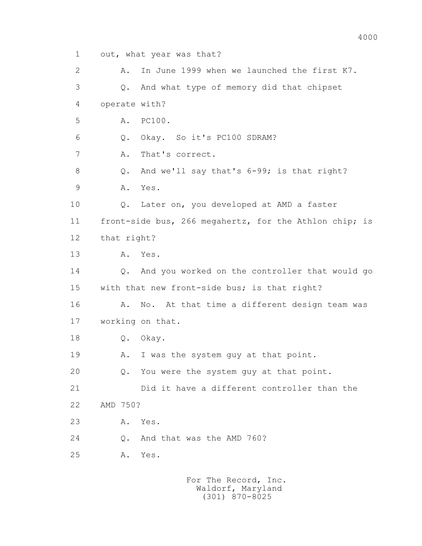1 out, what year was that? 2 A. In June 1999 when we launched the first K7. 3 Q. And what type of memory did that chipset 4 operate with? 5 A. PC100. 6 Q. Okay. So it's PC100 SDRAM? 7 A. That's correct. 8 Q. And we'll say that's 6-99; is that right? 9 A. Yes. 10 Q. Later on, you developed at AMD a faster 11 front-side bus, 266 megahertz, for the Athlon chip; is 12 that right? 13 A. Yes. 14 Q. And you worked on the controller that would go 15 with that new front-side bus; is that right? 16 A. No. At that time a different design team was 17 working on that. 18 Q. Okay. 19 A. I was the system guy at that point. 20 Q. You were the system guy at that point. 21 Did it have a different controller than the 22 AMD 750? 23 A. Yes. 24 O. And that was the AMD 760? 25 A. Yes.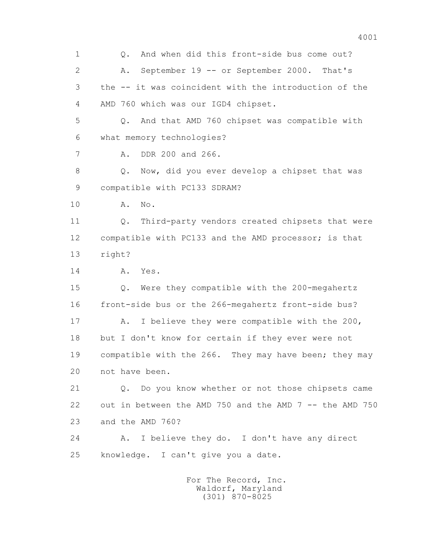1 Q. And when did this front-side bus come out? 2 A. September 19 -- or September 2000. That's 3 the -- it was coincident with the introduction of the 4 AMD 760 which was our IGD4 chipset. 5 Q. And that AMD 760 chipset was compatible with 6 what memory technologies? 7 A. DDR 200 and 266. 8 Q. Now, did you ever develop a chipset that was 9 compatible with PC133 SDRAM? 10 A. No. 11 Q. Third-party vendors created chipsets that were 12 compatible with PC133 and the AMD processor; is that 13 right? 14 A. Yes. 15 Q. Were they compatible with the 200-megahertz 16 front-side bus or the 266-megahertz front-side bus? 17 A. I believe they were compatible with the 200, 18 but I don't know for certain if they ever were not 19 compatible with the 266. They may have been; they may 20 not have been. 21 Q. Do you know whether or not those chipsets came 22 out in between the AMD 750 and the AMD 7 -- the AMD 750 23 and the AMD 760? 24 A. I believe they do. I don't have any direct 25 knowledge. I can't give you a date. For The Record, Inc. Waldorf, Maryland

(301) 870-8025

4001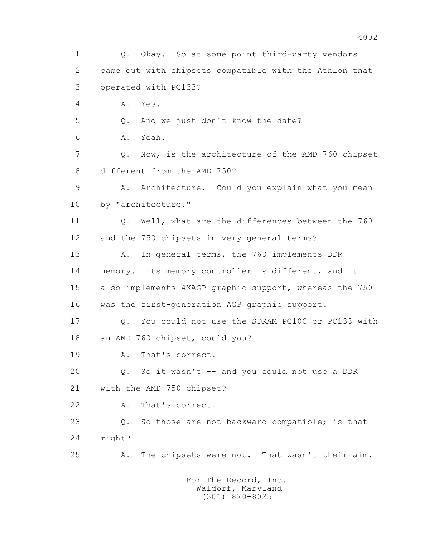1 Q. Okay. So at some point third-party vendors 2 came out with chipsets compatible with the Athlon that 3 operated with PC133? 4 A. Yes. 5 Q. And we just don't know the date? 6 A. Yeah. 7 Q. Now, is the architecture of the AMD 760 chipset 8 different from the AMD 750? 9 A. Architecture. Could you explain what you mean 10 by "architecture." 11 Q. Well, what are the differences between the 760 12 and the 750 chipsets in very general terms? 13 A. In general terms, the 760 implements DDR 14 memory. Its memory controller is different, and it 15 also implements 4XAGP graphic support, whereas the 750 16 was the first-generation AGP graphic support. 17 Q. You could not use the SDRAM PC100 or PC133 with 18 an AMD 760 chipset, could you? 19 A. That's correct. 20 Q. So it wasn't -- and you could not use a DDR 21 with the AMD 750 chipset? 22 A. That's correct. 23 Q. So those are not backward compatible; is that 24 right? 25 A. The chipsets were not. That wasn't their aim.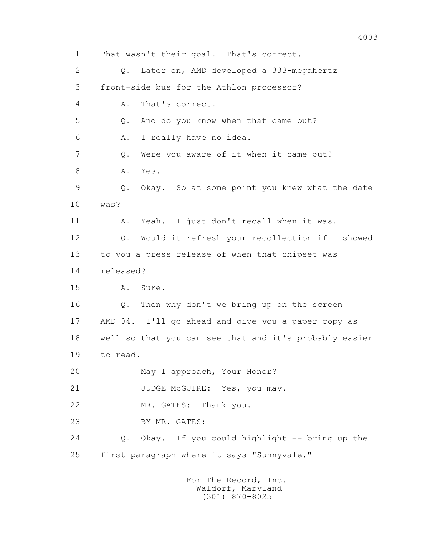1 That wasn't their goal. That's correct. 2 Q. Later on, AMD developed a 333-megahertz 3 front-side bus for the Athlon processor? 4 A. That's correct. 5 Q. And do you know when that came out? 6 A. I really have no idea. 7 Q. Were you aware of it when it came out? 8 A. Yes. 9 Q. Okay. So at some point you knew what the date 10 was? 11 A. Yeah. I just don't recall when it was. 12 Q. Would it refresh your recollection if I showed 13 to you a press release of when that chipset was 14 released? 15 A. Sure. 16 Q. Then why don't we bring up on the screen 17 AMD 04. I'll go ahead and give you a paper copy as 18 well so that you can see that and it's probably easier 19 to read. 20 May I approach, Your Honor? 21 JUDGE McGUIRE: Yes, you may. 22 MR. GATES: Thank you. 23 BY MR. GATES: 24 Q. Okay. If you could highlight -- bring up the 25 first paragraph where it says "Sunnyvale."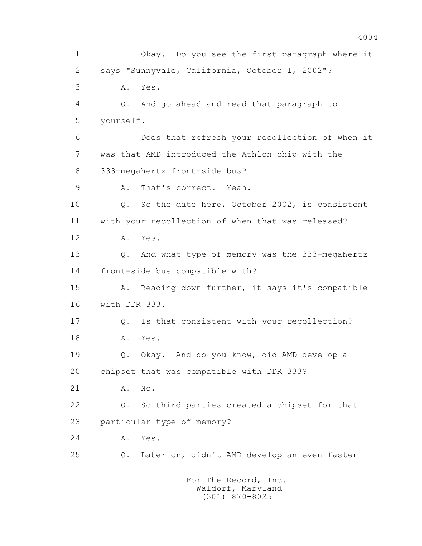1 Okay. Do you see the first paragraph where it 2 says "Sunnyvale, California, October 1, 2002"? 3 A. Yes. 4 Q. And go ahead and read that paragraph to 5 yourself. 6 Does that refresh your recollection of when it 7 was that AMD introduced the Athlon chip with the 8 333-megahertz front-side bus? 9 A. That's correct. Yeah. 10 Q. So the date here, October 2002, is consistent 11 with your recollection of when that was released? 12 A. Yes. 13 Q. And what type of memory was the 333-megahertz 14 front-side bus compatible with? 15 A. Reading down further, it says it's compatible 16 with DDR 333. 17 Q. Is that consistent with your recollection? 18 A. Yes. 19 Q. Okay. And do you know, did AMD develop a 20 chipset that was compatible with DDR 333? 21 A. No. 22 Q. So third parties created a chipset for that 23 particular type of memory? 24 A. Yes. 25 Q. Later on, didn't AMD develop an even faster For The Record, Inc.

 Waldorf, Maryland (301) 870-8025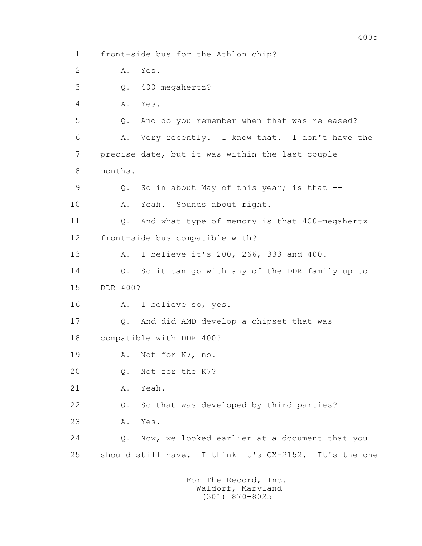1 front-side bus for the Athlon chip? 2 A. Yes. 3 Q. 400 megahertz? 4 A. Yes. 5 Q. And do you remember when that was released? 6 A. Very recently. I know that. I don't have the 7 precise date, but it was within the last couple 8 months. 9 Q. So in about May of this year; is that -- 10 A. Yeah. Sounds about right. 11 Q. And what type of memory is that 400-megahertz 12 front-side bus compatible with? 13 A. I believe it's 200, 266, 333 and 400. 14 Q. So it can go with any of the DDR family up to 15 DDR 400? 16 A. I believe so, yes. 17 Q. And did AMD develop a chipset that was 18 compatible with DDR 400? 19 A. Not for K7, no. 20 Q. Not for the K7? 21 A. Yeah. 22 Q. So that was developed by third parties? 23 A. Yes. 24 Q. Now, we looked earlier at a document that you 25 should still have. I think it's CX-2152. It's the one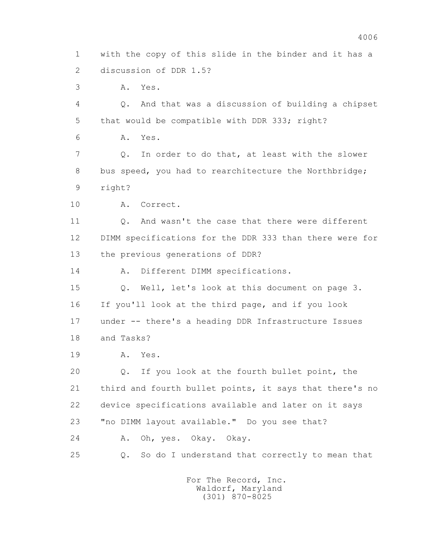1 with the copy of this slide in the binder and it has a 2 discussion of DDR 1.5?

3 A. Yes.

 4 Q. And that was a discussion of building a chipset 5 that would be compatible with DDR 333; right?

6 A. Yes.

 7 Q. In order to do that, at least with the slower 8 bus speed, you had to rearchitecture the Northbridge; 9 right?

10 A. Correct.

 11 Q. And wasn't the case that there were different 12 DIMM specifications for the DDR 333 than there were for 13 the previous generations of DDR?

14 A. Different DIMM specifications.

 15 Q. Well, let's look at this document on page 3. 16 If you'll look at the third page, and if you look 17 under -- there's a heading DDR Infrastructure Issues 18 and Tasks?

19 A. Yes.

 20 Q. If you look at the fourth bullet point, the 21 third and fourth bullet points, it says that there's no 22 device specifications available and later on it says 23 "no DIMM layout available." Do you see that? 24 A. Oh, yes. Okay. Okay.

25 Q. So do I understand that correctly to mean that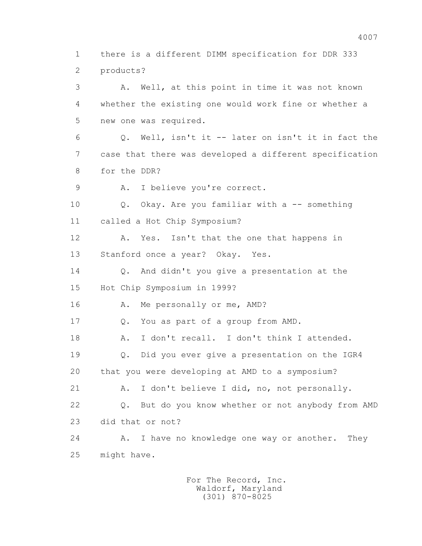1 there is a different DIMM specification for DDR 333 2 products? 3 A. Well, at this point in time it was not known 4 whether the existing one would work fine or whether a 5 new one was required. 6 Q. Well, isn't it -- later on isn't it in fact the 7 case that there was developed a different specification 8 for the DDR? 9 A. I believe you're correct. 10 Q. Okay. Are you familiar with a -- something 11 called a Hot Chip Symposium? 12 A. Yes. Isn't that the one that happens in

13 Stanford once a year? Okay. Yes.

14 Q. And didn't you give a presentation at the

15 Hot Chip Symposium in 1999?

16 A. Me personally or me, AMD?

17 Q. You as part of a group from AMD.

18 A. I don't recall. I don't think I attended.

 19 Q. Did you ever give a presentation on the IGR4 20 that you were developing at AMD to a symposium?

 21 A. I don't believe I did, no, not personally. 22 Q. But do you know whether or not anybody from AMD

23 did that or not?

24 A. I have no knowledge one way or another. They 25 might have.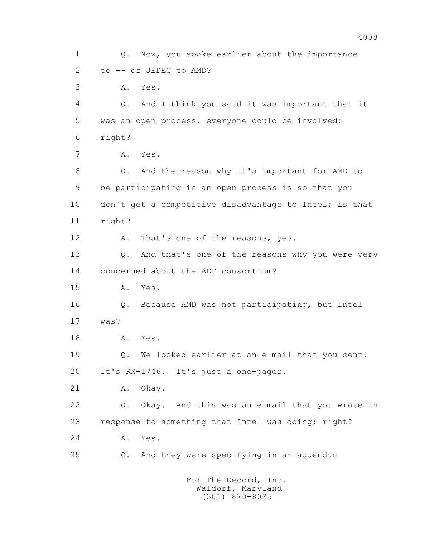1 Q. Now, you spoke earlier about the importance 2 to -- of JEDEC to AMD? 3 A. Yes. 4 Q. And I think you said it was important that it 5 was an open process, everyone could be involved; 6 right? 7 A. Yes. 8 Q. And the reason why it's important for AMD to 9 be participating in an open process is so that you 10 don't get a competitive disadvantage to Intel; is that 11 right? 12 A. That's one of the reasons, yes. 13 Q. And that's one of the reasons why you were very 14 concerned about the ADT consortium? 15 A. Yes. 16 Q. Because AMD was not participating, but Intel 17 was? 18 A. Yes. 19 Q. We looked earlier at an e-mail that you sent. 20 It's RX-1746. It's just a one-pager. 21 A. Okay. 22 Q. Okay. And this was an e-mail that you wrote in 23 response to something that Intel was doing; right? 24 A. Yes. 25 Q. And they were specifying in an addendum For The Record, Inc.

 Waldorf, Maryland (301) 870-8025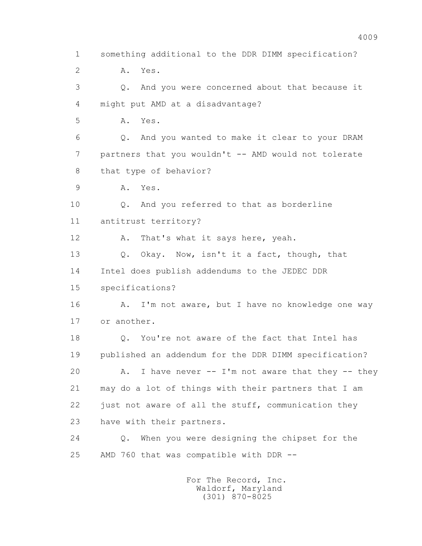1 something additional to the DDR DIMM specification? 2 A. Yes. 3 Q. And you were concerned about that because it 4 might put AMD at a disadvantage? 5 A. Yes. 6 Q. And you wanted to make it clear to your DRAM 7 partners that you wouldn't -- AMD would not tolerate 8 that type of behavior? 9 A. Yes. 10 Q. And you referred to that as borderline 11 antitrust territory? 12 A. That's what it says here, yeah. 13 Q. Okay. Now, isn't it a fact, though, that 14 Intel does publish addendums to the JEDEC DDR 15 specifications? 16 A. I'm not aware, but I have no knowledge one way 17 or another. 18 Q. You're not aware of the fact that Intel has 19 published an addendum for the DDR DIMM specification? 20 A. I have never -- I'm not aware that they -- they 21 may do a lot of things with their partners that I am 22 just not aware of all the stuff, communication they 23 have with their partners. 24 Q. When you were designing the chipset for the 25 AMD 760 that was compatible with DDR --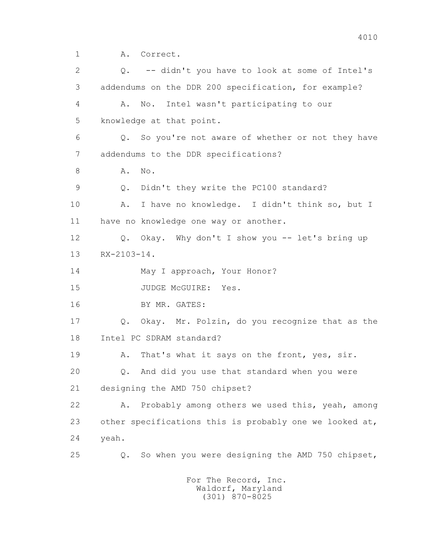1 A. Correct.

 2 Q. -- didn't you have to look at some of Intel's 3 addendums on the DDR 200 specification, for example? 4 A. No. Intel wasn't participating to our 5 knowledge at that point. 6 Q. So you're not aware of whether or not they have 7 addendums to the DDR specifications? 8 **A.** No. 9 Q. Didn't they write the PC100 standard? 10 A. I have no knowledge. I didn't think so, but I 11 have no knowledge one way or another. 12 Q. Okay. Why don't I show you -- let's bring up 13 RX-2103-14. 14 May I approach, Your Honor? 15 JUDGE McGUIRE: Yes. 16 BY MR. GATES: 17 Q. Okay. Mr. Polzin, do you recognize that as the 18 Intel PC SDRAM standard? 19 A. That's what it says on the front, yes, sir. 20 Q. And did you use that standard when you were 21 designing the AMD 750 chipset? 22 A. Probably among others we used this, yeah, among 23 other specifications this is probably one we looked at, 24 yeah. 25 Q. So when you were designing the AMD 750 chipset,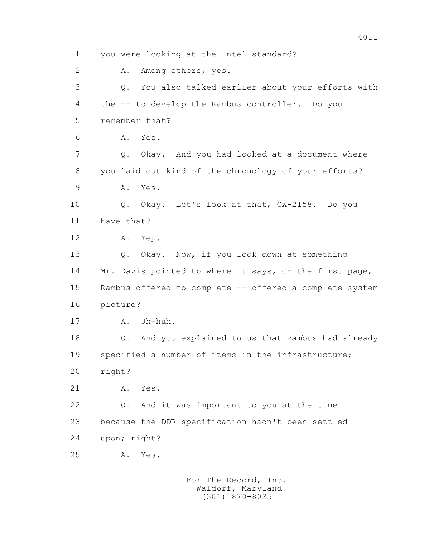1 you were looking at the Intel standard? 2 A. Among others, yes. 3 Q. You also talked earlier about your efforts with 4 the -- to develop the Rambus controller. Do you 5 remember that? 6 A. Yes. 7 Q. Okay. And you had looked at a document where 8 you laid out kind of the chronology of your efforts? 9 A. Yes. 10 Q. Okay. Let's look at that, CX-2158. Do you 11 have that? 12 A. Yep. 13 Q. Okay. Now, if you look down at something 14 Mr. Davis pointed to where it says, on the first page, 15 Rambus offered to complete -- offered a complete system 16 picture? 17 A. Uh-huh. 18 Q. And you explained to us that Rambus had already 19 specified a number of items in the infrastructure; 20 right? 21 A. Yes. 22 Q. And it was important to you at the time 23 because the DDR specification hadn't been settled 24 upon; right? 25 A. Yes.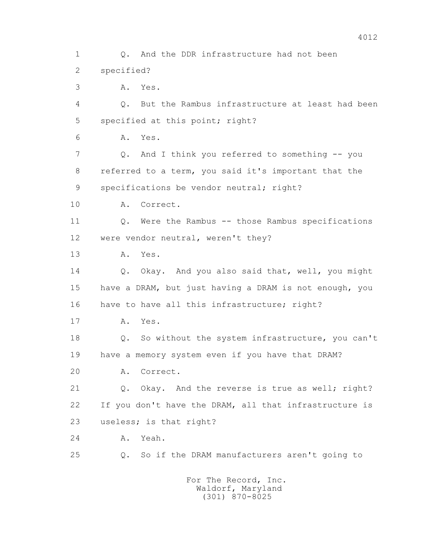1 Q. And the DDR infrastructure had not been 2 specified? 3 A. Yes. 4 Q. But the Rambus infrastructure at least had been 5 specified at this point; right? 6 A. Yes. 7 Q. And I think you referred to something -- you 8 referred to a term, you said it's important that the 9 specifications be vendor neutral; right? 10 A. Correct. 11 Q. Were the Rambus -- those Rambus specifications 12 were vendor neutral, weren't they? 13 A. Yes. 14 Q. Okay. And you also said that, well, you might 15 have a DRAM, but just having a DRAM is not enough, you 16 have to have all this infrastructure; right? 17 A. Yes. 18 Q. So without the system infrastructure, you can't 19 have a memory system even if you have that DRAM? 20 A. Correct. 21 Q. Okay. And the reverse is true as well; right? 22 If you don't have the DRAM, all that infrastructure is 23 useless; is that right? 24 A. Yeah. 25 Q. So if the DRAM manufacturers aren't going to For The Record, Inc.

 Waldorf, Maryland (301) 870-8025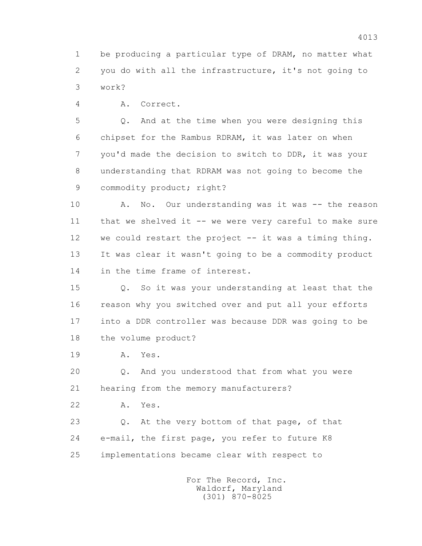1 be producing a particular type of DRAM, no matter what 2 you do with all the infrastructure, it's not going to 3 work?

4 A. Correct.

 5 Q. And at the time when you were designing this 6 chipset for the Rambus RDRAM, it was later on when 7 you'd made the decision to switch to DDR, it was your 8 understanding that RDRAM was not going to become the 9 commodity product; right?

 10 A. No. Our understanding was it was -- the reason 11 that we shelved it -- we were very careful to make sure 12 we could restart the project -- it was a timing thing. 13 It was clear it wasn't going to be a commodity product 14 in the time frame of interest.

 15 Q. So it was your understanding at least that the 16 reason why you switched over and put all your efforts 17 into a DDR controller was because DDR was going to be 18 the volume product?

19 A. Yes.

 20 Q. And you understood that from what you were 21 hearing from the memory manufacturers?

22 A. Yes.

 23 Q. At the very bottom of that page, of that 24 e-mail, the first page, you refer to future K8 25 implementations became clear with respect to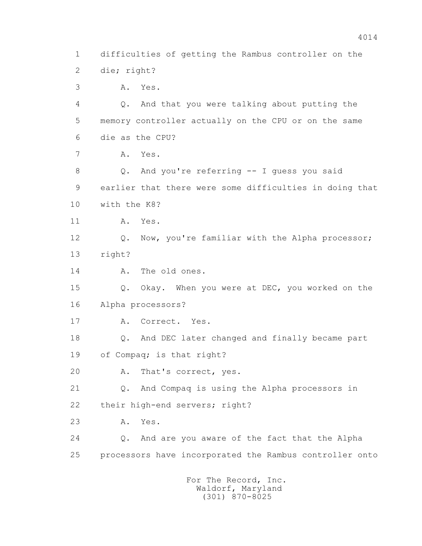1 difficulties of getting the Rambus controller on the 2 die; right? 3 A. Yes. 4 Q. And that you were talking about putting the 5 memory controller actually on the CPU or on the same 6 die as the CPU? 7 A. Yes. 8 Q. And you're referring -- I guess you said 9 earlier that there were some difficulties in doing that 10 with the K8? 11 A. Yes. 12 Q. Now, you're familiar with the Alpha processor; 13 right? 14 A. The old ones. 15 Q. Okay. When you were at DEC, you worked on the 16 Alpha processors? 17 A. Correct. Yes. 18 Q. And DEC later changed and finally became part 19 of Compaq; is that right? 20 A. That's correct, yes. 21 Q. And Compaq is using the Alpha processors in 22 their high-end servers; right? 23 A. Yes. 24 Q. And are you aware of the fact that the Alpha 25 processors have incorporated the Rambus controller onto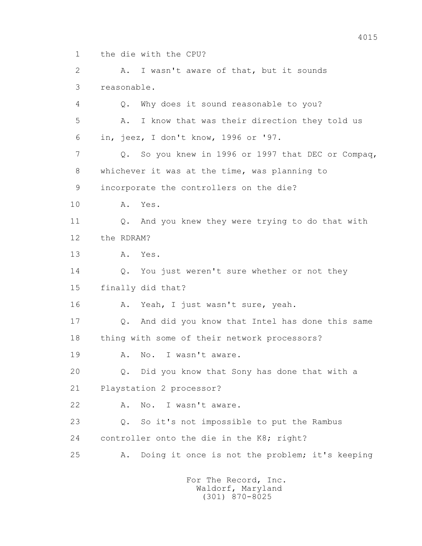1 the die with the CPU?

2 A. I wasn't aware of that, but it sounds 3 reasonable. 4 Q. Why does it sound reasonable to you? 5 A. I know that was their direction they told us 6 in, jeez, I don't know, 1996 or '97. 7 Q. So you knew in 1996 or 1997 that DEC or Compaq, 8 whichever it was at the time, was planning to 9 incorporate the controllers on the die? 10 A. Yes. 11 Q. And you knew they were trying to do that with 12 the RDRAM? 13 A. Yes. 14 Q. You just weren't sure whether or not they 15 finally did that? 16 A. Yeah, I just wasn't sure, yeah. 17 Q. And did you know that Intel has done this same 18 thing with some of their network processors? 19 A. No. I wasn't aware. 20 Q. Did you know that Sony has done that with a 21 Playstation 2 processor? 22 A. No. I wasn't aware. 23 Q. So it's not impossible to put the Rambus 24 controller onto the die in the K8; right? 25 A. Doing it once is not the problem; it's keeping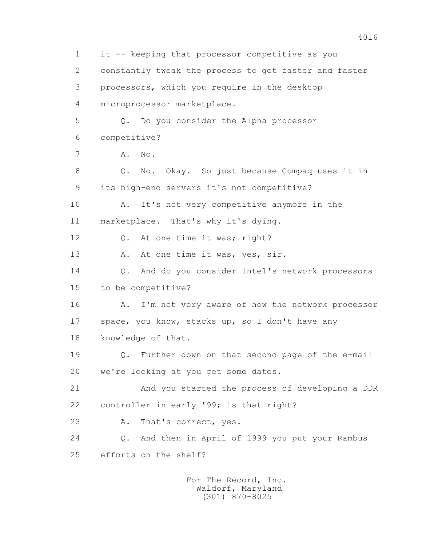1 it -- keeping that processor competitive as you 2 constantly tweak the process to get faster and faster 3 processors, which you require in the desktop 4 microprocessor marketplace. 5 Q. Do you consider the Alpha processor 6 competitive? 7 A. No. 8 Q. No. Okay. So just because Compaq uses it in 9 its high-end servers it's not competitive? 10 A. It's not very competitive anymore in the 11 marketplace. That's why it's dying. 12 Q. At one time it was; right? 13 A. At one time it was, yes, sir. 14 Q. And do you consider Intel's network processors 15 to be competitive? 16 A. I'm not very aware of how the network processor 17 space, you know, stacks up, so I don't have any 18 knowledge of that. 19 Q. Further down on that second page of the e-mail 20 we're looking at you get some dates. 21 And you started the process of developing a DDR 22 controller in early '99; is that right? 23 A. That's correct, yes. 24 Q. And then in April of 1999 you put your Rambus 25 efforts on the shelf? For The Record, Inc.

> Waldorf, Maryland (301) 870-8025

4016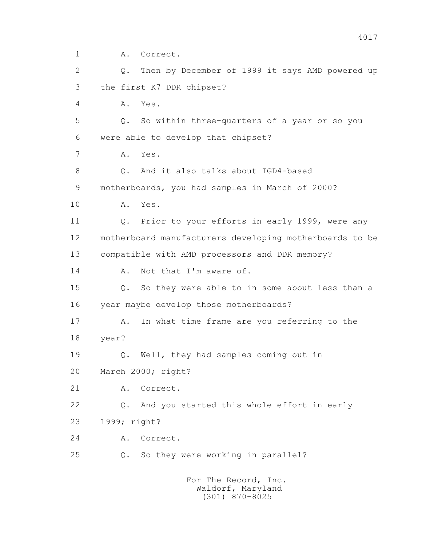1 A. Correct.

 2 Q. Then by December of 1999 it says AMD powered up 3 the first K7 DDR chipset?

4 A. Yes.

 5 Q. So within three-quarters of a year or so you 6 were able to develop that chipset?

7 A. Yes.

8 0. And it also talks about IGD4-based 9 motherboards, you had samples in March of 2000?

10 A. Yes.

 11 Q. Prior to your efforts in early 1999, were any 12 motherboard manufacturers developing motherboards to be 13 compatible with AMD processors and DDR memory?

14 A. Not that I'm aware of.

 15 Q. So they were able to in some about less than a 16 year maybe develop those motherboards?

 17 A. In what time frame are you referring to the 18 year?

19 Q. Well, they had samples coming out in

20 March 2000; right?

21 A. Correct.

22 Q. And you started this whole effort in early

23 1999; right?

24 A. Correct.

25 Q. So they were working in parallel?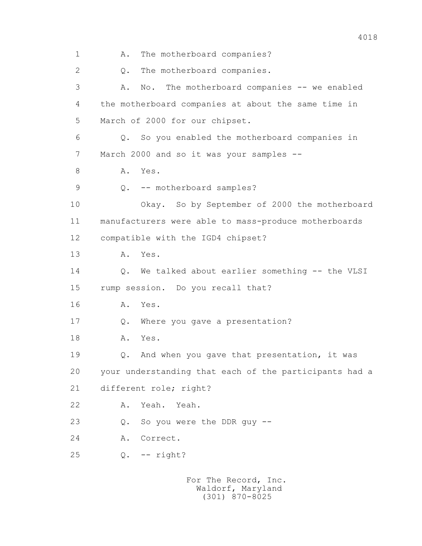1 A. The motherboard companies? 2 0. The motherboard companies. 3 A. No. The motherboard companies -- we enabled 4 the motherboard companies at about the same time in 5 March of 2000 for our chipset. 6 Q. So you enabled the motherboard companies in 7 March 2000 and so it was your samples -- 8 A. Yes. 9 Q. -- motherboard samples? 10 Okay. So by September of 2000 the motherboard 11 manufacturers were able to mass-produce motherboards 12 compatible with the IGD4 chipset? 13 A. Yes. 14 Q. We talked about earlier something -- the VLSI 15 rump session. Do you recall that? 16 A. Yes. 17 Q. Where you gave a presentation? 18 A. Yes. 19 Q. And when you gave that presentation, it was 20 your understanding that each of the participants had a 21 different role; right? 22 A. Yeah. Yeah. 23 Q. So you were the DDR guy -- 24 A. Correct. 25 Q. -- right? For The Record, Inc.

 Waldorf, Maryland (301) 870-8025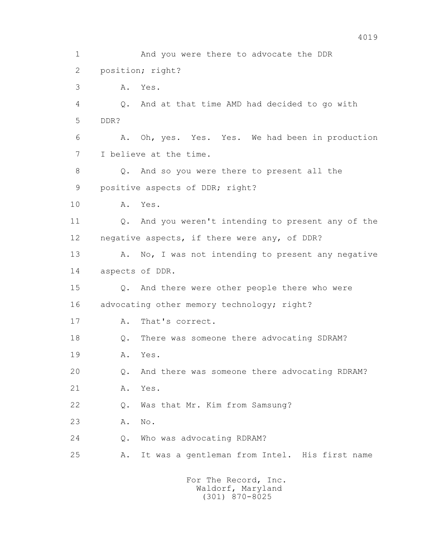1 And you were there to advocate the DDR 2 position; right? 3 A. Yes. 4 Q. And at that time AMD had decided to go with 5 DDR? 6 A. Oh, yes. Yes. Yes. We had been in production 7 I believe at the time. 8 Q. And so you were there to present all the 9 positive aspects of DDR; right? 10 A. Yes. 11 Q. And you weren't intending to present any of the 12 negative aspects, if there were any, of DDR? 13 A. No, I was not intending to present any negative 14 aspects of DDR. 15 Q. And there were other people there who were 16 advocating other memory technology; right? 17 A. That's correct. 18 Q. There was someone there advocating SDRAM? 19 A. Yes. 20 Q. And there was someone there advocating RDRAM? 21 A. Yes. 22 Q. Was that Mr. Kim from Samsung? 23 A. No. 24 0. Who was advocating RDRAM? 25 A. It was a gentleman from Intel. His first name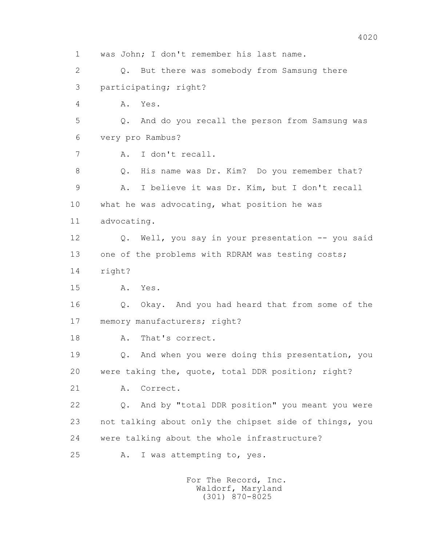1 was John; I don't remember his last name. 2 Q. But there was somebody from Samsung there 3 participating; right? 4 A. Yes. 5 Q. And do you recall the person from Samsung was 6 very pro Rambus? 7 A. I don't recall. 8 Q. His name was Dr. Kim? Do you remember that? 9 A. I believe it was Dr. Kim, but I don't recall 10 what he was advocating, what position he was 11 advocating. 12 Q. Well, you say in your presentation -- you said 13 one of the problems with RDRAM was testing costs; 14 right? 15 A. Yes. 16 Q. Okay. And you had heard that from some of the 17 memory manufacturers; right? 18 A. That's correct. 19 Q. And when you were doing this presentation, you 20 were taking the, quote, total DDR position; right? 21 A. Correct. 22 Q. And by "total DDR position" you meant you were 23 not talking about only the chipset side of things, you 24 were talking about the whole infrastructure? 25 A. I was attempting to, yes.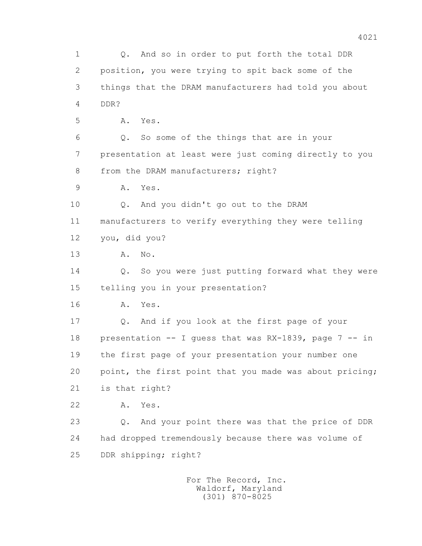1 Q. And so in order to put forth the total DDR 2 position, you were trying to spit back some of the 3 things that the DRAM manufacturers had told you about 4 DDR? 5 A. Yes. 6 Q. So some of the things that are in your 7 presentation at least were just coming directly to you 8 from the DRAM manufacturers; right? 9 A. Yes. 10 Q. And you didn't go out to the DRAM 11 manufacturers to verify everything they were telling 12 you, did you? 13 A. No. 14 Q. So you were just putting forward what they were 15 telling you in your presentation? 16 A. Yes. 17 Q. And if you look at the first page of your 18 presentation -- I guess that was RX-1839, page 7 -- in 19 the first page of your presentation your number one 20 point, the first point that you made was about pricing; 21 is that right? 22 A. Yes. 23 Q. And your point there was that the price of DDR 24 had dropped tremendously because there was volume of 25 DDR shipping; right?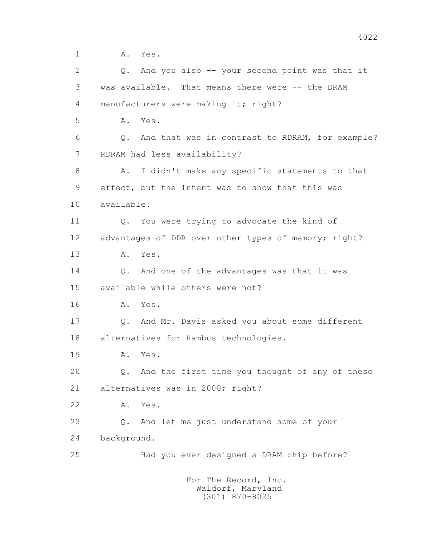1 **A.** Yes.

 2 Q. And you also -- your second point was that it 3 was available. That means there were -- the DRAM 4 manufacturers were making it; right? 5 A. Yes. 6 Q. And that was in contrast to RDRAM, for example? 7 RDRAM had less availability? 8 A. I didn't make any specific statements to that 9 effect, but the intent was to show that this was 10 available. 11 Q. You were trying to advocate the kind of 12 advantages of DDR over other types of memory; right? 13 A. Yes. 14 Q. And one of the advantages was that it was 15 available while others were not? 16 A. Yes. 17 Q. And Mr. Davis asked you about some different 18 alternatives for Rambus technologies. 19 A. Yes. 20 Q. And the first time you thought of any of these 21 alternatives was in 2000; right? 22 A. Yes. 23 Q. And let me just understand some of your 24 background. 25 Had you ever designed a DRAM chip before? For The Record, Inc.

 Waldorf, Maryland (301) 870-8025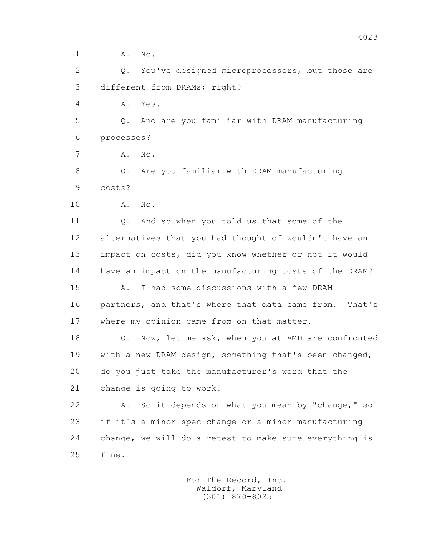1 **A.** No.

 2 Q. You've designed microprocessors, but those are 3 different from DRAMs; right?

4 A. Yes.

 5 Q. And are you familiar with DRAM manufacturing 6 processes?

7 A. No.

 8 Q. Are you familiar with DRAM manufacturing 9 costs?

10 A. No.

 11 Q. And so when you told us that some of the 12 alternatives that you had thought of wouldn't have an 13 impact on costs, did you know whether or not it would 14 have an impact on the manufacturing costs of the DRAM?

 15 A. I had some discussions with a few DRAM 16 partners, and that's where that data came from. That's 17 where my opinion came from on that matter.

 18 Q. Now, let me ask, when you at AMD are confronted 19 with a new DRAM design, something that's been changed, 20 do you just take the manufacturer's word that the 21 change is going to work?

 22 A. So it depends on what you mean by "change," so 23 if it's a minor spec change or a minor manufacturing 24 change, we will do a retest to make sure everything is 25 fine.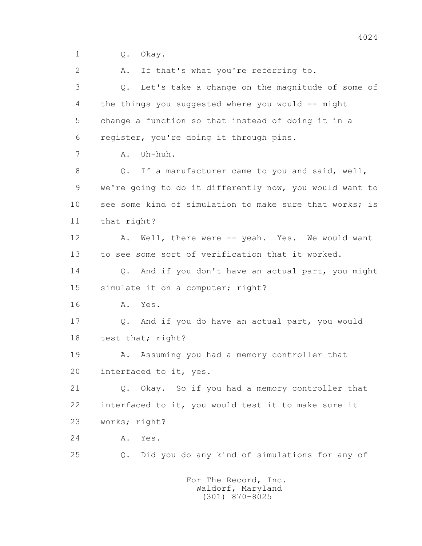1 Q. Okay.

2 A. If that's what you're referring to.

 3 Q. Let's take a change on the magnitude of some of 4 the things you suggested where you would -- might 5 change a function so that instead of doing it in a 6 register, you're doing it through pins.

7 A. Uh-huh.

8 Q. If a manufacturer came to you and said, well, 9 we're going to do it differently now, you would want to 10 see some kind of simulation to make sure that works; is 11 that right?

 12 A. Well, there were -- yeah. Yes. We would want 13 to see some sort of verification that it worked.

14 0. And if you don't have an actual part, you might 15 simulate it on a computer; right?

16 A. Yes.

 17 Q. And if you do have an actual part, you would 18 test that; right?

 19 A. Assuming you had a memory controller that 20 interfaced to it, yes.

 21 Q. Okay. So if you had a memory controller that 22 interfaced to it, you would test it to make sure it 23 works; right?

24 A. Yes.

25 Q. Did you do any kind of simulations for any of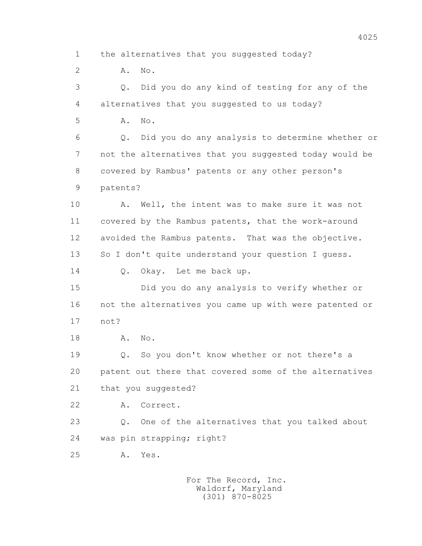1 the alternatives that you suggested today?

2 **A.** No.

 3 Q. Did you do any kind of testing for any of the 4 alternatives that you suggested to us today?

5 **A.** No.

 6 Q. Did you do any analysis to determine whether or 7 not the alternatives that you suggested today would be 8 covered by Rambus' patents or any other person's 9 patents?

 10 A. Well, the intent was to make sure it was not 11 covered by the Rambus patents, that the work-around 12 avoided the Rambus patents. That was the objective. 13 So I don't quite understand your question I quess.

14 0. Okay. Let me back up.

 15 Did you do any analysis to verify whether or 16 not the alternatives you came up with were patented or 17 not?

18 **A.** No.

 19 Q. So you don't know whether or not there's a 20 patent out there that covered some of the alternatives 21 that you suggested?

22 A. Correct.

 23 Q. One of the alternatives that you talked about 24 was pin strapping; right?

25 A. Yes.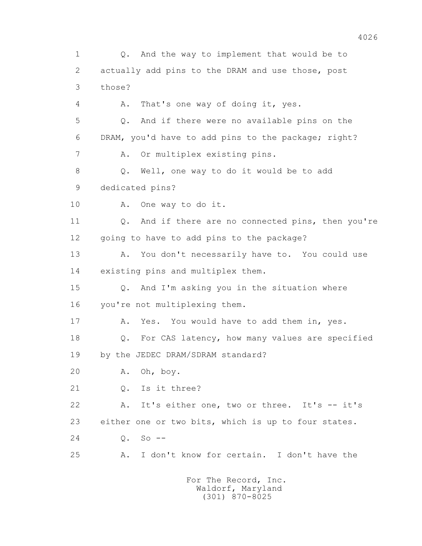1 Q. And the way to implement that would be to 2 actually add pins to the DRAM and use those, post 3 those? 4 A. That's one way of doing it, yes. 5 Q. And if there were no available pins on the 6 DRAM, you'd have to add pins to the package; right? 7 A. Or multiplex existing pins. 8 Q. Well, one way to do it would be to add 9 dedicated pins? 10 A. One way to do it. 11 Q. And if there are no connected pins, then you're 12 going to have to add pins to the package? 13 A. You don't necessarily have to. You could use 14 existing pins and multiplex them. 15 Q. And I'm asking you in the situation where 16 you're not multiplexing them. 17 A. Yes. You would have to add them in, yes. 18 Q. For CAS latency, how many values are specified 19 by the JEDEC DRAM/SDRAM standard? 20 A. Oh, boy. 21 Q. Is it three? 22 A. It's either one, two or three. It's -- it's 23 either one or two bits, which is up to four states. 24 Q. So -- 25 A. I don't know for certain. I don't have the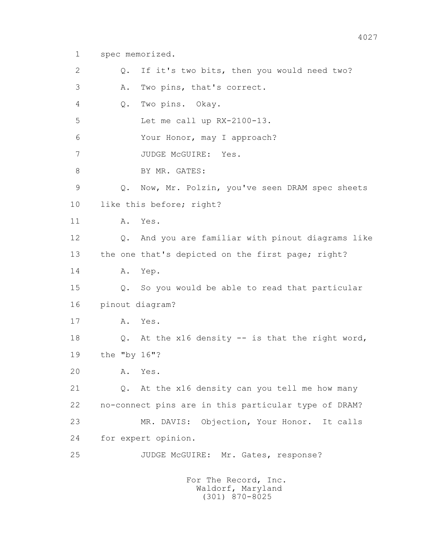1 spec memorized.

 2 Q. If it's two bits, then you would need two? 3 A. Two pins, that's correct. 4 Q. Two pins. Okay. 5 Let me call up RX-2100-13. 6 Your Honor, may I approach? 7 JUDGE McGUIRE: Yes. 8 BY MR. GATES: 9 Q. Now, Mr. Polzin, you've seen DRAM spec sheets 10 like this before; right? 11 A. Yes. 12 Q. And you are familiar with pinout diagrams like 13 the one that's depicted on the first page; right? 14 A. Yep. 15 Q. So you would be able to read that particular 16 pinout diagram? 17 A. Yes. 18 Q. At the x16 density -- is that the right word, 19 the "by 16"? 20 A. Yes. 21 Q. At the x16 density can you tell me how many 22 no-connect pins are in this particular type of DRAM? 23 MR. DAVIS: Objection, Your Honor. It calls 24 for expert opinion. 25 JUDGE McGUIRE: Mr. Gates, response?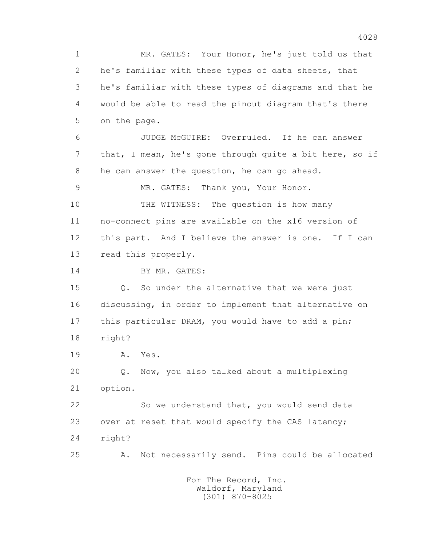1 MR. GATES: Your Honor, he's just told us that 2 he's familiar with these types of data sheets, that 3 he's familiar with these types of diagrams and that he 4 would be able to read the pinout diagram that's there 5 on the page. 6 JUDGE McGUIRE: Overruled. If he can answer 7 that, I mean, he's gone through quite a bit here, so if 8 he can answer the question, he can go ahead. 9 MR. GATES: Thank you, Your Honor. 10 THE WITNESS: The question is how many 11 no-connect pins are available on the x16 version of 12 this part. And I believe the answer is one. If I can 13 read this properly. 14 BY MR. GATES: 15 Q. So under the alternative that we were just 16 discussing, in order to implement that alternative on 17 this particular DRAM, you would have to add a pin; 18 right? 19 A. Yes. 20 Q. Now, you also talked about a multiplexing 21 option. 22 So we understand that, you would send data 23 over at reset that would specify the CAS latency; 24 right? 25 A. Not necessarily send. Pins could be allocated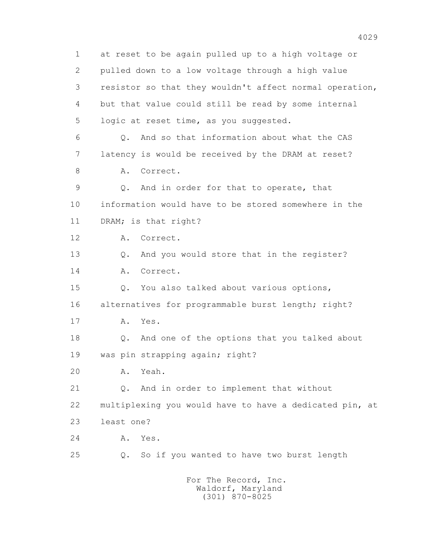1 at reset to be again pulled up to a high voltage or 2 pulled down to a low voltage through a high value 3 resistor so that they wouldn't affect normal operation, 4 but that value could still be read by some internal 5 logic at reset time, as you suggested. 6 Q. And so that information about what the CAS 7 latency is would be received by the DRAM at reset? 8 A. Correct. 9 Q. And in order for that to operate, that 10 information would have to be stored somewhere in the 11 DRAM; is that right? 12 A. Correct. 13 Q. And you would store that in the register? 14 A. Correct. 15 Q. You also talked about various options, 16 alternatives for programmable burst length; right? 17 A. Yes. 18 Q. And one of the options that you talked about 19 was pin strapping again; right? 20 A. Yeah. 21 Q. And in order to implement that without 22 multiplexing you would have to have a dedicated pin, at 23 least one? 24 A. Yes. 25 Q. So if you wanted to have two burst length For The Record, Inc.

 Waldorf, Maryland (301) 870-8025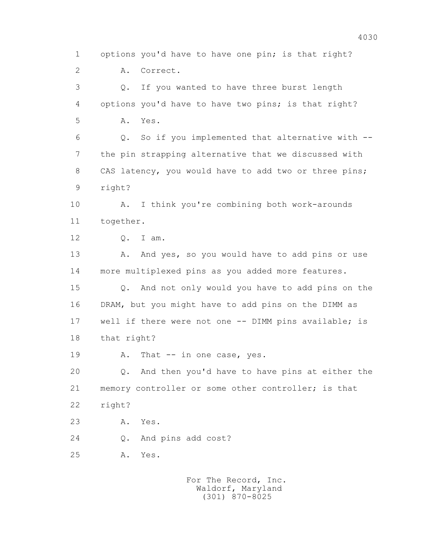1 options you'd have to have one pin; is that right? 2 A. Correct. 3 Q. If you wanted to have three burst length 4 options you'd have to have two pins; is that right? 5 A. Yes. 6 Q. So if you implemented that alternative with -- 7 the pin strapping alternative that we discussed with 8 CAS latency, you would have to add two or three pins; 9 right? 10 A. I think you're combining both work-arounds 11 together. 12 Q. I am. 13 A. And yes, so you would have to add pins or use 14 more multiplexed pins as you added more features. 15 Q. And not only would you have to add pins on the

 16 DRAM, but you might have to add pins on the DIMM as 17 well if there were not one -- DIMM pins available; is 18 that right?

19 A. That -- in one case, yes.

 20 Q. And then you'd have to have pins at either the 21 memory controller or some other controller; is that 22 right?

23 A. Yes.

24 Q. And pins add cost?

25 A. Yes.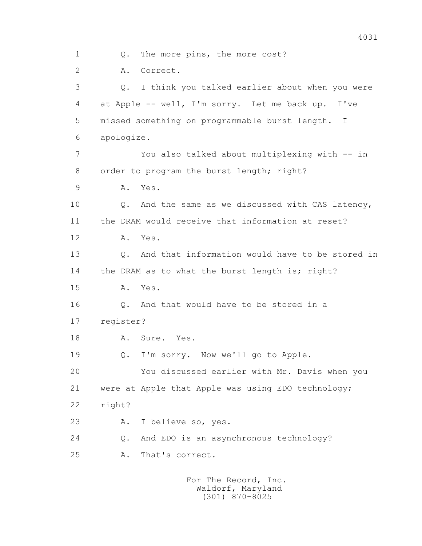1 Q. The more pins, the more cost? 2 A. Correct. 3 Q. I think you talked earlier about when you were 4 at Apple -- well, I'm sorry. Let me back up. I've 5 missed something on programmable burst length. I 6 apologize. 7 You also talked about multiplexing with -- in 8 order to program the burst length; right? 9 A. Yes. 10 Q. And the same as we discussed with CAS latency, 11 the DRAM would receive that information at reset? 12 A. Yes. 13 Q. And that information would have to be stored in 14 the DRAM as to what the burst length is; right? 15 A. Yes. 16 Q. And that would have to be stored in a 17 register? 18 A. Sure. Yes. 19 Q. I'm sorry. Now we'll go to Apple. 20 You discussed earlier with Mr. Davis when you 21 were at Apple that Apple was using EDO technology; 22 right? 23 A. I believe so, yes. 24 Q. And EDO is an asynchronous technology? 25 A. That's correct.

> For The Record, Inc. Waldorf, Maryland (301) 870-8025

4031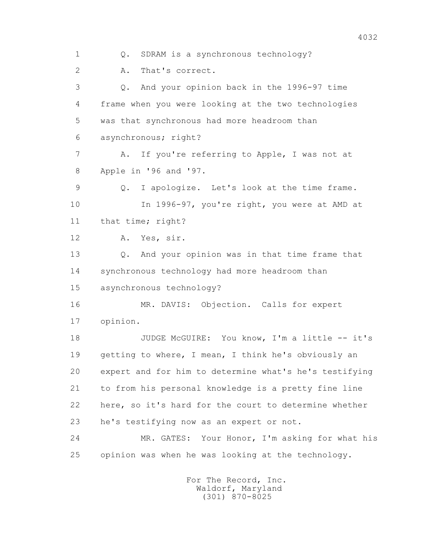1 Q. SDRAM is a synchronous technology? 2 A. That's correct. 3 Q. And your opinion back in the 1996-97 time 4 frame when you were looking at the two technologies 5 was that synchronous had more headroom than 6 asynchronous; right? 7 A. If you're referring to Apple, I was not at 8 Apple in '96 and '97. 9 Q. I apologize. Let's look at the time frame. 10 In 1996-97, you're right, you were at AMD at 11 that time; right? 12 A. Yes, sir. 13 Q. And your opinion was in that time frame that 14 synchronous technology had more headroom than 15 asynchronous technology? 16 MR. DAVIS: Objection. Calls for expert 17 opinion. 18 JUDGE McGUIRE: You know, I'm a little -- it's 19 getting to where, I mean, I think he's obviously an 20 expert and for him to determine what's he's testifying 21 to from his personal knowledge is a pretty fine line 22 here, so it's hard for the court to determine whether 23 he's testifying now as an expert or not. 24 MR. GATES: Your Honor, I'm asking for what his 25 opinion was when he was looking at the technology.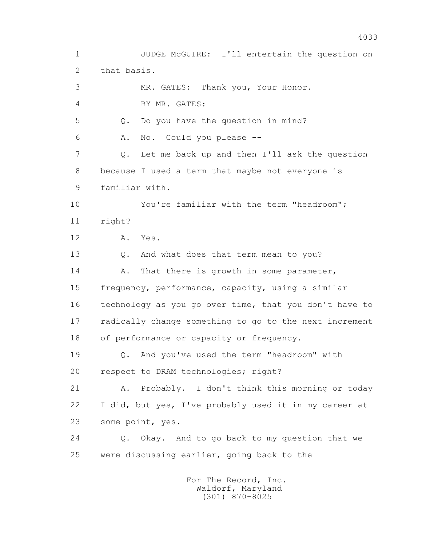1 JUDGE McGUIRE: I'll entertain the question on 2 that basis. 3 MR. GATES: Thank you, Your Honor. 4 BY MR. GATES: 5 Q. Do you have the question in mind? 6 A. No. Could you please -- 7 Q. Let me back up and then I'll ask the question 8 because I used a term that maybe not everyone is 9 familiar with. 10 You're familiar with the term "headroom"; 11 right? 12 A. Yes. 13 Q. And what does that term mean to you? 14 A. That there is growth in some parameter, 15 frequency, performance, capacity, using a similar 16 technology as you go over time, that you don't have to 17 radically change something to go to the next increment 18 of performance or capacity or frequency. 19 Q. And you've used the term "headroom" with 20 respect to DRAM technologies; right? 21 A. Probably. I don't think this morning or today 22 I did, but yes, I've probably used it in my career at 23 some point, yes. 24 Q. Okay. And to go back to my question that we 25 were discussing earlier, going back to the For The Record, Inc. Waldorf, Maryland

(301) 870-8025

4033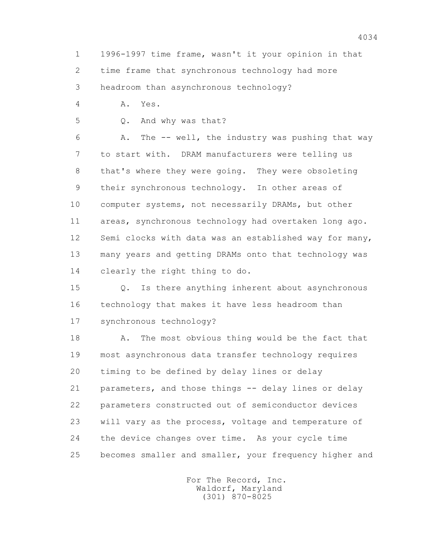1 1996-1997 time frame, wasn't it your opinion in that 2 time frame that synchronous technology had more 3 headroom than asynchronous technology?

4 A. Yes.

5 Q. And why was that?

 6 A. The -- well, the industry was pushing that way 7 to start with. DRAM manufacturers were telling us 8 that's where they were going. They were obsoleting 9 their synchronous technology. In other areas of 10 computer systems, not necessarily DRAMs, but other 11 areas, synchronous technology had overtaken long ago. 12 Semi clocks with data was an established way for many, 13 many years and getting DRAMs onto that technology was 14 clearly the right thing to do.

 15 Q. Is there anything inherent about asynchronous 16 technology that makes it have less headroom than 17 synchronous technology?

 18 A. The most obvious thing would be the fact that 19 most asynchronous data transfer technology requires 20 timing to be defined by delay lines or delay 21 parameters, and those things -- delay lines or delay 22 parameters constructed out of semiconductor devices 23 will vary as the process, voltage and temperature of 24 the device changes over time. As your cycle time 25 becomes smaller and smaller, your frequency higher and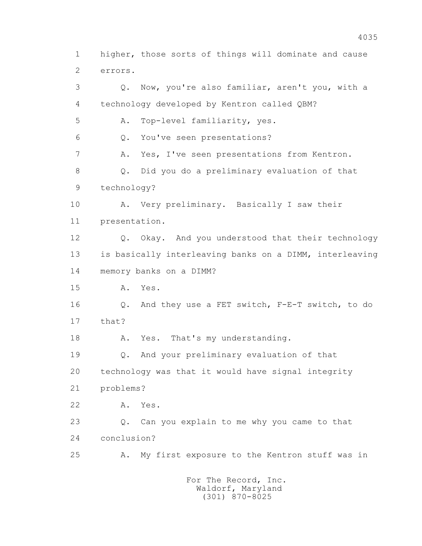1 higher, those sorts of things will dominate and cause 2 errors. 3 Q. Now, you're also familiar, aren't you, with a 4 technology developed by Kentron called QBM? 5 A. Top-level familiarity, yes. 6 Q. You've seen presentations? 7 A. Yes, I've seen presentations from Kentron. 8 Q. Did you do a preliminary evaluation of that 9 technology? 10 A. Very preliminary. Basically I saw their 11 presentation. 12 Q. Okay. And you understood that their technology 13 is basically interleaving banks on a DIMM, interleaving 14 memory banks on a DIMM? 15 A. Yes. 16 Q. And they use a FET switch, F-E-T switch, to do 17 that? 18 A. Yes. That's my understanding. 19 Q. And your preliminary evaluation of that 20 technology was that it would have signal integrity 21 problems? 22 A. Yes. 23 Q. Can you explain to me why you came to that 24 conclusion? 25 A. My first exposure to the Kentron stuff was in For The Record, Inc. Waldorf, Maryland

(301) 870-8025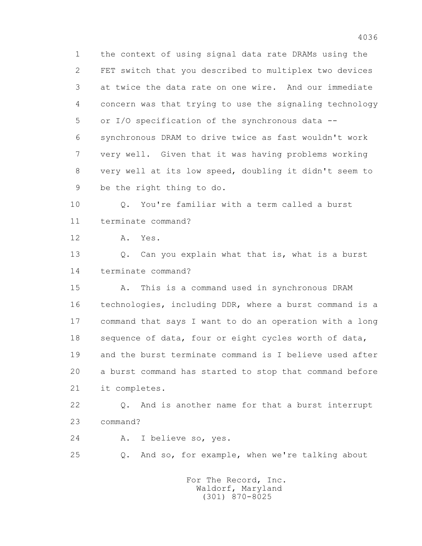1 the context of using signal data rate DRAMs using the 2 FET switch that you described to multiplex two devices 3 at twice the data rate on one wire. And our immediate 4 concern was that trying to use the signaling technology 5 or I/O specification of the synchronous data -- 6 synchronous DRAM to drive twice as fast wouldn't work 7 very well. Given that it was having problems working 8 very well at its low speed, doubling it didn't seem to 9 be the right thing to do.

 10 Q. You're familiar with a term called a burst 11 terminate command?

12 A. Yes.

13 Q. Can you explain what that is, what is a burst 14 terminate command?

 15 A. This is a command used in synchronous DRAM 16 technologies, including DDR, where a burst command is a 17 command that says I want to do an operation with a long 18 sequence of data, four or eight cycles worth of data, 19 and the burst terminate command is I believe used after 20 a burst command has started to stop that command before 21 it completes.

 22 Q. And is another name for that a burst interrupt 23 command?

24 A. I believe so, yes.

25 Q. And so, for example, when we're talking about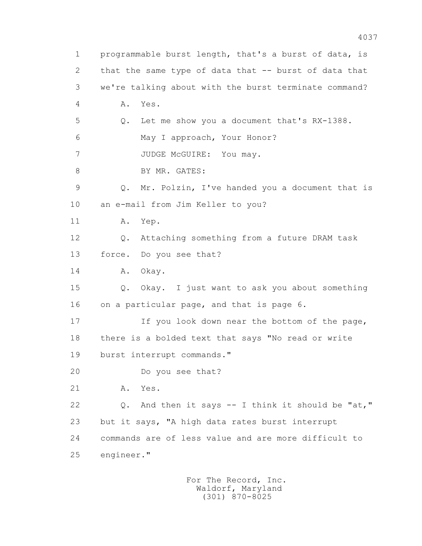1 programmable burst length, that's a burst of data, is 2 that the same type of data that -- burst of data that 3 we're talking about with the burst terminate command? 4 A. Yes. 5 Q. Let me show you a document that's RX-1388. 6 May I approach, Your Honor? 7 JUDGE McGUIRE: You may. 8 BY MR. GATES: 9 Q. Mr. Polzin, I've handed you a document that is 10 an e-mail from Jim Keller to you? 11 A. Yep. 12 Q. Attaching something from a future DRAM task 13 force. Do you see that? 14 A. Okay. 15 Q. Okay. I just want to ask you about something 16 on a particular page, and that is page 6. 17 If you look down near the bottom of the page, 18 there is a bolded text that says "No read or write 19 burst interrupt commands." 20 Do you see that? 21 A. Yes. 22 Q. And then it says -- I think it should be "at," 23 but it says, "A high data rates burst interrupt 24 commands are of less value and are more difficult to 25 engineer."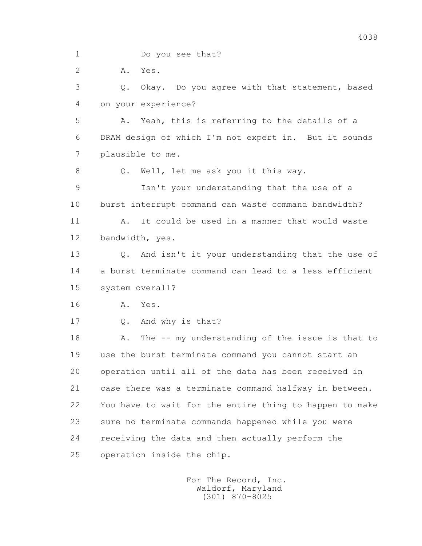1 Do you see that?

2 A. Yes.

 3 Q. Okay. Do you agree with that statement, based 4 on your experience?

 5 A. Yeah, this is referring to the details of a 6 DRAM design of which I'm not expert in. But it sounds 7 plausible to me.

8 Q. Well, let me ask you it this way.

 9 Isn't your understanding that the use of a 10 burst interrupt command can waste command bandwidth?

 11 A. It could be used in a manner that would waste 12 bandwidth, yes.

 13 Q. And isn't it your understanding that the use of 14 a burst terminate command can lead to a less efficient 15 system overall?

16 A. Yes.

17 Q. And why is that?

18 A. The -- my understanding of the issue is that to 19 use the burst terminate command you cannot start an 20 operation until all of the data has been received in 21 case there was a terminate command halfway in between. 22 You have to wait for the entire thing to happen to make 23 sure no terminate commands happened while you were 24 receiving the data and then actually perform the 25 operation inside the chip.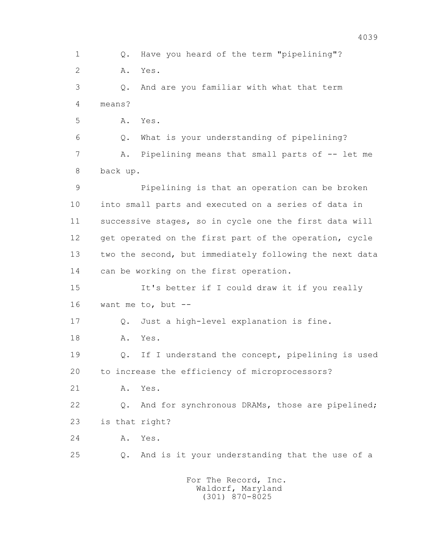1 Q. Have you heard of the term "pipelining"? 2 A. Yes. 3 Q. And are you familiar with what that term 4 means? 5 A. Yes. 6 Q. What is your understanding of pipelining? 7 A. Pipelining means that small parts of -- let me 8 back up. 9 Pipelining is that an operation can be broken 10 into small parts and executed on a series of data in 11 successive stages, so in cycle one the first data will 12 get operated on the first part of the operation, cycle 13 two the second, but immediately following the next data 14 can be working on the first operation. 15 It's better if I could draw it if you really 16 want me to, but -- 17 Q. Just a high-level explanation is fine. 18 A. Yes. 19 Q. If I understand the concept, pipelining is used 20 to increase the efficiency of microprocessors? 21 A. Yes. 22 Q. And for synchronous DRAMs, those are pipelined; 23 is that right? 24 A. Yes. 25 Q. And is it your understanding that the use of a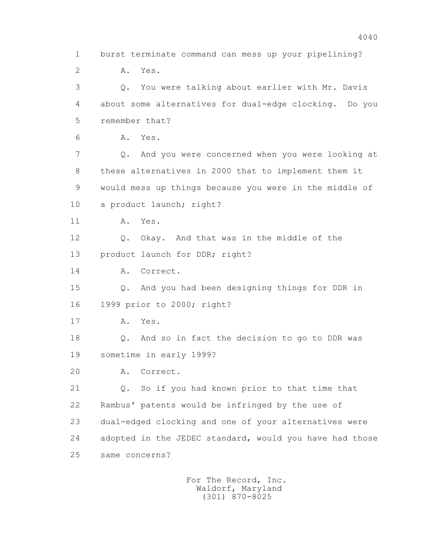1 burst terminate command can mess up your pipelining? 2 A. Yes. 3 Q. You were talking about earlier with Mr. Davis 4 about some alternatives for dual-edge clocking. Do you 5 remember that? 6 A. Yes. 7 Q. And you were concerned when you were looking at 8 these alternatives in 2000 that to implement them it 9 would mess up things because you were in the middle of 10 a product launch; right? 11 A. Yes. 12 Q. Okay. And that was in the middle of the 13 product launch for DDR; right? 14 A. Correct. 15 Q. And you had been designing things for DDR in 16 1999 prior to 2000; right? 17 A. Yes. 18 Q. And so in fact the decision to go to DDR was 19 sometime in early 1999? 20 A. Correct. 21 Q. So if you had known prior to that time that 22 Rambus' patents would be infringed by the use of 23 dual-edged clocking and one of your alternatives were 24 adopted in the JEDEC standard, would you have had those 25 same concerns?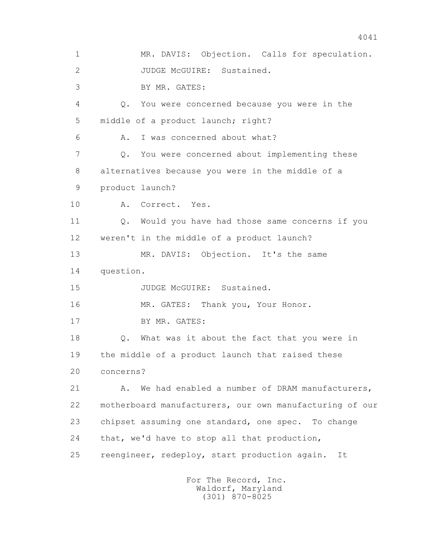1 MR. DAVIS: Objection. Calls for speculation. 2 JUDGE McGUIRE: Sustained. 3 BY MR. GATES: 4 Q. You were concerned because you were in the 5 middle of a product launch; right? 6 A. I was concerned about what? 7 Q. You were concerned about implementing these 8 alternatives because you were in the middle of a 9 product launch? 10 A. Correct. Yes. 11 Q. Would you have had those same concerns if you 12 weren't in the middle of a product launch? 13 MR. DAVIS: Objection. It's the same 14 question. 15 JUDGE McGUIRE: Sustained. 16 MR. GATES: Thank you, Your Honor. 17 BY MR. GATES: 18 Q. What was it about the fact that you were in 19 the middle of a product launch that raised these 20 concerns? 21 A. We had enabled a number of DRAM manufacturers, 22 motherboard manufacturers, our own manufacturing of our 23 chipset assuming one standard, one spec. To change 24 that, we'd have to stop all that production, 25 reengineer, redeploy, start production again. It For The Record, Inc.

 Waldorf, Maryland (301) 870-8025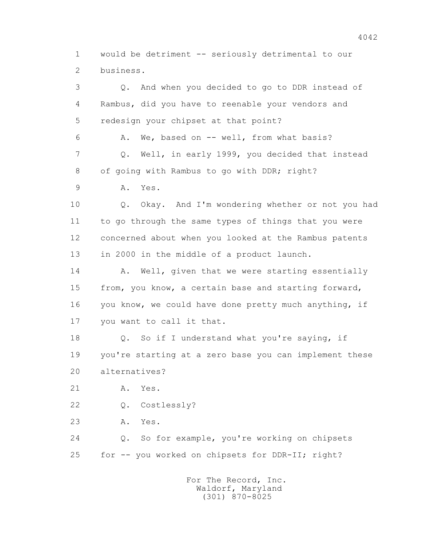1 would be detriment -- seriously detrimental to our 2 business.

 3 Q. And when you decided to go to DDR instead of 4 Rambus, did you have to reenable your vendors and 5 redesign your chipset at that point? 6 A. We, based on -- well, from what basis? 7 Q. Well, in early 1999, you decided that instead 8 of going with Rambus to go with DDR; right? 9 A. Yes. 10 Q. Okay. And I'm wondering whether or not you had 11 to go through the same types of things that you were 12 concerned about when you looked at the Rambus patents 13 in 2000 in the middle of a product launch. 14 A. Well, given that we were starting essentially 15 from, you know, a certain base and starting forward, 16 you know, we could have done pretty much anything, if 17 you want to call it that. 18 Q. So if I understand what you're saying, if 19 you're starting at a zero base you can implement these 20 alternatives? 21 A. Yes. 22 Q. Costlessly? 23 A. Yes. 24 Q. So for example, you're working on chipsets 25 for -- you worked on chipsets for DDR-II; right?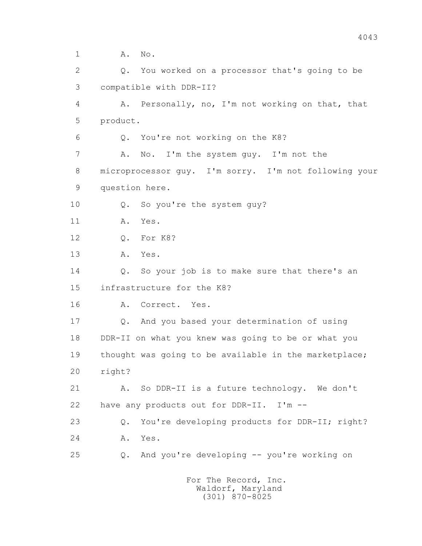1 **A.** No.

 2 Q. You worked on a processor that's going to be 3 compatible with DDR-II? 4 A. Personally, no, I'm not working on that, that 5 product. 6 Q. You're not working on the K8? 7 A. No. I'm the system guy. I'm not the 8 microprocessor guy. I'm sorry. I'm not following your 9 question here. 10 Q. So you're the system guy? 11 A. Yes. 12 Q. For K8? 13 A. Yes. 14 Q. So your job is to make sure that there's an 15 infrastructure for the K8? 16 A. Correct. Yes. 17 Q. And you based your determination of using 18 DDR-II on what you knew was going to be or what you 19 thought was going to be available in the marketplace; 20 right? 21 A. So DDR-II is a future technology. We don't 22 have any products out for DDR-II. I'm -- 23 Q. You're developing products for DDR-II; right? 24 A. Yes. 25 Q. And you're developing -- you're working on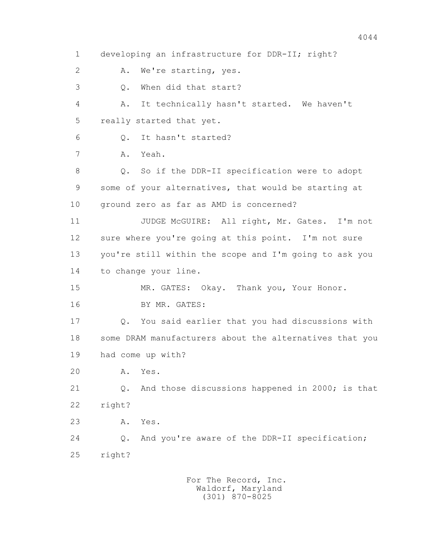1 developing an infrastructure for DDR-II; right? 2 A. We're starting, yes. 3 Q. When did that start? 4 A. It technically hasn't started. We haven't 5 really started that yet. 6 Q. It hasn't started? 7 A. Yeah. 8 Q. So if the DDR-II specification were to adopt 9 some of your alternatives, that would be starting at 10 ground zero as far as AMD is concerned? 11 JUDGE McGUIRE: All right, Mr. Gates. I'm not 12 sure where you're going at this point. I'm not sure 13 you're still within the scope and I'm going to ask you 14 to change your line. 15 MR. GATES: Okay. Thank you, Your Honor. 16 BY MR. GATES: 17 Q. You said earlier that you had discussions with 18 some DRAM manufacturers about the alternatives that you 19 had come up with? 20 A. Yes. 21 Q. And those discussions happened in 2000; is that 22 right? 23 A. Yes. 24 Q. And you're aware of the DDR-II specification; 25 right?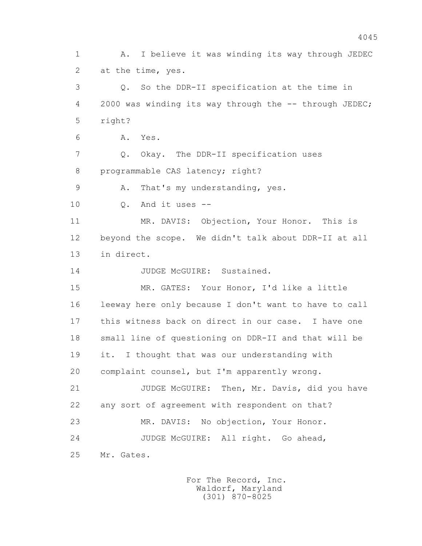1 A. I believe it was winding its way through JEDEC 2 at the time, yes. 3 Q. So the DDR-II specification at the time in 4 2000 was winding its way through the -- through JEDEC; 5 right? 6 A. Yes. 7 Q. Okay. The DDR-II specification uses 8 programmable CAS latency; right? 9 A. That's my understanding, yes. 10 Q. And it uses -- 11 MR. DAVIS: Objection, Your Honor. This is 12 beyond the scope. We didn't talk about DDR-II at all 13 in direct. 14 JUDGE McGUIRE: Sustained. 15 MR. GATES: Your Honor, I'd like a little 16 leeway here only because I don't want to have to call 17 this witness back on direct in our case. I have one 18 small line of questioning on DDR-II and that will be 19 it. I thought that was our understanding with 20 complaint counsel, but I'm apparently wrong. 21 JUDGE McGUIRE: Then, Mr. Davis, did you have 22 any sort of agreement with respondent on that? 23 MR. DAVIS: No objection, Your Honor. 24 JUDGE McGUIRE: All right. Go ahead, 25 Mr. Gates.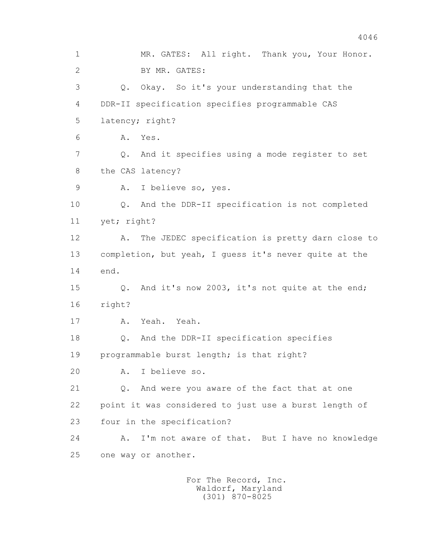1 MR. GATES: All right. Thank you, Your Honor. 2 BY MR. GATES: 3 Q. Okay. So it's your understanding that the 4 DDR-II specification specifies programmable CAS 5 latency; right? 6 A. Yes. 7 Q. And it specifies using a mode register to set 8 the CAS latency? 9 A. I believe so, yes. 10 Q. And the DDR-II specification is not completed 11 yet; right? 12 A. The JEDEC specification is pretty darn close to 13 completion, but yeah, I guess it's never quite at the 14 end. 15 Q. And it's now 2003, it's not quite at the end; 16 right? 17 A. Yeah. Yeah. 18 Q. And the DDR-II specification specifies 19 programmable burst length; is that right? 20 A. I believe so. 21 Q. And were you aware of the fact that at one 22 point it was considered to just use a burst length of 23 four in the specification? 24 A. I'm not aware of that. But I have no knowledge 25 one way or another.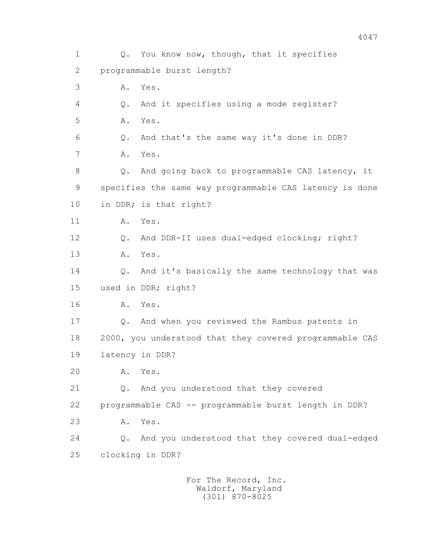1 0. You know now, though, that it specifies 2 programmable burst length? 3 A. Yes. 4 Q. And it specifies using a mode register? 5 A. Yes. 6 Q. And that's the same way it's done in DDR? 7 A. Yes. 8 Q. And going back to programmable CAS latency, it 9 specifies the same way programmable CAS latency is done 10 in DDR; is that right? 11 A. Yes. 12 Q. And DDR-II uses dual-edged clocking; right? 13 A. Yes. 14 Q. And it's basically the same technology that was 15 used in DDR; right? 16 A. Yes. 17 Q. And when you reviewed the Rambus patents in 18 2000, you understood that they covered programmable CAS 19 latency in DDR? 20 A. Yes. 21 Q. And you understood that they covered 22 programmable CAS -- programmable burst length in DDR? 23 A. Yes. 24 Q. And you understood that they covered dual-edged 25 clocking in DDR?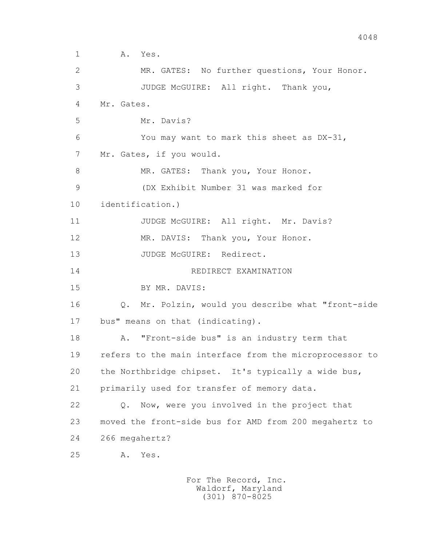```
 1 A. Yes. 
 2 MR. GATES: No further questions, Your Honor. 
 3 JUDGE McGUIRE: All right. Thank you, 
 4 Mr. Gates. 
 5 Mr. Davis? 
 6 You may want to mark this sheet as DX-31, 
 7 Mr. Gates, if you would. 
8 MR. GATES: Thank you, Your Honor.
 9 (DX Exhibit Number 31 was marked for 
 10 identification.)
11 JUDGE McGUIRE: All right. Mr. Davis?
 12 MR. DAVIS: Thank you, Your Honor. 
13 JUDGE McGUIRE: Redirect.
 14 REDIRECT EXAMINATION
 15 BY MR. DAVIS:
 16 Q. Mr. Polzin, would you describe what "front-side 
 17 bus" means on that (indicating). 
 18 A. "Front-side bus" is an industry term that 
 19 refers to the main interface from the microprocessor to 
 20 the Northbridge chipset. It's typically a wide bus, 
 21 primarily used for transfer of memory data. 
 22 Q. Now, were you involved in the project that 
 23 moved the front-side bus for AMD from 200 megahertz to 
 24 266 megahertz?
 25 A. Yes.
```
4048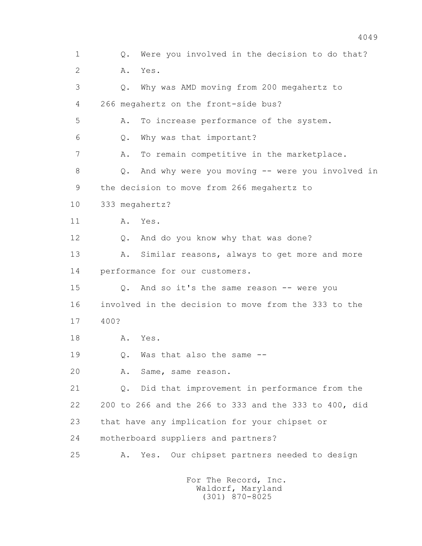1 Q. Were you involved in the decision to do that? 2 A. Yes. 3 Q. Why was AMD moving from 200 megahertz to 4 266 megahertz on the front-side bus? 5 A. To increase performance of the system. 6 Q. Why was that important? 7 A. To remain competitive in the marketplace. 8 Q. And why were you moving -- were you involved in 9 the decision to move from 266 megahertz to 10 333 megahertz? 11 A. Yes. 12 Q. And do you know why that was done? 13 A. Similar reasons, always to get more and more 14 performance for our customers. 15 Q. And so it's the same reason -- were you 16 involved in the decision to move from the 333 to the 17 400? 18 A. Yes. 19 0. Was that also the same -- 20 A. Same, same reason. 21 Q. Did that improvement in performance from the 22 200 to 266 and the 266 to 333 and the 333 to 400, did 23 that have any implication for your chipset or 24 motherboard suppliers and partners? 25 A. Yes. Our chipset partners needed to design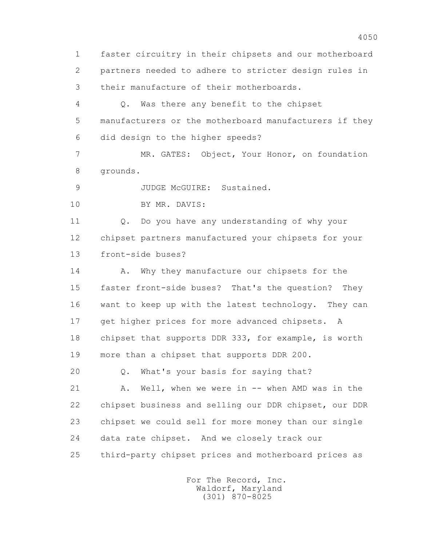1 faster circuitry in their chipsets and our motherboard 2 partners needed to adhere to stricter design rules in 3 their manufacture of their motherboards.

 4 Q. Was there any benefit to the chipset 5 manufacturers or the motherboard manufacturers if they 6 did design to the higher speeds?

 7 MR. GATES: Object, Your Honor, on foundation 8 grounds.

9 JUDGE McGUIRE: Sustained.

10 BY MR. DAVIS:

 11 Q. Do you have any understanding of why your 12 chipset partners manufactured your chipsets for your 13 front-side buses?

14 A. Why they manufacture our chipsets for the 15 faster front-side buses? That's the question? They 16 want to keep up with the latest technology. They can 17 get higher prices for more advanced chipsets. A 18 chipset that supports DDR 333, for example, is worth 19 more than a chipset that supports DDR 200.

20 Q. What's your basis for saying that?

 21 A. Well, when we were in -- when AMD was in the 22 chipset business and selling our DDR chipset, our DDR 23 chipset we could sell for more money than our single 24 data rate chipset. And we closely track our 25 third-party chipset prices and motherboard prices as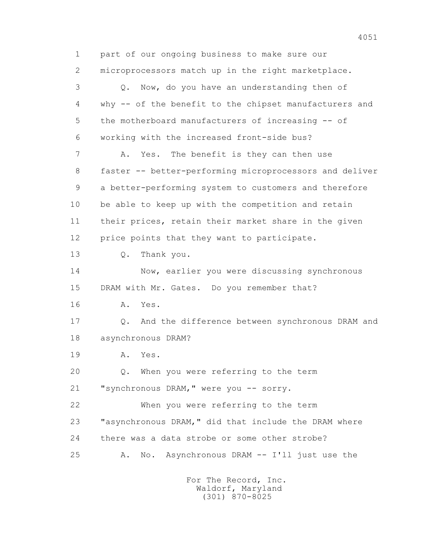1 part of our ongoing business to make sure our 2 microprocessors match up in the right marketplace. 3 Q. Now, do you have an understanding then of 4 why -- of the benefit to the chipset manufacturers and 5 the motherboard manufacturers of increasing -- of 6 working with the increased front-side bus? 7 A. Yes. The benefit is they can then use 8 faster -- better-performing microprocessors and deliver 9 a better-performing system to customers and therefore 10 be able to keep up with the competition and retain 11 their prices, retain their market share in the given 12 price points that they want to participate. 13 Q. Thank you. 14 Now, earlier you were discussing synchronous 15 DRAM with Mr. Gates. Do you remember that? 16 A. Yes. 17 Q. And the difference between synchronous DRAM and 18 asynchronous DRAM? 19 A. Yes. 20 Q. When you were referring to the term 21 "synchronous DRAM," were you -- sorry. 22 When you were referring to the term 23 "asynchronous DRAM," did that include the DRAM where 24 there was a data strobe or some other strobe? 25 A. No. Asynchronous DRAM -- I'll just use the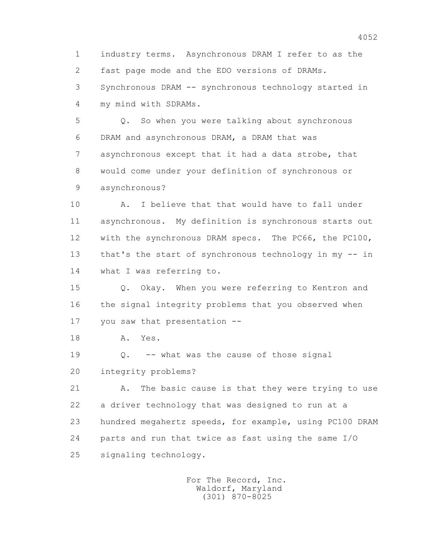1 industry terms. Asynchronous DRAM I refer to as the 2 fast page mode and the EDO versions of DRAMs. 3 Synchronous DRAM -- synchronous technology started in 4 my mind with SDRAMs.

 5 Q. So when you were talking about synchronous 6 DRAM and asynchronous DRAM, a DRAM that was 7 asynchronous except that it had a data strobe, that 8 would come under your definition of synchronous or 9 asynchronous?

 10 A. I believe that that would have to fall under 11 asynchronous. My definition is synchronous starts out 12 with the synchronous DRAM specs. The PC66, the PC100, 13 that's the start of synchronous technology in my -- in 14 what I was referring to.

 15 Q. Okay. When you were referring to Kentron and 16 the signal integrity problems that you observed when 17 you saw that presentation --

18 A. Yes.

19 0. -- what was the cause of those signal 20 integrity problems?

 21 A. The basic cause is that they were trying to use 22 a driver technology that was designed to run at a 23 hundred megahertz speeds, for example, using PC100 DRAM 24 parts and run that twice as fast using the same I/O 25 signaling technology.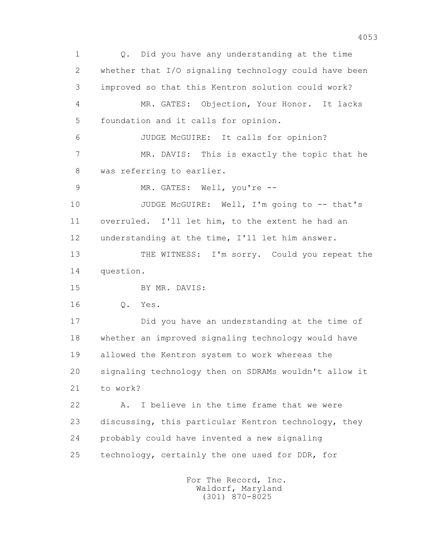1 Q. Did you have any understanding at the time 2 whether that I/O signaling technology could have been 3 improved so that this Kentron solution could work? 4 MR. GATES: Objection, Your Honor. It lacks 5 foundation and it calls for opinion. 6 JUDGE McGUIRE: It calls for opinion? 7 MR. DAVIS: This is exactly the topic that he 8 was referring to earlier. 9 MR. GATES: Well, you're --10 JUDGE McGUIRE: Well, I'm going to -- that's 11 overruled. I'll let him, to the extent he had an 12 understanding at the time, I'll let him answer. 13 THE WITNESS: I'm sorry. Could you repeat the 14 question. 15 BY MR. DAVIS: 16 Q. Yes. 17 Did you have an understanding at the time of 18 whether an improved signaling technology would have 19 allowed the Kentron system to work whereas the 20 signaling technology then on SDRAMs wouldn't allow it 21 to work? 22 A. I believe in the time frame that we were 23 discussing, this particular Kentron technology, they 24 probably could have invented a new signaling 25 technology, certainly the one used for DDR, for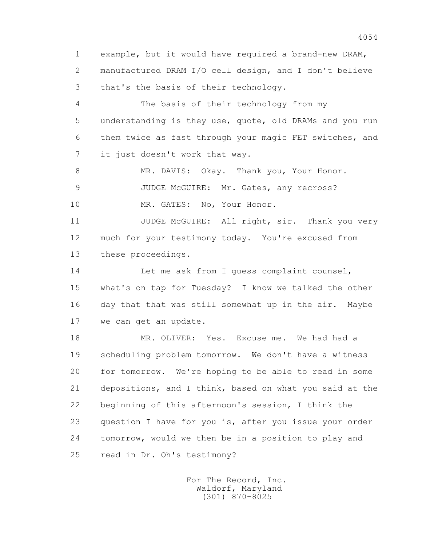1 example, but it would have required a brand-new DRAM, 2 manufactured DRAM I/O cell design, and I don't believe 3 that's the basis of their technology.

 4 The basis of their technology from my 5 understanding is they use, quote, old DRAMs and you run 6 them twice as fast through your magic FET switches, and 7 it just doesn't work that way.

8 MR. DAVIS: Okay. Thank you, Your Honor.

9 JUDGE McGUIRE: Mr. Gates, any recross?

10 MR. GATES: No, Your Honor.

11 JUDGE McGUIRE: All right, sir. Thank you very 12 much for your testimony today. You're excused from 13 these proceedings.

14 Let me ask from I quess complaint counsel, 15 what's on tap for Tuesday? I know we talked the other 16 day that that was still somewhat up in the air. Maybe 17 we can get an update.

 18 MR. OLIVER: Yes. Excuse me. We had had a 19 scheduling problem tomorrow. We don't have a witness 20 for tomorrow. We're hoping to be able to read in some 21 depositions, and I think, based on what you said at the 22 beginning of this afternoon's session, I think the 23 question I have for you is, after you issue your order 24 tomorrow, would we then be in a position to play and 25 read in Dr. Oh's testimony?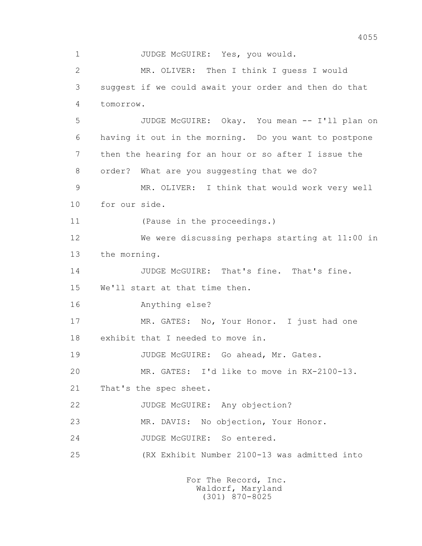1 JUDGE McGUIRE: Yes, you would. 2 MR. OLIVER: Then I think I guess I would 3 suggest if we could await your order and then do that 4 tomorrow. 5 JUDGE McGUIRE: Okay. You mean -- I'll plan on 6 having it out in the morning. Do you want to postpone 7 then the hearing for an hour or so after I issue the 8 order? What are you suggesting that we do? 9 MR. OLIVER: I think that would work very well 10 for our side. 11 (Pause in the proceedings.) 12 We were discussing perhaps starting at 11:00 in 13 the morning. 14 JUDGE McGUIRE: That's fine. That's fine. 15 We'll start at that time then. 16 Anything else? 17 MR. GATES: No, Your Honor. I just had one 18 exhibit that I needed to move in. 19 JUDGE McGUIRE: Go ahead, Mr. Gates. 20 MR. GATES: I'd like to move in RX-2100-13. 21 That's the spec sheet. 22 JUDGE McGUIRE: Any objection? 23 MR. DAVIS: No objection, Your Honor. 24 JUDGE McGUIRE: So entered. 25 (RX Exhibit Number 2100-13 was admitted into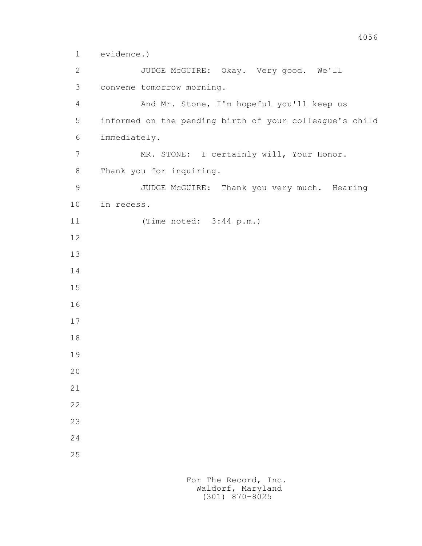1 evidence.)

 2 JUDGE McGUIRE: Okay. Very good. We'll 3 convene tomorrow morning. 4 And Mr. Stone, I'm hopeful you'll keep us 5 informed on the pending birth of your colleague's child 6 immediately. 7 MR. STONE: I certainly will, Your Honor. 8 Thank you for inquiring. 9 JUDGE McGUIRE: Thank you very much. Hearing 10 in recess. 11 (Time noted: 3:44 p.m.) 12 13 14 15 16 17 18 19 20 21 22 23 24 25